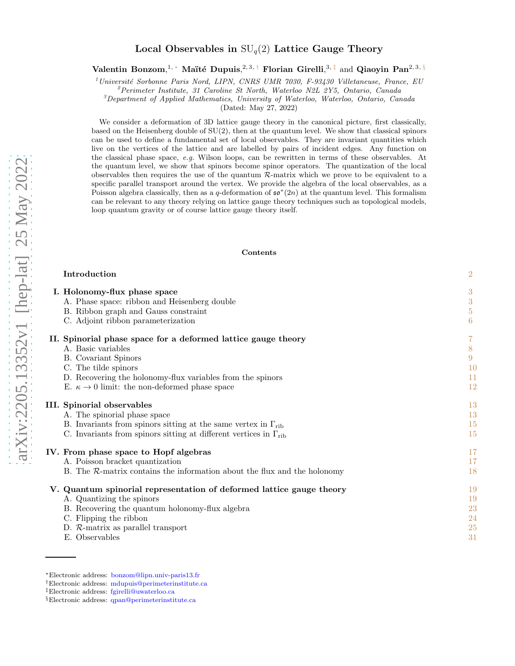# Local Observables in  $SU_q(2)$  Lattice Gauge Theory

Valentin Bonzom,<sup>1,\*</sup> Maïté Dupuis,<sup>2,3,[†](#page-0-1)</sup> Florian Girelli,<sup>3,[‡](#page-0-2)</sup> and Qiaoyin Pan<sup>2,3, [§](#page-0-3)</sup>

 $1$ Université Sorbonne Paris Nord, LIPN, CNRS UMR 7030, F-93430 Villetaneuse, France, EU

<sup>2</sup>Perimeter Institute, 31 Caroline St North, Waterloo N2L 2Y5, Ontario, Canada

 ${}^{3}$ Department of Applied Mathematics, University of Waterloo, Waterloo, Ontario, Canada

(Dated: May 27, 2022)

We consider a deformation of 3D lattice gauge theory in the canonical picture, first classically, based on the Heisenberg double of SU(2), then at the quantum level. We show that classical spinors can be used to define a fundamental set of local observables. They are invariant quantities which live on the vertices of the lattice and are labelled by pairs of incident edges. Any function on the classical phase space,  $e.g.$  Wilson loops, can be rewritten in terms of these observables. At the quantum level, we show that spinors become spinor operators. The quantization of the local observables then requires the use of the quantum  $R$ -matrix which we prove to be equivalent to a specific parallel transport around the vertex. We provide the algebra of the local observables, as a Poisson algebra classically, then as a q-deformation of  $\mathfrak{so}^*(2n)$  at the quantum level. This formalism can be relevant to any theory relying on lattice gauge theory techniques such as topological models, loop quantum gravity or of course lattice gauge theory itself.

Contents

| $\boldsymbol{3}$<br>3                                     |
|-----------------------------------------------------------|
| $\bf 5$<br>$6\phantom{.}6$                                |
| 7<br>$8\phantom{.0}$<br>$9\phantom{.0}$<br>10<br>11<br>12 |
| 13<br>13<br>15<br>15                                      |
| 17<br>17<br>18                                            |
| 19<br>19<br>23<br>24<br>25<br>31                          |
|                                                           |

<span id="page-0-0"></span><sup>∗</sup>Electronic address: [bonzom@lipn.univ-paris13.fr](mailto:bonzom@lipn.univ-paris13.fr)

<span id="page-0-1"></span><sup>†</sup>Electronic address: [mdupuis@perimeterinstitute.ca](mailto:mdupuis@perimeterinstitute.ca)

<span id="page-0-2"></span><sup>‡</sup>Electronic address: [fgirelli@uwaterloo.ca](mailto:fgirelli@uwaterloo.ca)

<span id="page-0-3"></span><sup>§</sup>Electronic address: [qpan@perimeterinstitute.ca](mailto:qpan@perimeterinstitute.ca)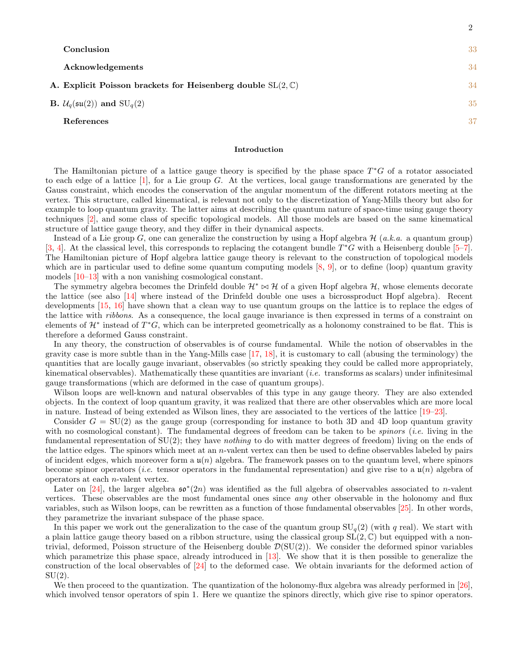| Conclusion                                                            | 33 |
|-----------------------------------------------------------------------|----|
| Acknowledgements                                                      | 34 |
| A. Explicit Poisson brackets for Heisenberg double $SL(2,\mathbb{C})$ | 34 |
| <b>B.</b> $\mathcal{U}_q(\mathfrak{su}(2))$ and $\text{SU}_q(2)$      | 35 |
| References                                                            | 37 |

2

#### <span id="page-1-0"></span>Introduction

The Hamiltonian picture of a lattice gauge theory is specified by the phase space  $T^*G$  of a rotator associated to each edge of a lattice  $[1]$ , for a Lie group G. At the vertices, local gauge transformations are generated by the Gauss constraint, which encodes the conservation of the angular momentum of the different rotators meeting at the vertex. This structure, called kinematical, is relevant not only to the discretization of Yang-Mills theory but also for example to loop quantum gravity. The latter aims at describing the quantum nature of space-time using gauge theory techniques [\[2](#page-36-2)], and some class of specific topological models. All those models are based on the same kinematical structure of lattice gauge theory, and they differ in their dynamical aspects.

Instead of a Lie group G, one can generalize the construction by using a Hopf algebra  $\mathcal{H}$  (a.k.a. a quantum group) [\[3,](#page-36-3) [4\]](#page-36-4). At the classical level, this corresponds to replacing the cotangent bundle  $T^*G$  with a Heisenberg double [\[5](#page-36-5)[–7\]](#page-36-6). The Hamiltonian picture of Hopf algebra lattice gauge theory is relevant to the construction of topological models which are in particular used to define some quantum computing models  $[8, 9]$  $[8, 9]$  $[8, 9]$ , or to define (loop) quantum gravity models [\[10](#page-36-9)[–13](#page-36-10)] with a non vanishing cosmological constant.

The symmetry algebra becomes the Drinfeld double  $\mathcal{H}^* \bowtie \mathcal{H}$  of a given Hopf algebra  $\mathcal{H}$ , whose elements decorate the lattice (see also [\[14](#page-36-11)] where instead of the Drinfeld double one uses a bicrossproduct Hopf algebra). Recent developments [\[15](#page-36-12), [16\]](#page-36-13) have shown that a clean way to use quantum groups on the lattice is to replace the edges of the lattice with ribbons. As a consequence, the local gauge invariance is then expressed in terms of a constraint on elements of  $\mathcal{H}^*$  instead of  $T^*G$ , which can be interpreted geometrically as a holonomy constrained to be flat. This is therefore a deformed Gauss constraint.

In any theory, the construction of observables is of course fundamental. While the notion of observables in the gravity case is more subtle than in the Yang-Mills case  $[17, 18]$  $[17, 18]$ , it is customary to call (abusing the terminology) the quantities that are locally gauge invariant, observables (so strictly speaking they could be called more appropriately, kinematical observables). Mathematically these quantities are invariant (*i.e.* transforms as scalars) under infinitesimal gauge transformations (which are deformed in the case of quantum groups).

Wilson loops are well-known and natural observables of this type in any gauge theory. They are also extended objects. In the context of loop quantum gravity, it was realized that there are other observables which are more local in nature. Instead of being extended as Wilson lines, they are associated to the vertices of the lattice [\[19](#page-36-16)[–23\]](#page-36-17).

Consider  $G = SU(2)$  as the gauge group (corresponding for instance to both 3D and 4D loop quantum gravity with no cosmological constant). The fundamental degrees of freedom can be taken to be *spinors* (*i.e.* living in the fundamental representation of  $SU(2)$ ; they have *nothing* to do with matter degrees of freedom) living on the ends of the lattice edges. The spinors which meet at an n-valent vertex can then be used to define observables labeled by pairs of incident edges, which moreover form a  $u(n)$  algebra. The framework passes on to the quantum level, where spinors become spinor operators (*i.e.* tensor operators in the fundamental representation) and give rise to a  $\mathfrak{u}(n)$  algebra of operators at each n-valent vertex.

Later on [\[24](#page-36-18)], the larger algebra  $\mathfrak{so}^*(2n)$  was identified as the full algebra of observables associated to *n*-valent vertices. These observables are the most fundamental ones since any other observable in the holonomy and flux variables, such as Wilson loops, can be rewritten as a function of those fundamental observables [\[25](#page-36-19)]. In other words, they parametrize the invariant subspace of the phase space.

In this paper we work out the generalization to the case of the quantum group  $SU_q(2)$  (with q real). We start with a plain lattice gauge theory based on a ribbon structure, using the classical group  $SL(2,\mathbb{C})$  but equipped with a nontrivial, deformed, Poisson structure of the Heisenberg double  $\mathcal{D}(SU(2))$ . We consider the deformed spinor variables which parametrize this phase space, already introduced in [\[13\]](#page-36-10). We show that it is then possible to generalize the construction of the local observables of [\[24\]](#page-36-18) to the deformed case. We obtain invariants for the deformed action of  $SU(2)$ .

We then proceed to the quantization. The quantization of the holonomy-flux algebra was already performed in [\[26\]](#page-36-20), which involved tensor operators of spin 1. Here we quantize the spinors directly, which give rise to spinor operators.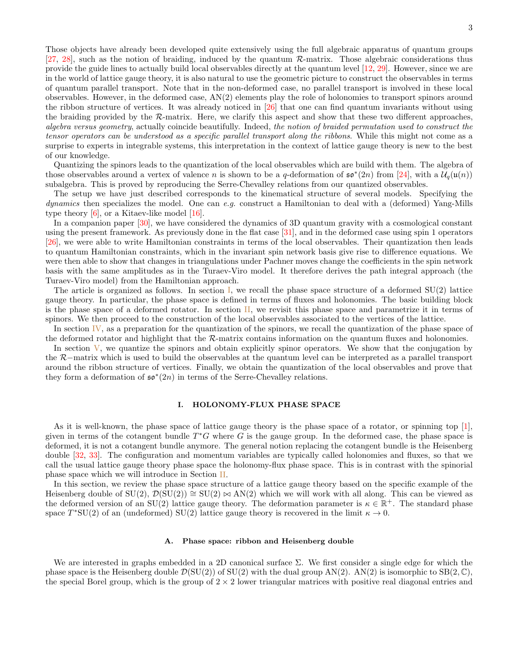Those objects have already been developed quite extensively using the full algebraic apparatus of quantum groups [\[27,](#page-36-21) [28\]](#page-37-0), such as the notion of braiding, induced by the quantum R-matrix. Those algebraic considerations thus provide the guide lines to actually build local observables directly at the quantum level [\[12](#page-36-22), [29\]](#page-37-1). However, since we are in the world of lattice gauge theory, it is also natural to use the geometric picture to construct the observables in terms of quantum parallel transport. Note that in the non-deformed case, no parallel transport is involved in these local observables. However, in the deformed case, AN(2) elements play the role of holonomies to transport spinors around the ribbon structure of vertices. It was already noticed in [\[26\]](#page-36-20) that one can find quantum invariants without using the braiding provided by the R-matrix. Here, we clarify this aspect and show that these two different approaches, algebra versus geometry, actually coincide beautifully. Indeed, the notion of braided permutation used to construct the tensor operators can be understood as a specific parallel transport along the ribbons. While this might not come as a surprise to experts in integrable systems, this interpretation in the context of lattice gauge theory is new to the best of our knowledge.

Quantizing the spinors leads to the quantization of the local observables which are build with them. The algebra of those observables around a vertex of valence n is shown to be a q-deformation of  $\mathfrak{so}^*(2n)$  from [\[24\]](#page-36-18), with a  $\mathcal{U}_q(\mathfrak{u}(n))$ subalgebra. This is proved by reproducing the Serre-Chevalley relations from our quantized observables.

The setup we have just described corresponds to the kinematical structure of several models. Specifying the *dynamics* then specializes the model. One can e.g. construct a Hamiltonian to deal with a (deformed) Yang-Mills type theory [\[6\]](#page-36-23), or a Kitaev-like model [\[16\]](#page-36-13).

In a companion paper [\[30](#page-37-2)], we have considered the dynamics of 3D quantum gravity with a cosmological constant using the present framework. As previously done in the flat case [\[31\]](#page-37-3), and in the deformed case using spin 1 operators [\[26\]](#page-36-20), we were able to write Hamiltonian constraints in terms of the local observables. Their quantization then leads to quantum Hamiltonian constraints, which in the invariant spin network basis give rise to difference equations. We were then able to show that changes in triangulations under Pachner moves change the coefficients in the spin network basis with the same amplitudes as in the Turaev-Viro model. It therefore derives the path integral approach (the Turaev-Viro model) from the Hamiltonian approach.

The article is organized as follows. In section [I,](#page-2-0) we recall the phase space structure of a deformed  $SU(2)$  lattice gauge theory. In particular, the phase space is defined in terms of fluxes and holonomies. The basic building block is the phase space of a deformed rotator. In section [II,](#page-6-0) we revisit this phase space and parametrize it in terms of spinors. We then proceed to the construction of the local observables associated to the vertices of the lattice.

In section [IV,](#page-16-0) as a preparation for the quantization of the spinors, we recall the quantization of the phase space of the deformed rotator and highlight that the R-matrix contains information on the quantum fluxes and holonomies.

In section  $\bar{V}$ , we quantize the spinors and obtain explicitly spinor operators. We show that the conjugation by the R−matrix which is used to build the observables at the quantum level can be interpreted as a parallel transport around the ribbon structure of vertices. Finally, we obtain the quantization of the local observables and prove that they form a deformation of  $\mathfrak{so}^*(2n)$  in terms of the Serre-Chevalley relations.

### <span id="page-2-0"></span>I. HOLONOMY-FLUX PHASE SPACE

As it is well-known, the phase space of lattice gauge theory is the phase space of a rotator, or spinning top [\[1\]](#page-36-1), given in terms of the cotangent bundle  $T^*G$  where G is the gauge group. In the deformed case, the phase space is deformed, it is not a cotangent bundle anymore. The general notion replacing the cotangent bundle is the Heisenberg double [\[32,](#page-37-4) [33](#page-37-5)]. The configuration and momentum variables are typically called holonomies and fluxes, so that we call the usual lattice gauge theory phase space the holonomy-flux phase space. This is in contrast with the spinorial phase space which we will introduce in Section [II.](#page-6-0)

In this section, we review the phase space structure of a lattice gauge theory based on the specific example of the Heisenberg double of  $SU(2)$ ,  $\mathcal{D}(SU(2)) \cong SU(2) \bowtie AN(2)$  which we will work with all along. This can be viewed as the deformed version of an  $SU(2)$  lattice gauge theory. The deformation parameter is  $\kappa \in \mathbb{R}^+$ . The standard phase space  $T^*SU(2)$  of an (undeformed) SU(2) lattice gauge theory is recovered in the limit  $\kappa \to 0$ .

#### <span id="page-2-1"></span>A. Phase space: ribbon and Heisenberg double

We are interested in graphs embedded in a 2D canonical surface Σ. We first consider a single edge for which the phase space is the Heisenberg double  $\mathcal{D}(\text{SU}(2))$  of  $\text{SU}(2)$  with the dual group AN(2). AN(2) is isomorphic to  $\text{SB}(2,\mathbb{C})$ , the special Borel group, which is the group of  $2 \times 2$  lower triangular matrices with positive real diagonal entries and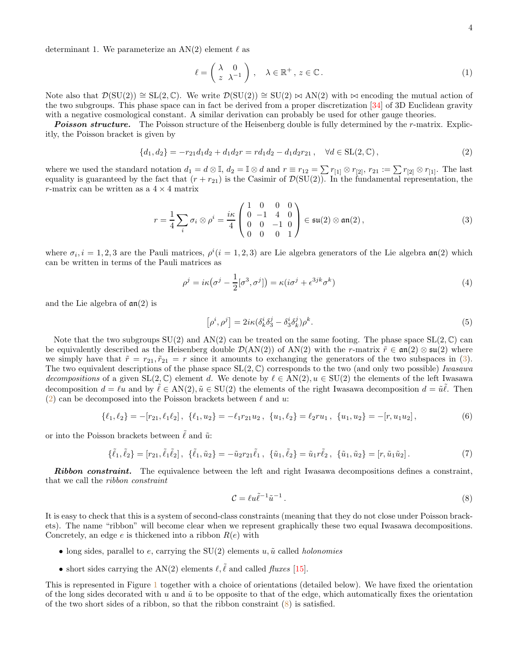determinant 1. We parameterize an  $AN(2)$  element  $\ell$  as

<span id="page-3-3"></span>
$$
\ell = \begin{pmatrix} \lambda & 0 \\ z & \lambda^{-1} \end{pmatrix}, \quad \lambda \in \mathbb{R}^+, z \in \mathbb{C}.
$$
 (1)

Note also that  $\mathcal{D}(\mathrm{SU}(2)) \cong \mathrm{SL}(2,\mathbb{C})$ . We write  $\mathcal{D}(\mathrm{SU}(2)) \cong \mathrm{SU}(2) \bowtie \mathrm{AN}(2)$  with  $\bowtie$  encoding the mutual action of the two subgroups. This phase space can in fact be derived from a proper discretization [\[34\]](#page-37-6) of 3D Euclidean gravity with a negative cosmological constant. A similar derivation can probably be used for other gauge theories.

**Poisson structure.** The Poisson structure of the Heisenberg double is fully determined by the r-matrix. Explicitly, the Poisson bracket is given by

<span id="page-3-1"></span>
$$
\{d_1, d_2\} = -r_{21}d_1d_2 + d_1d_2r = rd_1d_2 - d_1d_2r_{21}, \quad \forall d \in SL(2, \mathbb{C}),
$$
\n(2)

where we used the standard notation  $d_1 = d \otimes \mathbb{I}$ ,  $d_2 = \mathbb{I} \otimes d$  and  $r \equiv r_{12} = \sum r_{[1]} \otimes r_{[2]}$ ,  $r_{21} := \sum r_{[2]} \otimes r_{[1]}$ . The last equality is guaranteed by the fact that  $(r + r_{21})$  is the Casimir of  $\mathcal{D}(\text{SU}(2))$ . In the fundamental representation, the r-matrix can be written as a  $4 \times 4$  matrix

<span id="page-3-0"></span>
$$
r = \frac{1}{4} \sum_{i} \sigma_{i} \otimes \rho^{i} = \frac{i\kappa}{4} \begin{pmatrix} 1 & 0 & 0 & 0 \\ 0 & -1 & 4 & 0 \\ 0 & 0 & -1 & 0 \\ 0 & 0 & 0 & 1 \end{pmatrix} \in \mathfrak{su}(2) \otimes \mathfrak{an}(2), \tag{3}
$$

where  $\sigma_i$ ,  $i = 1, 2, 3$  are the Pauli matrices,  $\rho^i(i = 1, 2, 3)$  are Lie algebra generators of the Lie algebra  $\mathfrak{an}(2)$  which can be written in terms of the Pauli matrices as

$$
\rho^j = i\kappa (\sigma^j - \frac{1}{2} [\sigma^3, \sigma^j]) = \kappa (i\sigma^j + \epsilon^{3jk} \sigma^k)
$$
\n(4)

and the Lie algebra of  $\mathfrak{an}(2)$  is

$$
\left[\rho^i, \rho^j\right] = 2i\kappa(\delta^i_k \delta^j_3 - \delta^i_3 \delta^j_k)\rho^k. \tag{5}
$$

Note that the two subgroups  $SU(2)$  and  $AN(2)$  can be treated on the same footing. The phase space  $SL(2,\mathbb{C})$  can be equivalently described as the Heisenberg double  $\mathcal{D}(AN(2))$  of  $AN(2)$  with the r-matrix  $\tilde{r} \in \mathfrak{an}(2) \otimes \mathfrak{su}(2)$  where we simply have that  $\tilde{r} = r_{21}, \tilde{r}_{21} = r$  since it amounts to exchanging the generators of the two subspaces in [\(3\)](#page-3-0). The two equivalent descriptions of the phase space  $SL(2, \mathbb{C})$  corresponds to the two (and only two possible) Iwasawa decompositions of a given  $SL(2,\mathbb{C})$  element d. We denote by  $\ell \in AN(2), u \in SU(2)$  the elements of the left Iwasawa decomposition  $d = \ell u$  and by  $\tilde{\ell} \in AN(2), \tilde{u} \in SU(2)$  the elements of the right Iwasawa decomposition  $d = \tilde{u}\tilde{\ell}$ . Then [\(2\)](#page-3-1) can be decomposed into the Poisson brackets between  $\ell$  and  $u$ .

<span id="page-3-4"></span>
$$
\{\ell_1,\ell_2\} = -[r_{21},\ell_1\ell_2], \ \{\ell_1,u_2\} = -\ell_1r_{21}u_2, \ \{u_1,\ell_2\} = \ell_2ru_1, \ \{u_1,u_2\} = -[r,u_1u_2], \tag{6}
$$

or into the Poisson brackets between  $\tilde{\ell}$  and  $\tilde{u}$ .

<span id="page-3-5"></span>
$$
\{\tilde{\ell}_1, \tilde{\ell}_2\} = [r_{21}, \tilde{\ell}_1 \tilde{\ell}_2], \ \{\tilde{\ell}_1, \tilde{u}_2\} = -\tilde{u}_2 r_{21} \tilde{\ell}_1, \ \{\tilde{u}_1, \tilde{\ell}_2\} = \tilde{u}_1 r \tilde{\ell}_2, \ \{\tilde{u}_1, \tilde{u}_2\} = [r, \tilde{u}_1 \tilde{u}_2]. \tag{7}
$$

**Ribbon constraint.** The equivalence between the left and right Iwasawa decompositions defines a constraint, that we call the ribbon constraint

<span id="page-3-2"></span>
$$
\mathcal{C} = \ell u \tilde{\ell}^{-1} \tilde{u}^{-1} \,. \tag{8}
$$

It is easy to check that this is a system of second-class constraints (meaning that they do not close under Poisson brackets). The name "ribbon" will become clear when we represent graphically these two equal Iwasawa decompositions. Concretely, an edge  $e$  is thickened into a ribbon  $R(e)$  with

- long sides, parallel to e, carrying the  $SU(2)$  elements u,  $\tilde{u}$  called *holonomies*
- short sides carrying the AN(2) elements  $\ell, \tilde{\ell}$  and called *fluxes* [\[15](#page-36-12)].

This is represented in Figure [1](#page-4-1) together with a choice of orientations (detailed below). We have fixed the orientation of the long sides decorated with u and  $\tilde{u}$  to be opposite to that of the edge, which automatically fixes the orientation of the two short sides of a ribbon, so that the ribbon constraint  $(8)$  is satisfied.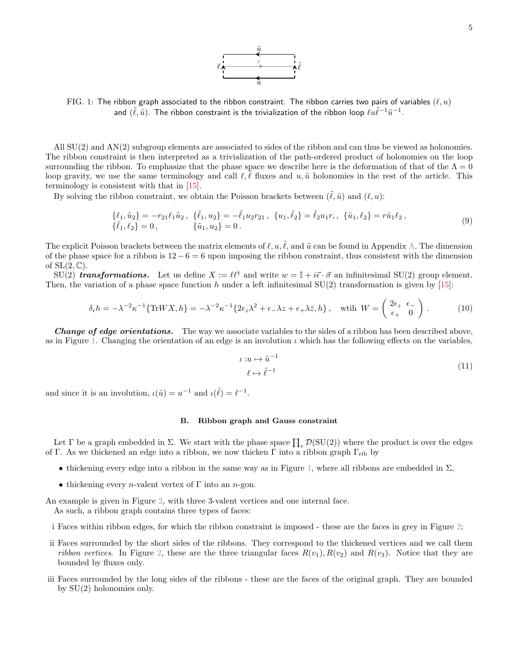

<span id="page-4-1"></span>FIG. 1: The ribbon graph associated to the ribbon constraint. The ribbon carries two pairs of variables  $(\ell, u)$ and  $(\tilde{\ell},\tilde{u})$ . The ribbon constraint is the trivialization of the ribbon loop  $\ell u \tilde{\ell}^{-1} \tilde{u}^{-1}$ .

All SU(2) and AN(2) subgroup elements are associated to sides of the ribbon and can thus be viewed as holonomies. The ribbon constraint is then interpreted as a trivialization of the path-ordered product of holonomies on the loop surrounding the ribbon. To emphasize that the phase space we describe here is the deformation of that of the  $\Lambda = 0$ loop gravity, we use the same terminology and call  $\ell, \ell$  fluxes and  $u, \tilde{u}$  holonomies in the rest of the article. This terminology is consistent with that in [\[15](#page-36-12)].

By solving the ribbon constraint, we obtain the Poisson brackets between  $(\ell, \tilde{u})$  and  $(\ell, u)$ :

<span id="page-4-3"></span>
$$
\{\ell_1, \tilde{u}_2\} = -r_{21}\ell_1\tilde{u}_2, \quad \{\tilde{\ell}_1, u_2\} = -\tilde{\ell}_1 u_2 r_{21}, \quad \{u_1, \tilde{\ell}_2\} = \tilde{\ell}_2 u_1 r, \quad \{\tilde{u}_1, \ell_2\} = r\tilde{u}_1 \ell_2, \{\tilde{\ell}_1, \ell_2\} = 0, \qquad \{\tilde{u}_1, u_2\} = 0.
$$
\n(9)

The explicit Poisson brackets between the matrix elements of  $\ell, u, \tilde{\ell}$ , and  $\tilde{u}$  can be found in Appendix [A.](#page-33-1) The dimension of the phase space for a ribbon is  $12 - 6 = 6$  upon imposing the ribbon constraint, thus consistent with the dimension of  $SL(2,\mathbb{C})$ .

 $SU(2)$  transformations. Let us define  $X := \ell \ell^{\dagger}$  and write  $w = \mathbb{I} + i\vec{\epsilon} \cdot \vec{\sigma}$  an infinitesimal  $SU(2)$  group element. Then, the variation of a phase space function h under a left infinitesimal  $SU(2)$  transformation is given by [\[15\]](#page-36-12):

<span id="page-4-2"></span>
$$
\delta_{\epsilon}h = -\lambda^{-2}\kappa^{-1}\{\text{Tr}WX, h\} = -\lambda^{-2}\kappa^{-1}\{2\epsilon_z\lambda^2 + \epsilon_{-}\lambda z + \epsilon_{+}\lambda \bar{z}, h\}, \quad \text{with } W = \begin{pmatrix} 2\epsilon_z & \epsilon_{-} \\ \epsilon_{+} & 0 \end{pmatrix}.
$$
 (10)

**Change of edge orientations.** The way we associate variables to the sides of a ribbon has been described above, as in Figure [1.](#page-4-1) Changing the orientation of an edge is an involution  $\iota$  which has the following effects on the variables,

$$
\iota: u \mapsto \tilde{u}^{-1} \tag{11}
$$
\n
$$
\ell \mapsto \tilde{\ell}^{-1}
$$

and since it is an involution,  $\iota(\tilde{u}) = u^{-1}$  and  $\iota(\tilde{\ell}) = \ell^{-1}$ .

#### <span id="page-4-0"></span>B. Ribbon graph and Gauss constraint

Let  $\Gamma$  be a graph embedded in  $\Sigma$ . We start with the phase space  $\prod_e \mathcal{D}(\mathrm{SU}(2))$  where the product is over the edges of Γ. As we thickened an edge into a ribbon, we now thicken Γ into a ribbon graph  $\Gamma_{\text{rib}}$  by

- thickening every edge into a ribbon in the same way as in Figure [1,](#page-4-1) where all ribbons are embedded in  $\Sigma$ ,
- thickening every *n*-valent vertex of  $\Gamma$  into an *n*-gon.

An example is given in Figure [2,](#page-5-1) with three 3-valent vertices and one internal face. As such, a ribbon graph contains three types of faces:

- i Faces within ribbon edges, for which the ribbon constraint is imposed these are the faces in grey in Figure [2;](#page-5-1)
- ii Faces surrounded by the short sides of the ribbons. They correspond to the thickened vertices and we call them ribbon vertices. In Figure [2,](#page-5-1) these are the three triangular faces  $R(v_1), R(v_2)$  and  $R(v_3)$ . Notice that they are bounded by fluxes only.
- iii Faces surrounded by the long sides of the ribbons these are the faces of the original graph. They are bounded by SU(2) holonomies only.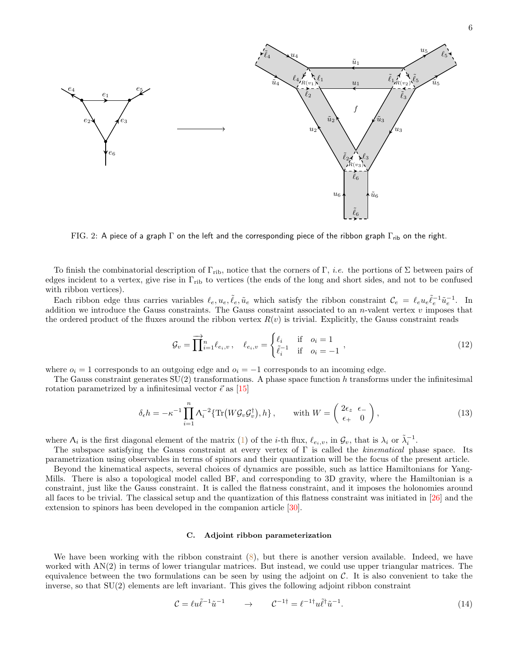<span id="page-5-1"></span>

FIG. 2: A piece of a graph  $\Gamma$  on the left and the corresponding piece of the ribbon graph  $\Gamma_{\rm rib}$  on the right.

To finish the combinatorial description of  $\Gamma_{\rm rib}$ , notice that the corners of  $\Gamma$ , *i.e.* the portions of  $\Sigma$  between pairs of edges incident to a vertex, give rise in  $\Gamma_{\text{rib}}$  to vertices (the ends of the long and short sides, and not to be confused with ribbon vertices).

Each ribbon edge thus carries variables  $\ell_e, u_e, \tilde{\ell}_e, \tilde{u}_e$  which satisfy the ribbon constraint  $\mathcal{C}_e = \ell_e u_e \tilde{\ell}_e^{-1} \tilde{u}_e^{-1}$ . In addition we introduce the Gauss constraints. The Gauss constraint associated to an  $n$ -valent vertex  $v$  imposes that the ordered product of the fluxes around the ribbon vertex  $R(v)$  is trivial. Explicitly, the Gauss constraint reads

<span id="page-5-4"></span>
$$
\mathcal{G}_v = \prod_{i=1}^n \ell_{e_i, v}, \quad \ell_{e_i, v} = \begin{cases} \ell_i & \text{if } o_i = 1 \\ \tilde{\ell}_i^{-1} & \text{if } o_i = -1 \end{cases}, \tag{12}
$$

where  $o_i = 1$  corresponds to an outgoing edge and  $o_i = -1$  corresponds to an incoming edge.

The Gauss constraint generates  $SU(2)$  transformations. A phase space function h transforms under the infinitesimal rotation parametrized by a infinitesimal vector  $\vec{\epsilon}$  as [\[15\]](#page-36-12)

<span id="page-5-2"></span>
$$
\delta_{\epsilon}h = -\kappa^{-1} \prod_{i=1}^{n} \Lambda_{i}^{-2} \{ \text{Tr} \left( W \mathcal{G}_{v} \mathcal{G}_{v}^{\dagger} \right), h \}, \qquad \text{with } W = \begin{pmatrix} 2\epsilon_{z} & \epsilon_{-} \\ \epsilon_{+} & 0 \end{pmatrix}, \tag{13}
$$

where  $\Lambda_i$  is the first diagonal element of the matrix [\(1\)](#page-3-3) of the *i*-th flux,  $\ell_{e_i,v}$ , in  $\mathcal{G}_v$ , that is  $\lambda_i$  or  $\tilde{\lambda}_i^{-1}$ .

The subspace satisfying the Gauss constraint at every vertex of Γ is called the kinematical phase space. Its parametrization using observables in terms of spinors and their quantization will be the focus of the present article. Beyond the kinematical aspects, several choices of dynamics are possible, such as lattice Hamiltonians for Yang-Mills. There is also a topological model called BF, and corresponding to 3D gravity, where the Hamiltonian is a constraint, just like the Gauss constraint. It is called the flatness constraint, and it imposes the holonomies around all faces to be trivial. The classical setup and the quantization of this flatness constraint was initiated in [\[26](#page-36-20)] and the extension to spinors has been developed in the companion article [\[30](#page-37-2)].

#### <span id="page-5-0"></span>C. Adjoint ribbon parameterization

We have been working with the ribbon constraint  $(8)$ , but there is another version available. Indeed, we have worked with AN(2) in terms of lower triangular matrices. But instead, we could use upper triangular matrices. The equivalence between the two formulations can be seen by using the adjoint on  $\mathcal{C}$ . It is also convenient to take the inverse, so that SU(2) elements are left invariant. This gives the following adjoint ribbon constraint

<span id="page-5-3"></span>
$$
\mathcal{C} = \ell u \tilde{\ell}^{-1} \tilde{u}^{-1} \qquad \to \qquad \mathcal{C}^{-1\dagger} = \ell^{-1\dagger} u \tilde{\ell}^\dagger \tilde{u}^{-1}.
$$
\n
$$
(14)
$$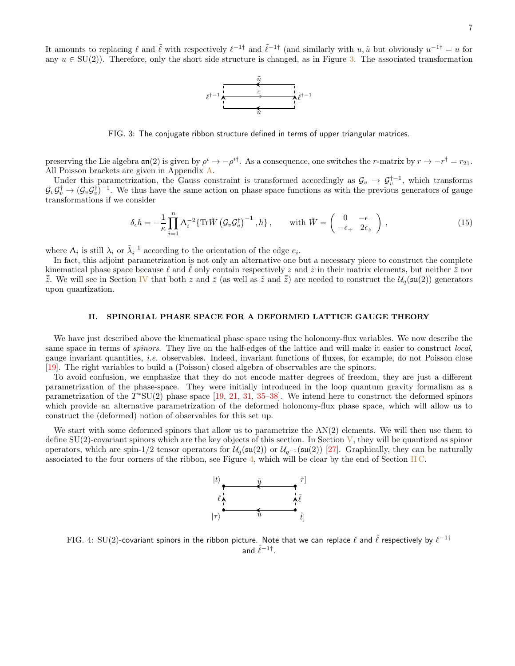<span id="page-6-1"></span>It amounts to replacing  $\ell$  and  $\tilde{\ell}$  with respectively  $\ell^{-1\dagger}$  and  $\tilde{\ell}^{-1\dagger}$  (and similarly with  $u, \tilde{u}$  but obviously  $u^{-1\dagger} = u$  for any  $u \in SU(2)$ ). Therefore, only the short side structure is changed, as in Figure [3.](#page-6-1) The associated transformation



FIG. 3: The conjugate ribbon structure defined in terms of upper triangular matrices.

preserving the Lie algebra  $\mathfrak{an}(2)$  is given by  $\rho^i \to -\rho^{i\dagger}$ . As a consequence, one switches the *r*-matrix by  $r \to -r^{\dagger} = r_{21}$ . All Poisson brackets are given in Appendix [A.](#page-33-1)

Under this parametrization, the Gauss constraint is transformed accordingly as  $\mathcal{G}_v \to \mathcal{G}_v^{\dagger-1}$ , which transforms  $\mathcal{G}_v \mathcal{G}_v^{\dagger} \to (\mathcal{G}_v \mathcal{G}_v^{\dagger})^{-1}$ . We thus have the same action on phase space functions as with the previous generators of gauge transformations if we consider

<span id="page-6-3"></span>
$$
\delta_{\epsilon}h = -\frac{1}{\kappa} \prod_{i=1}^{n} \Lambda_i^{-2} \{ \text{Tr}\tilde{W} \left( \mathcal{G}_v \mathcal{G}_v^{\dagger} \right)^{-1}, h \}, \qquad \text{with } \tilde{W} = \begin{pmatrix} 0 & -\epsilon_- \\ -\epsilon_+ & 2\epsilon_z \end{pmatrix}, \tag{15}
$$

where  $\Lambda_i$  is still  $\lambda_i$  or  $\tilde{\lambda}_i^{-1}$  according to the orientation of the edge  $e_i$ .

In fact, this adjoint parametrization is not only an alternative one but a necessary piece to construct the complete kinematical phase space because  $\ell$  and  $\ell$  only contain respectively z and  $\tilde{z}$  in their matrix elements, but neither  $\bar{z}$  nor  $\bar{z}$ . We will see in Section [IV](#page-16-0) that both z and  $\bar{z}$  (as well as  $\tilde{z}$  and  $\bar{\tilde{z}}$ ) are needed to construct the  $U_q(\mathfrak{su}(2))$  generators upon quantization.

#### <span id="page-6-0"></span>II. SPINORIAL PHASE SPACE FOR A DEFORMED LATTICE GAUGE THEORY

We have just described above the kinematical phase space using the holonomy-flux variables. We now describe the same space in terms of *spinors*. They live on the half-edges of the lattice and will make it easier to construct *local*, gauge invariant quantities, i.e. observables. Indeed, invariant functions of fluxes, for example, do not Poisson close [\[19\]](#page-36-16). The right variables to build a (Poisson) closed algebra of observables are the spinors.

To avoid confusion, we emphasize that they do not encode matter degrees of freedom, they are just a different parametrization of the phase-space. They were initially introduced in the loop quantum gravity formalism as a parametrization of the  $T^*SU(2)$  phase space [\[19,](#page-36-16) [21,](#page-36-24) [31](#page-37-3), [35](#page-37-7)[–38\]](#page-37-8). We intend here to construct the deformed spinors which provide an alternative parametrization of the deformed holonomy-flux phase space, which will allow us to construct the (deformed) notion of observables for this set up.

<span id="page-6-2"></span>We start with some deformed spinors that allow us to parametrize the  $AN(2)$  elements. We will then use them to define  $SU(2)$ -covariant spinors which are the key objects of this section. In Section [V,](#page-18-0) they will be quantized as spinor operators, which are spin-1/2 tensor operators for  $\mathcal{U}_q(\mathfrak{su}(2))$  or  $\mathcal{U}_{q^{-1}}(\mathfrak{su}(2))$  [\[27](#page-36-21)]. Graphically, they can be naturally associated to the four corners of the ribbon, see Figure [4,](#page-6-2) which will be clear by the end of Section [II C.](#page-9-0)



FIG. 4: SU(2)-covariant spinors in the ribbon picture. Note that we can replace  $\ell$  and  $\tilde\ell$  respectively by  $\ell^{-1\dagger}$ and  $\tilde{\ell}^{-1\dagger}$ .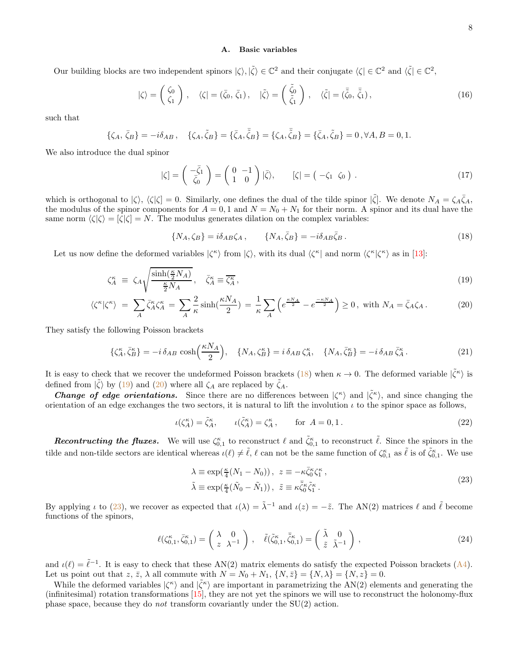### <span id="page-7-0"></span>A. Basic variables

Our building blocks are two independent spinors  $|\zeta\rangle, |\tilde{\zeta}\rangle \in \mathbb{C}^2$  and their conjugate  $\langle \zeta | \in \mathbb{C}^2$  and  $\langle \tilde{\zeta} | \in \mathbb{C}^2$ ,

$$
|\zeta\rangle = \begin{pmatrix} \zeta_0 \\ \zeta_1 \end{pmatrix}, \quad \langle \zeta | = (\bar{\zeta}_0, \bar{\zeta}_1), \quad |\tilde{\zeta}\rangle = \begin{pmatrix} \tilde{\zeta}_0 \\ \tilde{\zeta}_1 \end{pmatrix}, \quad \langle \tilde{\zeta} | = (\bar{\tilde{\zeta}}_0, \bar{\tilde{\zeta}}_1), \tag{16}
$$

such that

$$
\{\zeta_A, \bar{\zeta}_B\} = -i\delta_{AB}, \quad \{\zeta_A, \tilde{\zeta}_B\} = \{\bar{\zeta}_A, \bar{\tilde{\zeta}}_B\} = \{\zeta_A, \bar{\tilde{\zeta}}_B\} = \{\bar{\zeta}_A, \tilde{\zeta}_B\} = 0, \forall A, B = 0, 1.
$$

We also introduce the dual spinor

$$
|\zeta| = \begin{pmatrix} -\bar{\zeta}_1 \\ \bar{\zeta}_0 \end{pmatrix} = \begin{pmatrix} 0 & -1 \\ 1 & 0 \end{pmatrix} |\bar{\zeta}\rangle, \qquad [\zeta] = \begin{pmatrix} -\zeta_1 & \zeta_0 \end{pmatrix} . \tag{17}
$$

which is orthogonal to  $|\zeta\rangle$ ,  $\langle\zeta|\zeta\rangle = 0$ . Similarly, one defines the dual of the tilde spinor  $|\tilde{\zeta}|\$ . We denote  $N_A = \zeta_A \bar{\zeta}_A$ , the modulus of the spinor components for  $A = 0, 1$  and  $N = N_0 + N_1$  for their norm. A spinor and its dual have the same norm  $\langle \zeta | \zeta \rangle = |\zeta| \zeta = N$ . The modulus generates dilation on the complex variables:

<span id="page-7-1"></span>
$$
\{N_A, \zeta_B\} = i\delta_{AB}\zeta_A \,, \qquad \{N_A, \bar{\zeta}_B\} = -i\delta_{AB}\bar{\zeta}_B \,. \tag{18}
$$

Let us now define the deformed variables  $|\zeta^{\kappa}\rangle$  from  $|\zeta\rangle$ , with its dual  $\langle \zeta^{\kappa} |$  and norm  $\langle \zeta^{\kappa} | \zeta^{\kappa} \rangle$  as in [\[13\]](#page-36-10):

<span id="page-7-2"></span>
$$
\zeta_A^{\kappa} \equiv \zeta_A \sqrt{\frac{\sinh(\frac{\kappa}{2}N_A)}{\frac{\kappa}{2}N_A}}, \quad \bar{\zeta}_A^{\kappa} \equiv \overline{\zeta_A^{\kappa}}, \tag{19}
$$

$$
\langle \zeta^{\kappa} | \zeta^{\kappa} \rangle = \sum_{A} \bar{\zeta}_{A}^{\kappa} \zeta_{A}^{\kappa} = \sum_{A} \frac{2}{\kappa} \sinh(\frac{\kappa N_{A}}{2}) = \frac{1}{\kappa} \sum_{A} \left( e^{\frac{\kappa N_{A}}{2}} - e^{\frac{-\kappa N_{A}}{2}} \right) \ge 0, \text{ with } N_{A} = \bar{\zeta}_{A} \zeta_{A}. \tag{20}
$$

They satisfy the following Poisson brackets

$$
\{\zeta_A^{\kappa}, \bar{\zeta}_B^{\kappa}\} = -i \,\delta_{AB} \, \cosh\left(\frac{\kappa N_A}{2}\right), \quad \{N_A, \zeta_B^{\kappa}\} = i \,\delta_{AB} \, \zeta_A^{\kappa}, \quad \{N_A, \bar{\zeta}_B^{\kappa}\} = -i \,\delta_{AB} \, \bar{\zeta}_A^{\kappa} \,. \tag{21}
$$

It is easy to check that we recover the undeformed Poisson brackets [\(18\)](#page-7-1) when  $\kappa \to 0$ . The deformed variable  $|\tilde{\zeta}^{\kappa}\rangle$  is defined from  $|\tilde{\zeta}\rangle$  by [\(19\)](#page-7-2) and [\(20\)](#page-7-2) where all  $\zeta_A$  are replaced by  $\tilde{\zeta}_A$ .

**Change of edge orientations.** Since there are no differences between  $|\zeta^{\kappa}\rangle$  and  $|\tilde{\zeta}^{\kappa}\rangle$ , and since changing the orientation of an edge exchanges the two sectors, it is natural to lift the involution  $\iota$  to the spinor space as follows,

<span id="page-7-5"></span>
$$
\iota(\zeta_A^{\kappa}) = \tilde{\zeta}_A^{\kappa}, \qquad \iota(\tilde{\zeta}_A^{\kappa}) = \zeta_A^{\kappa}, \qquad \text{for } A = 0, 1.
$$
\n
$$
(22)
$$

**Recontructing the fluxes.** We will use  $\zeta_{0,1}^{\kappa}$  to reconstruct  $\ell$  and  $\tilde{\zeta}_{0,1}^{\kappa}$  to reconstruct  $\tilde{\ell}$ . Since the spinors in the tilde and non-tilde sectors are identical whereas  $\iota(\ell) \neq \tilde{\ell}, \ell$  can not be the same function of  $\zeta_{0,1}^{\kappa}$  as  $\tilde{\ell}$  is of  $\tilde{\zeta}_{0,1}^{\kappa}$ . We use

<span id="page-7-3"></span>
$$
\lambda \equiv \exp(\frac{\kappa}{4}(N_1 - N_0)), \ z \equiv -\kappa \bar{\zeta}_0^{\kappa} \zeta_1^{\kappa}, \n\tilde{\lambda} \equiv \exp(\frac{\kappa}{4}(\tilde{N}_0 - \tilde{N}_1)), \ \tilde{z} \equiv \kappa \bar{\zeta}_0^{\kappa} \tilde{\zeta}_1^{\kappa}.
$$
\n(23)

By applying  $\iota$  to [\(23\)](#page-7-3), we recover as expected that  $\iota(\lambda) = \tilde{\lambda}^{-1}$  and  $\iota(z) = -\tilde{z}$ . The AN(2) matrices  $\ell$  and  $\tilde{\ell}$  become functions of the spinors,

<span id="page-7-4"></span>
$$
\ell(\zeta_{0,1}^{\kappa}, \bar{\zeta}_{0,1}^{\kappa}) = \begin{pmatrix} \lambda & 0\\ z & \lambda^{-1} \end{pmatrix}, \quad \tilde{\ell}(\tilde{\zeta}_{0,1}^{\kappa}, \bar{\tilde{\zeta}}_{0,1}^{\kappa}) = \begin{pmatrix} \tilde{\lambda} & 0\\ \tilde{z} & \tilde{\lambda}^{-1} \end{pmatrix},
$$
\n(24)

and  $\iota(\ell) = \tilde{\ell}^{-1}$ . It is easy to check that these AN(2) matrix elements do satisfy the expected Poisson brackets [\(A4\)](#page-34-1). Let us point out that  $z, \overline{z}$ ,  $\lambda$  all commute with  $N = N_0 + N_1$ ,  $\{N, \overline{z}\} = \{N, \lambda\} = \{N, z\} = 0$ .

While the deformed variables  $|\zeta^{\kappa}\rangle$  and  $|\tilde{\zeta}^{\kappa}\rangle$  are important in parametrizing the AN(2) elements and generating the (infinitesimal) rotation transformations  $[15]$ , they are not yet the spinors we will use to reconstruct the holonomy-flux phase space, because they do *not* transform covariantly under the  $SU(2)$  action.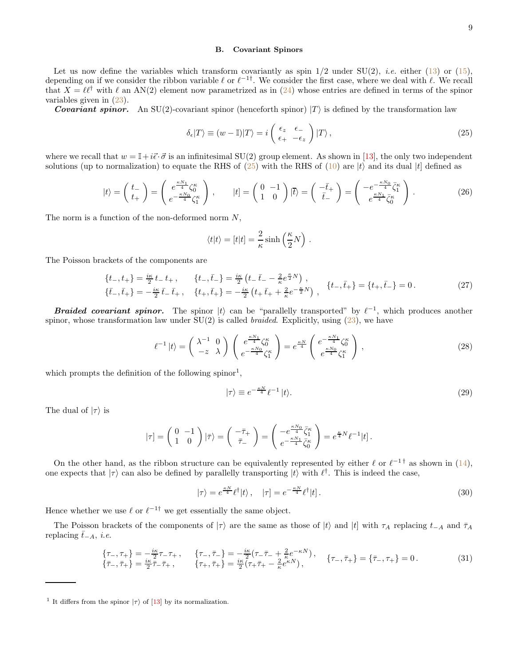### <span id="page-8-0"></span>B. Covariant Spinors

Let us now define the variables which transform covariantly as spin  $1/2$  under SU(2), *i.e.* either [\(13\)](#page-5-2) or [\(15\)](#page-6-3), depending on if we consider the ribbon variable  $\ell$  or  $\ell^{-1}$ . We consider the first case, where we deal with  $\ell$ . We recall that  $X = \ell \ell^{\dagger}$  with  $\ell$  an AN(2) element now parametrized as in [\(24\)](#page-7-4) whose entries are defined in terms of the spinor variables given in [\(23\)](#page-7-3).

**Covariant spinor.** An SU(2)-covariant spinor (henceforth spinor)  $|T\rangle$  is defined by the transformation law

<span id="page-8-1"></span>
$$
\delta_{\epsilon}|T\rangle \equiv (w - \mathbb{I})|T\rangle = i \begin{pmatrix} \epsilon_z & \epsilon_{-} \\ \epsilon_{+} & -\epsilon_z \end{pmatrix} |T\rangle, \qquad (25)
$$

where we recall that  $w = \mathbb{I} + i\vec{\epsilon} \cdot \vec{\sigma}$  is an infinitesimal SU(2) group element. As shown in [\[13](#page-36-10)], the only two independent solutions (up to normalization) to equate the RHS of [\(25\)](#page-8-1) with the RHS of [\(10\)](#page-4-2) are  $|t\rangle$  and its dual  $|t|$  defined as

<span id="page-8-4"></span>
$$
|t\rangle = \begin{pmatrix} t_- \\ t_+ \end{pmatrix} = \begin{pmatrix} e^{\frac{\kappa N_1}{4}} \zeta_0^{\kappa} \\ e^{-\frac{\kappa N_0}{4}} \zeta_1^{\kappa} \end{pmatrix}, \qquad |t] = \begin{pmatrix} 0 & -1 \\ 1 & 0 \end{pmatrix} |\overline{t}\rangle = \begin{pmatrix} -\overline{t}_+ \\ \overline{t}_- \end{pmatrix} = \begin{pmatrix} -e^{-\frac{\kappa N_0}{4}} \overline{\zeta}_1^{\kappa} \\ e^{\frac{\kappa N_1}{4}} \overline{\zeta}_0^{\kappa} \end{pmatrix}.
$$
 (26)

The norm is a function of the non-deformed norm  $N$ ,

$$
\langle t|t\rangle = [t|t] = \frac{2}{\kappa} \sinh\left(\frac{\kappa}{2}N\right).
$$

The Poisson brackets of the components are

<span id="page-8-3"></span>
$$
\begin{aligned}\n\{t_{-},t_{+}\} &= \frac{i\kappa}{2}t_{-}t_{+}, & \{t_{-},\bar{t}_{-}\} &= \frac{i\kappa}{2}\left(t_{-},\bar{t}_{-}-\frac{2}{\kappa}e^{\frac{\kappa}{2}N}\right), \\
\{\bar{t}_{-},\bar{t}_{+}\} &= -\frac{i\kappa}{2}\bar{t}_{-}, & \{t_{+},\bar{t}_{+}\} &= -\frac{i\kappa}{2}\left(t_{+},\bar{t}_{+}+\frac{2}{\kappa}e^{-\frac{\kappa}{2}N}\right), & \{t_{-},\bar{t}_{+}\} &= \{t_{+},\bar{t}_{-}\} = 0.\n\end{aligned} \tag{27}
$$

**Braided covariant spinor.** The spinor  $|t\rangle$  can be "parallelly transported" by  $\ell^{-1}$ , which produces another spinor, whose transformation law under  $SU(2)$  is called *braided*. Explicitly, using  $(23)$ , we have

$$
\ell^{-1} |t\rangle = \begin{pmatrix} \lambda^{-1} & 0 \\ -z & \lambda \end{pmatrix} \begin{pmatrix} e^{\frac{\kappa N_1}{4}} \zeta_0^{\kappa} \\ e^{-\frac{\kappa N_0}{4}} \zeta_1^{\kappa} \end{pmatrix} = e^{\frac{\kappa N}{4}} \begin{pmatrix} e^{-\frac{\kappa N_1}{4}} \zeta_0^{\kappa} \\ e^{\frac{\kappa N_0}{4}} \zeta_1^{\kappa} \end{pmatrix},
$$
\n(28)

which prompts the definition of the following spinor<sup>1</sup>,

<span id="page-8-2"></span>
$$
|\tau\rangle \equiv e^{-\frac{\kappa N}{4}} \ell^{-1} |t\rangle. \tag{29}
$$

The dual of  $|\tau\rangle$  is

$$
|\tau| = \begin{pmatrix} 0 & -1 \\ 1 & 0 \end{pmatrix} |\bar{\tau}\rangle = \begin{pmatrix} -\bar{\tau}_+ \\ \bar{\tau}_- \end{pmatrix} = \begin{pmatrix} -e^{\frac{\kappa N_0}{4}} \bar{\zeta}_1^{\kappa} \\ e^{-\frac{\kappa N_1}{4}} \bar{\zeta}_0^{\kappa} \end{pmatrix} = e^{\frac{\kappa}{4}N} \ell^{-1} |t].
$$

On the other hand, as the ribbon structure can be equivalently represented by either  $\ell$  or  $\ell^{-1}$  as shown in [\(14\)](#page-5-3), one expects that  $|\tau\rangle$  can also be defined by parallelly transporting  $|t\rangle$  with  $\ell^{\dagger}$ . This is indeed the case,

$$
|\tau\rangle = e^{\frac{\kappa N}{4}} \ell^{\dagger} |t\rangle, \quad |\tau] = e^{-\frac{\kappa N}{4}} \ell^{\dagger} |t| \,. \tag{30}
$$

Hence whether we use  $\ell$  or  $\ell^{-1\dagger}$  we get essentially the same object.

The Poisson brackets of the components of  $|\tau\rangle$  are the same as those of  $|t\rangle$  and  $|t|$  with  $\tau_A$  replacing  $t_{-A}$  and  $\bar{\tau}_A$ replacing  $\bar{t}_{-A}$ , *i.e.* 

$$
\begin{aligned}\n\{\tau_{-},\tau_{+}\} &= -\frac{i\kappa}{2}\tau_{-}\tau_{+} \,, \qquad \{\tau_{-},\bar{\tau}_{-}\} = -\frac{i\kappa}{2}(\tau_{-}\bar{\tau}_{-} + \frac{2}{\kappa}e^{-\kappa N}) \,, \qquad \{\tau_{-},\bar{\tau}_{+}\} = \{\bar{\tau}_{-},\tau_{+}\} = 0 \,. \tag{31} \\
\{\bar{\tau}_{-},\bar{\tau}_{+}\} &= \frac{i\kappa}{2}\bar{\tau}_{-}\bar{\tau}_{+} \,, \qquad \{\tau_{+},\bar{\tau}_{+}\} = \frac{i\kappa}{2}(\tau_{+}\bar{\tau}_{+} - \frac{2}{\kappa}e^{\kappa N}) \,, \end{aligned}
$$

<sup>&</sup>lt;sup>1</sup> It differs from the spinor  $|\tau\rangle$  of [\[13](#page-36-10)] by its normalization.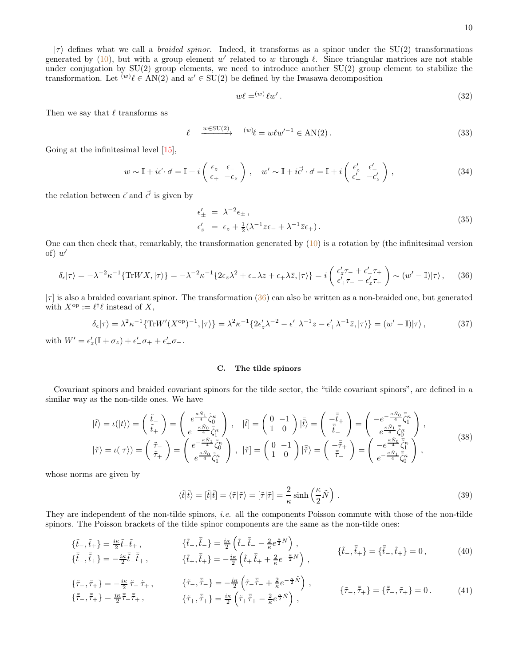$|\tau\rangle$  defines what we call a *braided spinor*. Indeed, it transforms as a spinor under the SU(2) transformations generated by  $(10)$ , but with a group element w' related to w through  $\ell$ . Since triangular matrices are not stable under conjugation by  $SU(2)$  group elements, we need to introduce another  $SU(2)$  group element to stabilize the transformation. Let  $^{(w)}\ell \in AN(2)$  and  $w' \in SU(2)$  be defined by the Iwasawa decomposition

$$
w\ell = (w)\ell w'.
$$
\n<sup>(32)</sup>

Then we say that  $\ell$  transforms as

$$
\ell \xrightarrow{w \in \text{SU}(2)} \xrightarrow{(w)} \ell = w \ell w'^{-1} \in \text{AN}(2). \tag{33}
$$

Going at the infinitesimal level  $[15]$ ,

$$
w \sim \mathbb{I} + i\vec{\epsilon} \cdot \vec{\sigma} = \mathbb{I} + i \begin{pmatrix} \epsilon_z & \epsilon_{-} \\ \epsilon_{+} & -\epsilon_z \end{pmatrix}, \quad w' \sim \mathbb{I} + i\vec{\epsilon'} \cdot \vec{\sigma} = \mathbb{I} + i \begin{pmatrix} \epsilon'_z & \epsilon'_{-} \\ \epsilon'_+ & -\epsilon'_z \end{pmatrix},
$$
\n(34)

the relation between  $\vec{\epsilon}$  and  $\vec{\epsilon'}$  is given by

$$
\epsilon'_{\pm} = \lambda^{-2} \epsilon_{\pm}, \n\epsilon'_{z} = \epsilon_{z} + \frac{1}{2} (\lambda^{-1} z \epsilon_{-} + \lambda^{-1} \bar{z} \epsilon_{+}).
$$
\n(35)

One can then check that, remarkably, the transformation generated by  $(10)$  is a rotation by (the infinitesimal version of)  $w'$ 

<span id="page-9-1"></span>
$$
\delta_{\epsilon}|\tau\rangle = -\lambda^{-2}\kappa^{-1}\{\text{Tr}WX,|\tau\rangle\} = -\lambda^{-2}\kappa^{-1}\{2\epsilon_{z}\lambda^{2} + \epsilon_{-}\lambda z + \epsilon_{+}\lambda\bar{z},|\tau\rangle\} = i\left(\begin{array}{c} \epsilon'_{z}\tau_{-} + \epsilon'_{-}\tau_{+} \\ \epsilon'_{+}\tau_{-} - \epsilon'_{z}\tau_{+} \end{array}\right) \sim (w'-\mathbb{I})|\tau\rangle\,,\tag{36}
$$

 $|\tau|$  is also a braided covariant spinor. The transformation [\(36\)](#page-9-1) can also be written as a non-braided one, but generated with  $X^{\text{op}} := \ell^{\dagger} \ell$  instead of X,

<span id="page-9-3"></span>
$$
\delta_{\epsilon}|\tau\rangle = \lambda^2 \kappa^{-1} \{ \text{Tr} W'(X^{\text{op}})^{-1}, |\tau\rangle \} = \lambda^2 \kappa^{-1} \{ 2\epsilon'_z \lambda^{-2} - \epsilon'_- \lambda^{-1} z - \epsilon'_+ \lambda^{-1} \bar{z}, |\tau\rangle \} = (w' - \mathbb{I})|\tau\rangle ,\tag{37}
$$

with  $W' = \epsilon'_z(\mathbb{I} + \sigma_z) + \epsilon'_-\sigma_+ + \epsilon'_+\sigma_-.$ 

#### <span id="page-9-0"></span>C. The tilde spinors

Covariant spinors and braided covariant spinors for the tilde sector, the "tilde covariant spinors", are defined in a similar way as the non-tilde ones. We have

<span id="page-9-2"></span>
$$
|\tilde{t}\rangle = \iota(|t\rangle) = \begin{pmatrix} \tilde{t}_{-} \\ \tilde{t}_{+} \end{pmatrix} = \begin{pmatrix} e^{\frac{\kappa \tilde{N}_{1}}{4}} \tilde{\zeta}_{0}^{\kappa} \\ e^{-\frac{\kappa \tilde{N}_{0}}{4}} \tilde{\zeta}_{1}^{\kappa} \end{pmatrix}, \quad |\tilde{t}| = \begin{pmatrix} 0 & -1 \\ 1 & 0 \end{pmatrix} |\tilde{t}\rangle = \begin{pmatrix} -\tilde{t}_{+} \\ \tilde{t}_{-} \end{pmatrix} = \begin{pmatrix} -e^{-\frac{\kappa \tilde{N}_{0}}{4}} \tilde{\zeta}_{1}^{\kappa} \\ e^{\frac{\kappa \tilde{N}_{1}}{4}} \tilde{\zeta}_{0}^{\kappa} \end{pmatrix},
$$
  

$$
|\tilde{\tau}\rangle = \iota(|\tau\rangle) = \begin{pmatrix} \tilde{\tau}_{-} \\ \tilde{\tau}_{+} \end{pmatrix} = \begin{pmatrix} e^{-\frac{\kappa \tilde{N}_{1}}{4}} \tilde{\zeta}_{0}^{\kappa} \\ e^{\frac{\kappa \tilde{N}_{0}}{4}} \tilde{\zeta}_{1}^{\kappa} \end{pmatrix}, \quad |\tilde{\tau}| = \begin{pmatrix} 0 & -1 \\ 1 & 0 \end{pmatrix} |\tilde{\bar{\tau}}\rangle = \begin{pmatrix} -\tilde{\bar{\tau}}_{+} \\ \tilde{\bar{\tau}}_{-} \end{pmatrix} = \begin{pmatrix} -e^{\frac{\kappa \tilde{N}_{0}}{4}} \tilde{\zeta}_{0}^{\kappa} \\ e^{-\frac{\kappa \tilde{N}_{0}}{4}} \tilde{\zeta}_{0}^{\kappa} \end{pmatrix},
$$
(38)

whose norms are given by

<span id="page-9-4"></span>
$$
\langle \tilde{t} | \tilde{t} \rangle = [\tilde{t} | \tilde{t}] = \langle \tilde{\tau} | \tilde{\tau} \rangle = [\tilde{\tau} | \tilde{\tau}] = \frac{2}{\kappa} \sinh\left(\frac{\kappa}{2} \tilde{N}\right). \tag{39}
$$

They are independent of the non-tilde spinors, i.e. all the components Poisson commute with those of the non-tilde spinors. The Poisson brackets of the tilde spinor components are the same as the non-tilde ones:

$$
\{\tilde{t}_{-}, \tilde{t}_{+}\} = \frac{i\kappa}{2} \tilde{t}_{-} \tilde{t}_{+}, \qquad \{\tilde{t}_{-}, \tilde{t}_{-}\} = \frac{i\kappa}{2} \left(\tilde{t}_{-} - \frac{2}{\kappa} e^{\frac{\kappa}{2} N}\right), \{\tilde{t}_{-}, \tilde{t}_{+}\} = -\frac{i\kappa}{2} \tilde{t}_{-} \tilde{t}_{+}, \qquad \{\tilde{t}_{+}, \tilde{t}_{+}\} = -\frac{i\kappa}{2} \left(\tilde{t}_{+} \tilde{t}_{+} + \frac{2}{\kappa} e^{-\frac{\kappa}{2} N}\right), \qquad \{\tilde{t}_{-}, \tilde{t}_{+}\} = \{\tilde{t}_{-}, \tilde{t}_{+}\} = 0, \qquad (40)
$$

$$
\{\tilde{\tau}_{-}, \tilde{\tau}_{+}\} = -\frac{i\kappa}{2} \tilde{\tau}_{-} \tilde{\tau}_{+}, \qquad \{\tilde{\tau}_{-}, \bar{\tilde{\tau}}_{-}\} = -\frac{i\kappa}{2} \left(\tilde{\tau}_{-} \bar{\tilde{\tau}}_{-} + \frac{2}{\kappa} e^{-\frac{\kappa}{2} \tilde{N}}\right), \{\tilde{\tau}_{-}, \bar{\tilde{\tau}}_{+}\} = \frac{i\kappa}{2} \tilde{\tilde{\tau}}_{-} \tilde{\tilde{\tau}}_{+}, \qquad \{\tilde{\tau}_{+}, \bar{\tilde{\tau}}_{+}\} = \frac{i\kappa}{2} \left(\tilde{\tau}_{+} \bar{\tilde{\tau}}_{+} - \frac{2}{\kappa} e^{\frac{\kappa}{2} \tilde{N}}\right), \qquad \{\tilde{\tau}_{-}, \bar{\tilde{\tau}}_{+}\} = \{\bar{\tilde{\tau}}_{-}, \tilde{\tau}_{+}\} = 0. \qquad (41)
$$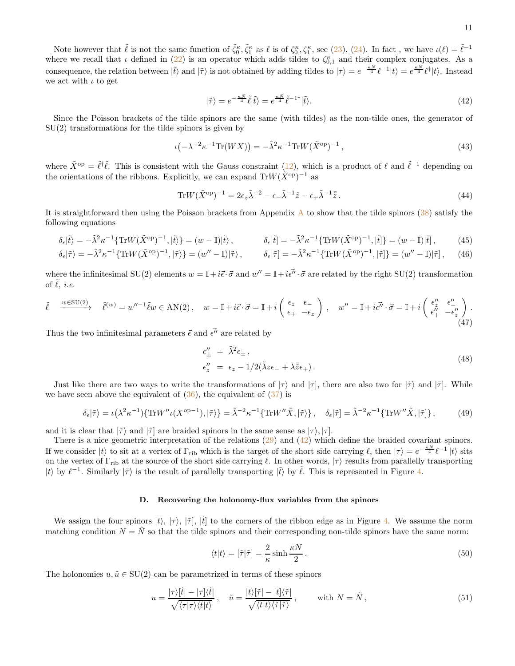Note however that  $\tilde{\ell}$  is not the same function of  $\tilde{\zeta}_0^{\kappa}$ ,  $\tilde{\zeta}_1^{\kappa}$  as  $\ell$  is of  $\zeta_0^{\kappa}$ ,  $\zeta_1^{\kappa}$ , see [\(23\)](#page-7-3), [\(24\)](#page-7-4). In fact, we have  $\iota(\ell) = \tilde{\ell}^{-1}$ where we recall that  $\iota$  defined in [\(22\)](#page-7-5) is an operator which adds tildes to  $\zeta_{0,1}^{\kappa}$  and their complex conjugates. As a consequence, the relation between  $|\tilde{t}\rangle$  and  $|\tilde{\tau}\rangle$  is not obtained by adding tildes to  $|\tau\rangle = e^{-\frac{\kappa N}{4}} \ell^{-1} |t\rangle = e^{\frac{\kappa N}{4}} \ell^{\dagger} |t\rangle$ . Instead we act with  $\iota$  to get

<span id="page-10-1"></span>
$$
|\tilde{\tau}\rangle = e^{-\frac{\kappa \tilde{N}}{4}}\tilde{\ell}|\tilde{t}\rangle = e^{\frac{\kappa \tilde{N}}{4}}\tilde{\ell}^{-1\dagger}|\tilde{t}\rangle. \tag{42}
$$

Since the Poisson brackets of the tilde spinors are the same (with tildes) as the non-tilde ones, the generator of  $SU(2)$  transformations for the tilde spinors is given by

$$
\iota\left(-\lambda^{-2}\kappa^{-1}\text{Tr}(WX)\right) = -\tilde{\lambda}^2\kappa^{-1}\text{Tr}W(\tilde{X}^{\text{op}})^{-1},\tag{43}
$$

where  $\tilde{X}^{\text{op}} = \tilde{\ell}^{\dagger} \tilde{\ell}$ . This is consistent with the Gauss constraint [\(12\)](#page-5-4), which is a product of  $\ell$  and  $\tilde{\ell}^{-1}$  depending on the orientations of the ribbons. Explicitly, we can expand  $\text{Tr}W(\tilde{X}^{\text{op}})^{-1}$  as

$$
\text{Tr}W(\tilde{X}^{\text{op}})^{-1} = 2\epsilon_z \tilde{\lambda}^{-2} - \epsilon_- \tilde{\lambda}^{-1} \tilde{z} - \epsilon_+ \tilde{\lambda}^{-1} \bar{\tilde{z}}.
$$
\n(44)

It is straightforward then using the Poisson brackets from [A](#page-33-1)ppendix  $\hat{A}$  to show that the tilde spinors [\(38\)](#page-9-2) satisfy the following equations

$$
\delta_{\epsilon}|\tilde{t}\rangle = -\tilde{\lambda}^{2}\kappa^{-1}\{\text{Tr}W(\tilde{X}^{\text{op}})^{-1},|\tilde{t}\rangle\} = (w-\mathbb{I})|\tilde{t}\rangle, \qquad \delta_{\epsilon}|\tilde{t}| = -\tilde{\lambda}^{2}\kappa^{-1}\{\text{Tr}W(\tilde{X}^{\text{op}})^{-1},|\tilde{t}|\} = (w-\mathbb{I})|\tilde{t}|, \qquad (45)
$$

$$
\delta_{\epsilon}|\tilde{\tau}\rangle = -\tilde{\lambda}^{2}\kappa^{-1}\{\text{Tr}W(\tilde{X}^{\text{op}})^{-1},|\tilde{\tau}\rangle\} = (w'' - \mathbb{I})|\tilde{\tau}\rangle, \qquad \delta_{\epsilon}|\tilde{\tau}\rangle = -\tilde{\lambda}^{2}\kappa^{-1}\{\text{Tr}W(\tilde{X}^{\text{op}})^{-1},|\tilde{\tau}|\} = (w'' - \mathbb{I})|\tilde{\tau}\rangle, \tag{46}
$$

where the infinitesimal SU(2) elements  $w = \mathbb{I} + i\vec{\epsilon} \cdot \vec{\sigma}$  and  $w'' = \mathbb{I} + i\vec{\epsilon''} \cdot \vec{\sigma}$  are related by the right SU(2) transformation of  $\ell$ , *i.e.* 

$$
\tilde{\ell} \xrightarrow{w \in \text{SU}(2)} \tilde{\ell}^{(w)} = w''^{-1} \tilde{\ell} w \in \text{AN}(2) \,, \quad w = \mathbb{I} + i\vec{\epsilon} \cdot \vec{\sigma} = \mathbb{I} + i \begin{pmatrix} \epsilon_z & \epsilon_{-} \\ \epsilon_{+} & -\epsilon_z \end{pmatrix} \,, \quad w'' = \mathbb{I} + i\vec{\epsilon'} \cdot \vec{\sigma} = \mathbb{I} + i \begin{pmatrix} \epsilon''_z & \epsilon''_{-} \\ \epsilon''_+ & -\epsilon''_z \end{pmatrix} \,.
$$
\n
$$
(47)
$$

Thus the two infinitesimal parameters  $\vec{\epsilon}$  and  $\vec{\epsilon''}$  are related by

$$
\epsilon_{\pm}'' = \tilde{\lambda}^2 \epsilon_{\pm} ,
$$
  
\n
$$
\epsilon_{z}'' = \epsilon_{z} - 1/2(\tilde{\lambda}z\epsilon_{-} + \lambda\bar{\tilde{z}}\epsilon_{+}).
$$
\n(48)

Just like there are two ways to write the transformations of  $|\tau\rangle$  and  $|\tau|$ , there are also two for  $|\tilde{\tau}\rangle$  and  $|\tilde{\tau}|$ . While we have seen above the equivalent of  $(36)$ , the equivalent of  $(37)$  is

$$
\delta_{\epsilon}|\tilde{\tau}\rangle = \iota\left(\lambda^2 \kappa^{-1}\right) \{ \text{Tr}W'' \iota(X^{\text{op}-1}), |\tilde{\tau}\rangle \} = \tilde{\lambda}^{-2} \kappa^{-1} \{ \text{Tr}W'' \tilde{X}, |\tilde{\tau}\rangle \}, \quad \delta_{\epsilon}|\tilde{\tau}\rangle = \tilde{\lambda}^{-2} \kappa^{-1} \{ \text{Tr}W'' \tilde{X}, |\tilde{\tau}\} \}, \tag{49}
$$

and it is clear that  $|\tilde{\tau}\rangle$  and  $|\tilde{\tau}|$  are braided spinors in the same sense as  $|\tau\rangle, |\tau|$ .

There is a nice geometric interpretation of the relations [\(29\)](#page-8-2) and [\(42\)](#page-10-1) which define the braided covariant spinors. If we consider  $|t\rangle$  to sit at a vertex of  $\Gamma_{\rm rib}$  which is the target of the short side carrying  $\ell$ , then  $|\tau\rangle = e^{-\frac{\kappa N}{4}}\ell^{-1}|t\rangle$  sits on the vertex of  $\Gamma_{\text{rib}}$  at the source of the short side carrying  $\ell$ . In other words,  $|\tau\rangle$  results from parallelly transporting |t\ by  $\ell^{-1}$ . Similarly  $|\tilde{\tau}\rangle$  is the result of parallelly transporting  $|\tilde{t}\rangle$  by  $\tilde{\ell}$ . This is represented in Figure [4.](#page-6-2)

## <span id="page-10-0"></span>D. Recovering the holonomy-flux variables from the spinors

We assign the four spinors  $|t\rangle$ ,  $|\tau\rangle$ ,  $|\tilde{t}|$ ,  $|\tilde{t}|$  to the corners of the ribbon edge as in Figure [4.](#page-6-2) We assume the norm matching condition  $N = \tilde{N}$  so that the tilde spinors and their corresponding non-tilde spinors have the same norm:

$$
\langle t|t\rangle = [\tilde{\tau}|\tilde{\tau}] = \frac{2}{\kappa} \sinh \frac{\kappa N}{2}.
$$
\n(50)

The holonomies  $u, \tilde{u} \in SU(2)$  can be parametrized in terms of these spinors

<span id="page-10-2"></span>
$$
u = \frac{|\tau\rangle[\tilde{t}| - |\tau]\langle\tilde{t}|}{\sqrt{\langle\tau|\tau\rangle\langle\tilde{t}|\tilde{t}\rangle}}, \quad \tilde{u} = \frac{|t\rangle[\tilde{\tau}| - |t]\langle\tilde{\tau}|}{\sqrt{\langle t|t\rangle\langle\tilde{\tau}|\tilde{\tau}\rangle}}, \qquad \text{with } N = \tilde{N}, \tag{51}
$$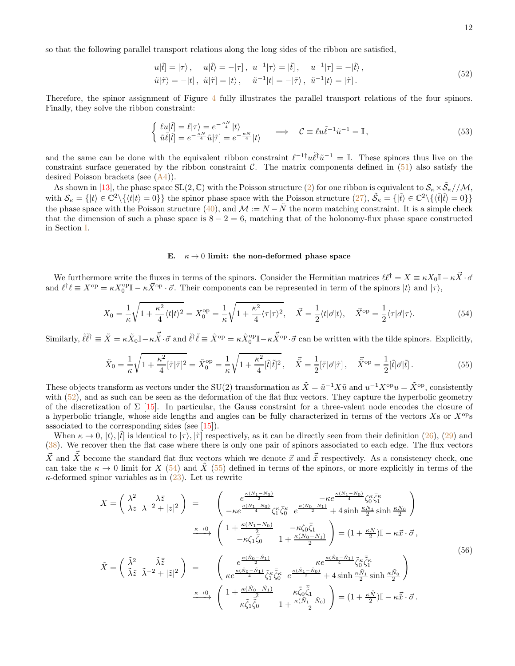so that the following parallel transport relations along the long sides of the ribbon are satisfied,

<span id="page-11-1"></span>
$$
u|\tilde{t}| = |\tau\rangle, \quad u|\tilde{t}\rangle = -|\tau|, \quad u^{-1}|\tau\rangle = |\tilde{t}|, \quad u^{-1}|\tau| = -|\tilde{t}\rangle,
$$
  
\n
$$
\tilde{u}|\tilde{\tau}\rangle = -|t|, \quad \tilde{u}|\tilde{\tau}| = |t\rangle, \quad \tilde{u}^{-1}|t| = -|\tilde{\tau}\rangle, \quad \tilde{u}^{-1}|t\rangle = |\tilde{\tau}|.
$$
\n(52)

Therefore, the spinor assignment of Figure [4](#page-6-2) fully illustrates the parallel transport relations of the four spinors. Finally, they solve the ribbon constraint:

$$
\begin{cases} \ell u|\tilde{t}| = \ell|\tau\rangle = e^{-\frac{\kappa N}{4}}|t\rangle \\ \tilde{u}\tilde{\ell}|\tilde{t}| = e^{-\frac{\kappa N}{4}}\tilde{u}|\tilde{\tau}| = e^{-\frac{\kappa N}{4}}|t\rangle \end{cases} \implies \mathcal{C} \equiv \ell u \tilde{\ell}^{-1} \tilde{u}^{-1} = \mathbb{I}, \tag{53}
$$

and the same can be done with the equivalent ribbon constraint  $\ell^{-1 \dagger} u \tilde{\ell}^{\dagger} \tilde{u}^{-1} = \mathbb{I}$ . These spinors thus live on the constraint surface generated by the ribbon constraint  $\mathcal{C}$ . The matrix components defined in [\(51\)](#page-10-2) also satisfy the desired Poisson brackets (see [\(A4\)](#page-34-1)).

As shown in [\[13\]](#page-36-10), the phase space  $SL(2,\mathbb{C})$  with the Poisson structure [\(2\)](#page-3-1) for one ribbon is equivalent to  $\mathcal{S}_\kappa \times \tilde{\mathcal{S}}_\kappa//\mathcal{M}$ , with  $S_{\kappa} = \{|t\rangle \in \mathbb{C}^2 \setminus \{ \langle t | t \rangle = 0 \} \}$  the spinor phase space with the Poisson structure  $(27)$ ,  $\tilde{S}_{\kappa} = \{|\tilde{t}\rangle \in \mathbb{C}^2 \setminus \{ \langle \tilde{t} | \tilde{t}\rangle = 0 \} \}$ the phase space with the Poisson structure [\(40\)](#page-9-4), and  $\mathcal{M} := N - \tilde{N}$  the norm matching constraint. It is a simple check that the dimension of such a phase space is  $8 - 2 = 6$ , matching that of the holonomy-flux phase space constructed in Section [I.](#page-2-0)

### <span id="page-11-0"></span>E.  $\kappa \to 0$  limit: the non-deformed phase space

We furthermore write the fluxes in terms of the spinors. Consider the Hermitian matrices  $\ell \ell^{\dagger} = X \equiv \kappa X_0 \mathbb{I} - \kappa \vec{X} \cdot \vec{\sigma}$ and  $\ell^{\dagger} \ell \equiv X^{\text{op}} = \kappa X_0^{\text{op}} \mathbb{I} - \kappa \vec{X}^{\text{op}} \cdot \vec{\sigma}$ . Their components can be represented in term of the spinors  $|t\rangle$  and  $|\tau\rangle$ ,

<span id="page-11-2"></span>
$$
X_0 = \frac{1}{\kappa} \sqrt{1 + \frac{\kappa^2}{4} \langle t | t \rangle^2} = X_0^{\text{op}} = \frac{1}{\kappa} \sqrt{1 + \frac{\kappa^2}{4} \langle \tau | \tau \rangle^2}, \quad \vec{X} = \frac{1}{2} \langle t | \vec{\sigma} | t \rangle, \quad \vec{X}^{\text{op}} = \frac{1}{2} \langle \tau | \vec{\sigma} | \tau \rangle. \tag{54}
$$

 $\text{Similarly, } \tilde{\ell} \tilde{\ell}^{\dagger} \equiv \tilde{X} = \kappa \tilde{X}_0 \mathbb{I} - \kappa \vec{\tilde{X}} \cdot \vec{\sigma} \text{ and } \tilde{\ell}^{\dagger} \tilde{\ell} \equiv \tilde{X}^{\text{op}} = \kappa \tilde{X}_0^{\text{op}} \mathbb{I} - \kappa \vec{\tilde{X}}^{\text{op}} \cdot \vec{\sigma} \text{ can be written with the tilde spinors. Explicitly,}$ 

<span id="page-11-3"></span>
$$
\tilde{X}_0 = \frac{1}{\kappa} \sqrt{1 + \frac{\kappa^2}{4} [\tilde{\tau}]\tilde{\tau}^2} = \tilde{X}_0^{\text{op}} = \frac{1}{\kappa} \sqrt{1 + \frac{\kappa^2}{4} [\tilde{t}]\tilde{t}^2}, \quad \vec{\tilde{X}} = \frac{1}{2} [\tilde{\tau}|\vec{\sigma}|\tilde{\tau}], \quad \vec{\tilde{X}}^{\text{op}} = \frac{1}{2} [\tilde{t}|\vec{\sigma}|\tilde{t}].
$$
\n(55)

These objects transform as vectors under the SU(2) transformation as  $\tilde{X} = \tilde{u}^{-1} X \tilde{u}$  and  $u^{-1} X^{\text{op}} u = \tilde{X}^{\text{op}}$ , consistently with [\(52\)](#page-11-1), and as such can be seen as the deformation of the flat flux vectors. They capture the hyperbolic geometry of the discretization of  $\Sigma$  [\[15\]](#page-36-12). In particular, the Gauss constraint for a three-valent node encodes the closure of a hyperbolic triangle, whose side lengths and angles can be fully characterized in terms of the vectors  $X$ s or  $X^{\text{op}}$ s associated to the corresponding sides (see [\[15\]](#page-36-12)).

When  $\kappa \to 0$ ,  $|t\rangle$ ,  $|\tilde{t}|$  is identical to  $|\tau\rangle$ ,  $|\tilde{\tau}|$  respectively, as it can be directly seen from their definition [\(26\)](#page-8-4), [\(29\)](#page-8-2) and [\(38\)](#page-9-2). We recover then the flat case where there is only one pair of spinors associated to each edge. The flux vectors  $\vec{X}$  and  $\vec{X}$  become the standard flat flux vectors which we denote  $\vec{x}$  and  $\vec{\tilde{x}}$  respectively. As a consistency check, one can take the  $\kappa \to 0$  limit for X [\(54\)](#page-11-2) and  $\tilde{X}$  [\(55\)](#page-11-3) defined in terms of the spinors, or more explicitly in terms of the  $\kappa$ -deformed spinor variables as in [\(23\)](#page-7-3). Let us rewrite

$$
X = \begin{pmatrix} \lambda^2 & \lambda \bar{z} \\ \lambda z & \lambda^{-2} + |z|^2 \end{pmatrix} = \begin{pmatrix} e^{\frac{\kappa(N_1 - N_0)}{2}} & -\kappa e^{\frac{\kappa(N_1 - N_0)}{4}} \zeta_0^{\kappa} \bar{\zeta}_1^{\kappa} \\ -\kappa e^{\frac{\kappa(N_1 - N_0)}{4}} \zeta_1^{\kappa} \bar{\zeta}_0^{\kappa} & e^{\frac{\kappa(N_0 - N_1)}{2}} + 4 \sinh \frac{\kappa N_1}{2} \sinh \frac{\kappa N_0}{2} \end{pmatrix}
$$

$$
\xrightarrow{\kappa \to 0} \begin{pmatrix} 1 + \frac{\kappa(N_1 - N_0)}{2} & -\kappa \zeta_0 \bar{\zeta}_1 \\ -\kappa \zeta_1 \bar{\zeta}_0 & 1 + \frac{\kappa(N_0 - N_1)}{2} \end{pmatrix} = (1 + \frac{\kappa N}{2})\mathbb{I} - \kappa \bar{x} \cdot \bar{\sigma},
$$

$$
\tilde{\lambda} = \begin{pmatrix} \tilde{\lambda}^2 & \tilde{\lambda} \bar{z} \\ \tilde{\lambda} \bar{z} & \tilde{\lambda}^{-2} + |\tilde{z}|^2 \end{pmatrix} = \begin{pmatrix} e^{\frac{\kappa(\bar{N}_0 - \bar{N}_1)}{4}} & \kappa e^{\frac{\kappa(\bar{N}_0 - \bar{N}_1)}{4}} \zeta_0^{\kappa} \bar{\zeta}_0^{\kappa} \\ \kappa e^{\frac{\kappa(\bar{N}_0 - \bar{N}_1)}{4}} \zeta_1^{\kappa} \bar{\zeta}_0^{\kappa} & e^{\frac{\kappa(\bar{N}_1 - \bar{N}_0)}{2}} + 4 \sinh \frac{\kappa \tilde{N}_1}{2} \sinh \frac{\kappa \tilde{N}_0}{2} \end{pmatrix}
$$
(56)
$$
\xrightarrow{\kappa \to 0} \begin{pmatrix} 1 + \frac{\kappa(\tilde{N}_0 - \tilde{N}_1)}{2} & \kappa \tilde{\zeta}_0 \bar{\zeta}_1 \\ \kappa \tilde{\zeta}_1 \bar{\zeta}_0^{\kappa} & 1 + \frac{\kappa(\tilde{N}_1 - \tilde{N}_0)}{2} \end{pmatrix} = (1
$$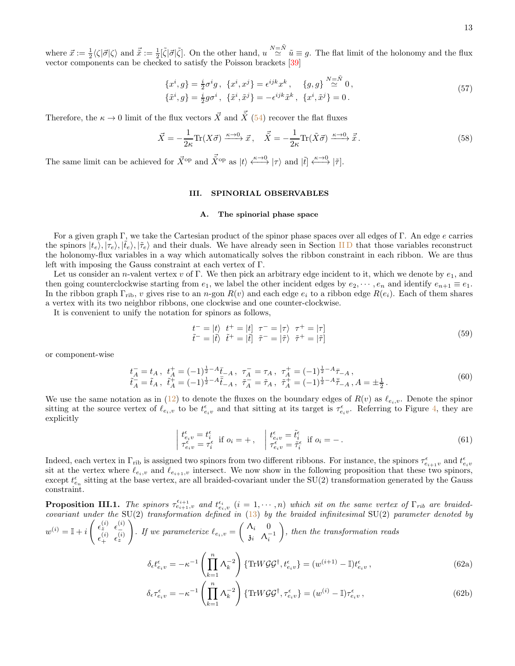where  $\vec{x} := \frac{1}{2} \langle \zeta | \vec{\sigma} | \zeta \rangle$  and  $\vec{\tilde{x}} := \frac{1}{2} [\tilde{\zeta} | \vec{\sigma} | \tilde{\zeta}]$ . On the other hand,  $u \stackrel{N=\tilde{N}}{\simeq} \tilde{u} \equiv g$ . The flat limit of the holonomy and the flux vector components can be checked to satisfy the Poisson brackets [\[39](#page-37-9)]

$$
\{x^{i}, g\} = \frac{i}{2}\sigma^{i}g, \ \{x^{i}, x^{j}\} = \epsilon^{ijk}x^{k}, \ \{g, g\} \stackrel{N=\tilde{N}}{\simeq} 0, \{\tilde{x}^{i}, g\} = \frac{i}{2}g\sigma^{i}, \ \{\tilde{x}^{i}, \tilde{x}^{j}\} = -\epsilon^{ijk}\tilde{x}^{k}, \ \{x^{i}, \tilde{x}^{j}\} = 0.
$$
\n(57)

Therefore, the  $\kappa \to 0$  limit of the flux vectors  $\vec{X}$  and  $\vec{X}$  [\(54\)](#page-11-2) recover the flat fluxes

$$
\vec{X} = -\frac{1}{2\kappa} \text{Tr}(X\vec{\sigma}) \xrightarrow{\kappa \to 0} \vec{x}, \quad \vec{\tilde{X}} = -\frac{1}{2\kappa} \text{Tr}(\tilde{X}\vec{\sigma}) \xrightarrow{\kappa \to 0} \vec{\tilde{x}}.
$$
\n(58)

The same limit can be achieved for  $\vec{X}^{\text{op}}$  and  $\vec{X}^{\text{op}}$  as  $|t\rangle \stackrel{\kappa \to 0}{\longleftrightarrow} |\tau\rangle$  and  $|\tilde{t}| \stackrel{\kappa \to 0}{\longleftrightarrow} |\tilde{\tau}|$ .

### <span id="page-12-0"></span>III. SPINORIAL OBSERVABLES

#### <span id="page-12-1"></span>A. The spinorial phase space

For a given graph Γ, we take the Cartesian product of the spinor phase spaces over all edges of Γ. An edge e carries the spinors  $|t_e\rangle, |\tau_e\rangle, |\tilde{t}_e\rangle$  and their duals. We have already seen in Section IID that those variables reconstruct the holonomy-flux variables in a way which automatically solves the ribbon constraint in each ribbon. We are thus left with imposing the Gauss constraint at each vertex of Γ.

Let us consider an n-valent vertex v of Γ. We then pick an arbitrary edge incident to it, which we denote by  $e_1$ , and then going counterclockwise starting from  $e_1$ , we label the other incident edges by  $e_2, \dots, e_n$  and identify  $e_{n+1} \equiv e_1$ . In the ribbon graph  $\Gamma_{\text{rib}}$ , v gives rise to an n-gon  $R(v)$  and each edge  $e_i$  to a ribbon edge  $R(e_i)$ . Each of them shares a vertex with its two neighbor ribbons, one clockwise and one counter-clockwise.

It is convenient to unify the notation for spinors as follows,

$$
\begin{aligned}\nt^- &= |t\rangle \quad t^+ = |t] \quad \tau^- = |\tau\rangle \quad \tau^+ = |\tau] \\
\tilde{t}^- &= |\tilde{t}\rangle \quad \tilde{t}^+ = |\tilde{t}|\quad \tilde{\tau}^- = |\tilde{\tau}\rangle \quad \tilde{\tau}^+ = |\tilde{\tau}|\n\end{aligned} \tag{59}
$$

or component-wise

$$
\begin{aligned}\n\overline{t_A} &= t_A, \ t_A^+ = (-1)^{\frac{1}{2} - A} \overline{t}_{-A}, \ \tau_A^- = \tau_A, \ \tau_A^+ = (-1)^{\frac{1}{2} - A} \overline{\tau}_{-A}, \\
\overline{t_A} &= \tilde{t}_A, \ \tilde{t}_A^+ = (-1)^{\frac{1}{2} - A} \overline{\tilde{t}}_{-A}, \ \tilde{\tau}_A^- = \tilde{\tau}_A, \ \tilde{\tau}_A^+ = (-1)^{\frac{1}{2} - A} \overline{\tilde{\tau}}_{-A}, A = \pm \frac{1}{2}.\n\end{aligned} \tag{60}
$$

We use the same notation as in  $(12)$  to denote the fluxes on the boundary edges of  $R(v)$  as  $\ell_{e_i,v}$ . Denote the spinor sitting at the source vertex of  $\ell_{e_i,v}$  to be  $t_{e_iv}^{\epsilon}$  and that sitting at its target is  $\tau_{e_iv}^{\epsilon}$ . Referring to Figure [4,](#page-6-2) they are explicitly

<span id="page-12-4"></span>
$$
\begin{cases}\n t_{e_i v}^{\epsilon} = t_i^{\epsilon} \\
 \tau_{e_i v}^{\epsilon} = \tau_i^{\epsilon}\n \end{cases}\n \text{if } o_i = + , \quad\n \begin{cases}\n t_{e_i v}^{\epsilon} = \tilde{t}_i^{\epsilon} \\
 \tau_{e_i v}^{\epsilon} = \tilde{\tau}_i^{\epsilon}\n \end{cases}\n \text{if } o_i = - .
$$
\n(61)

Indeed, each vertex in  $\Gamma_{\text{rib}}$  is assigned two spinors from two different ribbons. For instance, the spinors  $\tau_{e_{i+1}v}^{\epsilon}$  and  $t_{e_iv}^{\epsilon}$ sit at the vertex where  $\ell_{e_i,v}$  and  $\ell_{e_{i+1},v}$  intersect. We now show in the following proposition that these two spinors,  $\epsilon_{e_n}$  sitting at the base vertex, are all braided-covariant under the SU(2) transformation generated by the Gauss constraint.

<span id="page-12-3"></span>**Proposition III.1.** The spinors  $\tau_{e_{i+1},v}^{\epsilon_{i+1}}$  and  $t_{e_i,v}^{\epsilon_i}$   $(i = 1,\cdots,n)$  which sit on the same vertex of  $\Gamma_{rib}$  are braidedcovariant under the  $SU(2)$  transformation defined in  $(13)$  by the braided infinitesimal  $SU(2)$  parameter denoted by  $w^{(i)} = \mathbb{I} + i$  $\left( \begin{array}{cc} \epsilon_z^{(i)} & \epsilon_-^{(i)} \end{array} \right)$  $\epsilon_+^{(i)}\;\;\epsilon_z^{(i)}$ ! . If we parameterize  $\ell_{e_i,v} =$  $\bigwedge_i = 0$  $\mathfrak{z}_i$   $\Lambda_i^{-1}$  $\setminus$ , then the transformation reads

$$
\delta_{\epsilon}t_{e_iv}^{\epsilon} = -\kappa^{-1} \left(\prod_{k=1}^n \Lambda_k^{-2}\right) \left\{ \text{Tr}W\mathcal{G}\mathcal{G}^\dagger, t_{e_iv}^{\epsilon} \right\} = (w^{(i+1)} - \mathbb{I})t_{e_iv}^{\epsilon},\tag{62a}
$$

<span id="page-12-2"></span>
$$
\delta_{\epsilon}\tau_{e_iv}^{\epsilon} = -\kappa^{-1} \left(\prod_{k=1}^n \Lambda_k^{-2}\right) \{ \text{Tr} W \mathcal{G} \mathcal{G}^\dagger, \tau_{e_iv}^{\epsilon}\} = (w^{(i)} - \mathbb{I}) \tau_{e_iv}^{\epsilon}, \qquad (62b)
$$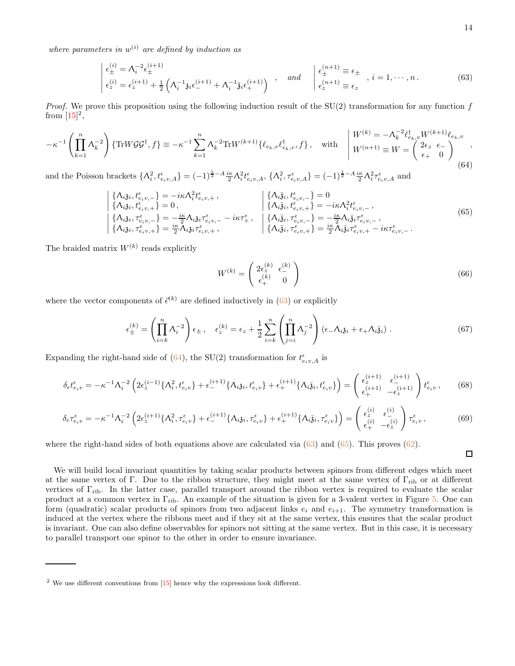where parameters in  $w^{(i)}$  are defined by induction as

<span id="page-13-0"></span>
$$
\begin{aligned}\n\begin{aligned}\n\epsilon_{\pm}^{(i)} &= \Lambda_i^{-2} \epsilon_{\pm}^{(i+1)} \\
\epsilon_z^{(i)} &= \epsilon_z^{(i+1)} + \frac{1}{2} \left( \Lambda_i^{-1} \mathfrak{z}_i \epsilon_{-}^{(i+1)} + \Lambda_i^{-1} \bar{\mathfrak{z}}_i \epsilon_{+}^{(i+1)} \right) \end{aligned},\n\quad \text{and} \quad\n\begin{aligned}\n\epsilon_{\pm}^{(n+1)} &= \epsilon_{\pm} \\
\epsilon_z^{(n+1)} &= \epsilon_z\n\end{aligned},\n\quad i = 1, \cdots, n. \tag{63}\n\end{aligned}
$$

*Proof.* We prove this proposition using the following induction result of the  $SU(2)$  transformation for any function f from  $[15]^2$ ,

<span id="page-13-1"></span>
$$
-\kappa^{-1}\left(\prod_{k=1}^{n}\Lambda_{k}^{-2}\right)\left\{\text{Tr}W\mathcal{G}\mathcal{G}^{\dagger},f\right\} \equiv -\kappa^{-1}\sum_{k=1}^{n}\Lambda_{k}^{-2}\text{Tr}W^{(k+1)}\{\ell_{e_{k},v}\ell_{e_{k},v}^{\dagger},f\},\quad\text{with}\quad\begin{aligned}W^{(k)} &= -\Lambda_{k}^{-2}\ell_{e_{k},v}^{\dagger}W^{(k+1)}\ell_{e_{k},v} \\W^{(n+1)} &\equiv W = \begin{pmatrix}2\epsilon_{z} & \epsilon_{-} \\ \epsilon_{+} & 0\end{pmatrix}^{(64)}\,,\end{aligned}
$$

and the Poisson brackets  $\{\Lambda_i^2, t_{e_i v,A}^{\epsilon}\} = (-1)^{\frac{1}{2}-A} \frac{i\kappa}{2} \Lambda_i^2 t_{e_i v,A}^{\epsilon}, \{\Lambda_i^2, \tau_{e_i v,A}^{\epsilon}\} = (-1)^{\frac{1}{2}-A} \frac{i\kappa}{2} \Lambda_i^2 \tau_{e_i v,A}^{\epsilon}$  and

<span id="page-13-2"></span>
$$
\begin{array}{l}\n\left\{\Lambda_{i\bar{\mathbf{j}}i}, t_{e_{i}v,-}^{e}\right\} = -i\kappa\Lambda_{i}^{2}t_{e_{i}v,+}^{e}, \n\left\{\Lambda_{i\bar{\mathbf{j}}i}, t_{e_{i}v,+}^{e}\right\} = 0, \n\left\{\Lambda_{i\bar{\mathbf{j}}i}, t_{e_{i}v,+}^{e}\right\} = -i\kappa\Lambda_{i}^{2}t_{e_{i}v,-}^{e}, \n\left\{\Lambda_{i\bar{\mathbf{j}}i}, \tau_{e_{i}v,-}^{e}\right\} = -i\kappa\Lambda_{i}^{2}t_{e_{i}v,-}^{e}, \n\left\{\Lambda_{i\bar{\mathbf{j}}i}, \tau_{e_{i}v,-}^{e}\right\} = -i\kappa\Lambda_{i}^{2}t_{e_{i}v,-}^{e}, \n\left\{\Lambda_{i\bar{\mathbf{j}}i}, \tau_{e_{i}v,-}^{e}\right\} = -i\kappa\Lambda_{i}^{2}t_{e_{i}v,-}^{e}, \n\left\{\Lambda_{i\bar{\mathbf{j}}i}, \tau_{e_{i}v,-}^{e}\right\} = -i\kappa\Lambda_{i}^{2}t_{e_{i}v,-}^{e}, \n\left\{\Lambda_{i\bar{\mathbf{j}}i}, \tau_{e_{i}v,+}^{e}\right\} = \frac{i\kappa}{2}\Lambda_{i\bar{\mathbf{j}}i}\tau_{e_{i}v,+}^{e} - i\kappa\tau_{e_{i}v,-}^{e}.
$$
\n(65)

The braided matrix  $W^{(k)}$  reads explicitly

$$
W^{(k)} = \begin{pmatrix} 2\epsilon_z^{(k)} & \epsilon_{\perp}^{(k)} \\ \epsilon_{\perp}^{(k)} & 0 \end{pmatrix}
$$
 (66)

where the vector components of  $\bar{\epsilon}^{(k)}$  are defined inductively in [\(63\)](#page-13-0) or explicitly

$$
\epsilon_{\pm}^{(k)} = \left(\prod_{i=k}^{n} \Lambda_i^{-2}\right) \epsilon_{\pm} , \quad \epsilon_{z}^{(k)} = \epsilon_{z} + \frac{1}{2} \sum_{i=k}^{n} \left(\prod_{j=i}^{n} \Lambda_j^{-2}\right) \left(\epsilon_{-} \Lambda_{i} \mathfrak{z}_{i} + \epsilon_{+} \Lambda_{i} \bar{\mathfrak{z}}_{i}\right) . \tag{67}
$$

Expanding the right-hand side of [\(64\)](#page-13-1), the SU(2) transformation for  $t_{e_i v,A}^{\epsilon}$  is

$$
\delta_{\epsilon}t_{e_iv}^{\epsilon} = -\kappa^{-1}\Lambda_i^{-2} \left(2\epsilon_z^{(i-1)}\{\Lambda_i^2, t_{e_iv}^{\epsilon}\} + \epsilon_-^{(i+1)}\{\Lambda_i\mathfrak{z}_i, t_{e_iv}^{\epsilon}\} + \epsilon_+^{(i+1)}\{\Lambda_i\bar{\mathfrak{z}}_i, t_{e_iv}^{\epsilon}\}\right) = \begin{pmatrix} \epsilon_z^{(i+1)} & \epsilon_{-}^{(i+1)} \\ \epsilon_+^{(i+1)} & -\epsilon_z^{(i+1)} \end{pmatrix} t_{e_iv}^{\epsilon},\tag{68}
$$

$$
\delta_{\epsilon}\tau_{e_iv}^{\epsilon} = -\kappa^{-1}\Lambda_i^{-2} \left(2\epsilon_z^{(i+1)}\{\Lambda_i^2, \tau_{e_iv}^{\epsilon}\} + \epsilon_-^{(i+1)}\{\Lambda_i\mathfrak{z}_i, \tau_{e_iv}^{\epsilon}\} + \epsilon_+^{(i+1)}\{\Lambda_i\bar{\mathfrak{z}}_i, \tau_{e_iv}^{\epsilon}\}\right) = \begin{pmatrix} \epsilon_z^{(i)} & \epsilon_{-}^{(i)} \\ \epsilon_+^{(i)} & -\epsilon_z^{(i)} \end{pmatrix} \tau_{e_iv}^{\epsilon},\tag{69}
$$

where the right-hand sides of both equations above are calculated via  $(63)$  and  $(65)$ . This proves  $(62)$ .

$$
\Box
$$

We will build local invariant quantities by taking scalar products between spinors from different edges which meet at the same vertex of Γ. Due to the ribbon structure, they might meet at the same vertex of  $\Gamma_{\text{rib}}$  or at different vertices of  $\Gamma_{\text{rib}}$ . In the latter case, parallel transport around the ribbon vertex is required to evaluate the scalar product at a common vertex in Γrib. An example of the situation is given for a 3-valent vertex in Figure [5.](#page-15-0) One can form (quadratic) scalar products of spinors from two adjacent links  $e_i$  and  $e_{i+1}$ . The symmetry transformation is induced at the vertex where the ribbons meet and if they sit at the same vertex, this ensures that the scalar product is invariant. One can also define observables for spinors not sitting at the same vertex. But in this case, it is necessary to parallel transport one spinor to the other in order to ensure invariance.

 $2$  We use different conventions from  $[15]$  hence why the expressions look different.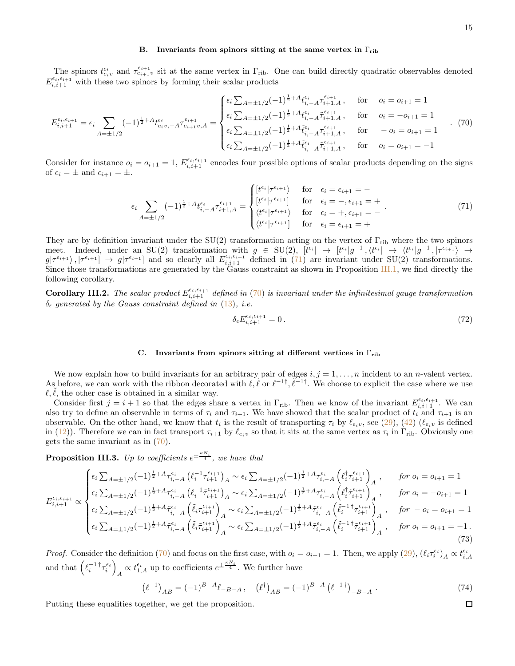### <span id="page-14-0"></span>B. Invariants from spinors sitting at the same vertex in  $\Gamma_{\text{rib}}$

The spinors  $t_{e_i v}^{\epsilon_i}$  and  $\tau_{e_{i+1}v}^{\epsilon_{i+1}}$  sit at the same vertex in  $\Gamma_{\text{rib}}$ . One can build directly quadratic observables denoted  $E_{i,i+1}^{\epsilon_i,\epsilon_{i+1}}$  with these two spinors by forming their scalar products

<span id="page-14-3"></span>
$$
E_{i,i+1}^{\epsilon_i,\epsilon_{i+1}} = \epsilon_i \sum_{A=\pm 1/2} (-1)^{\frac{1}{2}+A} t_{e_i v, -A}^{\epsilon_i} \tau_{e_{i+1} v, A}^{\epsilon_{i+1}} = \begin{cases} \epsilon_i \sum_{A=\pm 1/2} (-1)^{\frac{1}{2}+A} t_{i, -A}^{\epsilon_i} \tau_{i+1, A}^{\epsilon_{i+1}}, & \text{for} \quad o_i = o_{i+1} = 1\\ \epsilon_i \sum_{A=\pm 1/2} (-1)^{\frac{1}{2}+A} t_{i, -A}^{\epsilon_i} \tau_{i+1, A}^{\epsilon_{i+1}}, & \text{for} \quad o_i = -o_{i+1} = 1\\ \epsilon_i \sum_{A=\pm 1/2} (-1)^{\frac{1}{2}+A} \tilde{t}_{i, -A}^{\epsilon_i} \tau_{i+1, A}^{\epsilon_{i+1}}, & \text{for} \quad -o_i = o_{i+1} = 1\\ \epsilon_i \sum_{A=\pm 1/2} (-1)^{\frac{1}{2}+A} \tilde{t}_{i, -A}^{\epsilon_i} \tilde{t}_{i+1, A}^{\epsilon_{i+1}}, & \text{for} \quad o_i = o_{i+1} = -1 \end{cases} \tag{70}
$$

Consider for instance  $o_i = o_{i+1} = 1$ ,  $E_{i,i+1}^{\epsilon_i,\epsilon_{i+1}}$  encodes four possible options of scalar products depending on the signs of  $\epsilon_i = \pm$  and  $\epsilon_{i+1} = \pm$ .

<span id="page-14-2"></span>
$$
\epsilon_{i} \sum_{A=\pm 1/2} (-1)^{\frac{1}{2}+A} t_{i,-A}^{\epsilon_{i}} \tau_{i+1,A}^{\epsilon_{i+1}} = \begin{cases} [t^{\epsilon_{i}} | \tau^{\epsilon_{i+1}} \rangle & \text{for } \epsilon_{i} = \epsilon_{i+1} = -\\ [t^{\epsilon_{i}} | \tau^{\epsilon_{i+1}}] & \text{for } \epsilon_{i} = -, \epsilon_{i+1} = +\\ \langle t^{\epsilon_{i}} | \tau^{\epsilon_{i+1}} \rangle & \text{for } \epsilon_{i} = +, \epsilon_{i+1} = -\\ \langle t^{\epsilon_{i}} | \tau^{\epsilon_{i+1}}] & \text{for } \epsilon_{i} = \epsilon_{i+1} = + \end{cases} (71)
$$

They are by definition invariant under the SU(2) transformation acting on the vertex of  $\Gamma_{\rm rib}$  where the two spinors meet. Indeed, under an SU(2) transformation with  $g \in SU(2)$ ,  $[t^{\epsilon_i}] \rightarrow [t^{\epsilon_i}]g^{-1}, \langle t^{\epsilon_i}] \rightarrow \langle t^{\epsilon_i} | g^{-1}, | \tau^{\epsilon_{i+1}} \rangle \rightarrow$  $g|\tau^{\epsilon_{i+1}}\rangle, |\tau^{\epsilon_{i+1}}| \rightarrow g|\tau^{\epsilon_{i+1}}|$  and so clearly all  $E_{i,i+1}^{\epsilon_{i},\epsilon_{i+1}}$  defined in [\(71\)](#page-14-2) are invariant under SU(2) transformations. Since those transformations are generated by the Gauss constraint as shown in Proposition [III.1,](#page-12-3) we find directly the following corollary.

**Corollary III.2.** The scalar product  $E_{i,i+1}^{\epsilon_i,\epsilon_{i+1}}$  defined in [\(70\)](#page-14-3) is invariant under the infinitesimal gauge transformation  $\delta_{\epsilon}$  generated by the Gauss constraint defined in [\(13\)](#page-5-2), i.e.

$$
\delta_{\epsilon} E_{i,i+1}^{\epsilon_i,\epsilon_{i+1}} = 0. \tag{72}
$$

#### <span id="page-14-1"></span>C. Invariants from spinors sitting at different vertices in  $\Gamma_{\text{rib}}$

We now explain how to build invariants for an arbitrary pair of edges  $i, j = 1, ..., n$  incident to an *n*-valent vertex. As before, we can work with the ribbon decorated with  $\ell, \ell \text{ or } \ell^{-1}$ ,  $\ell^{-1}$ . We choose to explicit the case where we use  $\ell, \ell$ , the other case is obtained in a similar way.

Consider first  $j = i + 1$  so that the edges share a vertex in  $\Gamma_{\text{rib}}$ . Then we know of the invariant  $E_{i,i+1}^{\epsilon_i,\epsilon_{i+1}}$ . We can also try to define an observable in terms of  $\tau_i$  and  $\tau_{i+1}$ . We have showed that the scalar product of  $t_i$  and  $\tau_{i+1}$  is an observable. On the other hand, we know that  $t_i$  is the result of transporting  $\tau_i$  by  $\ell_{e_i v}$ , see [\(29\)](#page-8-2), [\(42\)](#page-10-1) ( $\ell_{e_i v}$  is defined in [\(12\)](#page-5-4)). Therefore we can in fact transport  $\tau_{i+1}$  by  $\ell_{e_i v}$  so that it sits at the same vertex as  $\tau_i$  in  $\Gamma_{\rm rib}$ . Obviously one gets the same invariant as in [\(70\)](#page-14-3).

**Proposition III.3.** Up to coefficients  $e^{\pm \frac{\kappa N_i}{4}}$ , we have that

<span id="page-14-4"></span>
$$
E_{i,i+1}^{\epsilon_{i},\epsilon_{i+1}} \propto \begin{cases} \epsilon_{i} \sum_{A=\pm 1/2} (-1)^{\frac{1}{2}+A} \tau_{i,-A}^{\epsilon_{i}} \left( \ell_{i}^{-1} \tau_{i+1}^{\epsilon_{i+1}} \right)_{A} \sim \epsilon_{i} \sum_{A=\pm 1/2} (-1)^{\frac{1}{2}+A} \tau_{i,-A}^{\epsilon_{i}} \left( \ell_{i}^{\dagger} \tau_{i+1}^{\epsilon_{i+1}} \right)_{A}, & \text{for } o_{i} = o_{i+1} = 1 \\ \epsilon_{i} \sum_{A=\pm 1/2} (-1)^{\frac{1}{2}+A} \tau_{i,-A}^{\epsilon_{i}} \left( \ell_{i}^{-1} \tau_{i+1}^{\epsilon_{i+1}} \right)_{A} \sim \epsilon_{i} \sum_{A=\pm 1/2} (-1)^{\frac{1}{2}+A} \tau_{i,-A}^{\epsilon_{i}} \left( \ell_{i}^{\dagger} \tau_{i+1}^{\epsilon_{i+1}} \right)_{A}, & \text{for } o_{i} = -o_{i+1} = 1 \\ \epsilon_{i} \sum_{A=\pm 1/2} (-1)^{\frac{1}{2}+A} \tilde{\tau}_{i,-A}^{\epsilon_{i}} \left( \tilde{\ell}_{i} \tau_{i+1}^{\epsilon_{i+1}} \right)_{A} \sim \epsilon_{i} \sum_{A=\pm 1/2} (-1)^{\frac{1}{2}+A} \tilde{\tau}_{i,-A}^{\epsilon_{i}} \left( \tilde{\ell}_{i}^{-1} \tau_{i+1}^{\epsilon_{i+1}} \right)_{A}, & \text{for } -o_{i} = o_{i+1} = 1 \\ \epsilon_{i} \sum_{A=\pm 1/2} (-1)^{\frac{1}{2}+A} \tilde{\tau}_{i,-A}^{\epsilon_{i}} \left( \tilde{\ell}_{i} \tilde{\tau}_{i+1}^{\epsilon_{i+1}} \right)_{A} \sim \epsilon_{i} \sum_{A=\pm 1/2} (-1)^{\frac{1}{2}+A} \tilde{\tau}_{i,-A}^{\epsilon_{i}} \left( \tilde{\ell}_{i}^{-1} \tilde{\tau}_{i+1}^{\epsilon_{i+1}} \right)_{A}, & \text{for } o_{i} = o_{i+1} = -1. \end{cases} \tag{73}
$$

*Proof.* Consider the definition [\(70\)](#page-14-3) and focus on the first case, with  $o_i = o_{i+1} = 1$ . Then, we apply [\(29\)](#page-8-2),  $(\ell_i \tau_i^{\epsilon_i})_A \propto t_{i,A}^{\epsilon_i}$ and that  $\left(\ell_i^{-1\;\dagger}\tau_i^{\epsilon_i}\right)$  $A \propto t_{1,A}^{\epsilon_i}$  up to coefficients  $e^{\pm \frac{\kappa N_i}{4}}$ . We further have

$$
\left(\ell^{-1}\right)_{AB} = (-1)^{B-A}\ell_{-B-A}, \quad \left(\ell^{\dagger}\right)_{AB} = (-1)^{B-A}\left(\ell^{-1\dagger}\right)_{-B-A}.
$$
\n(74)

\ngether, we get the proposition.

Putting these equalities together, we get the proposition.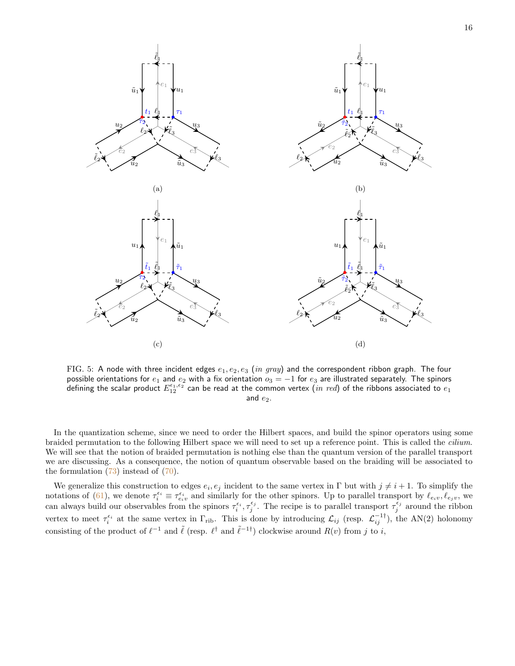<span id="page-15-0"></span>

FIG. 5: A node with three incident edges  $e_1, e_2, e_3$  (in gray) and the correspondent ribbon graph. The four possible orientations for  $e_1$  and  $e_2$  with a fix orientation  $o_3=-1$  for  $e_3$  are illustrated separately. The spinors defining the scalar product  $E_{12}^{\epsilon_1,\epsilon_2}$  can be read at the common vertex  $(in\ red)$  of the ribbons associated to  $e_1$ and  $e_2$ .

In the quantization scheme, since we need to order the Hilbert spaces, and build the spinor operators using some braided permutation to the following Hilbert space we will need to set up a reference point. This is called the cilium. We will see that the notion of braided permutation is nothing else than the quantum version of the parallel transport we are discussing. As a consequence, the notion of quantum observable based on the braiding will be associated to the formulation  $(73)$  instead of  $(70)$ .

We generalize this construction to edges  $e_i, e_j$  incident to the same vertex in  $\Gamma$  but with  $j \neq i + 1$ . To simplify the notations of [\(61\)](#page-12-4), we denote  $\tau_i^{\epsilon_i} \equiv \tau_{e_i v}^{\epsilon_i}$  and similarly for the other spinors. Up to parallel transport by  $\ell_{e_i v}, \ell_{e_j v}$ , we can always build our observables from the spinors  $\tau_i^{\epsilon_i}, \tau_j^{\epsilon_j}$ . The recipe is to parallel transport  $\tau_j^{\epsilon_j}$  around the ribbon vertex to meet  $\tau_i^{\epsilon_i}$  at the same vertex in  $\Gamma_{\text{rib}}$ . This is done by introducing  $\mathcal{L}_{ij}$  (resp.  $\mathcal{L}_{ij}^{-1\dagger}$ ), the AN(2) holonomy consisting of the product of  $\ell^{-1}$  and  $\tilde{\ell}$  (resp.  $\ell^{\dagger}$  and  $\tilde{\ell}^{-1\dagger}$ ) clockwise around  $R(v)$  from j to i,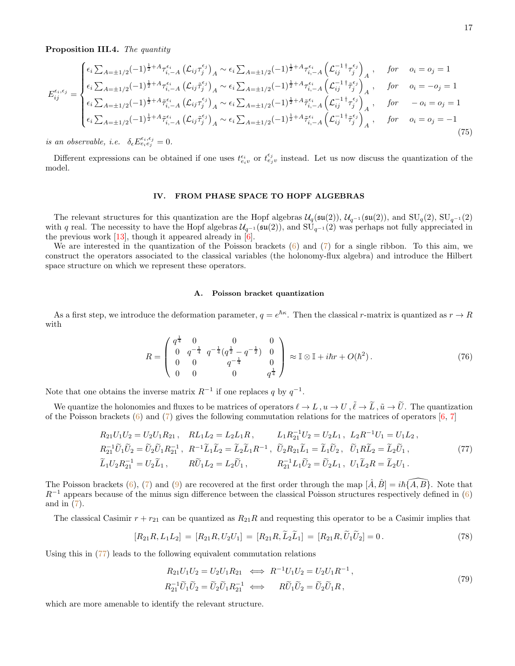Proposition III.4. The quantity

<span id="page-16-4"></span>
$$
E_{ij}^{\epsilon_{i},\epsilon_{j}} = \begin{cases} \epsilon_{i} \sum_{A=\pm 1/2} (-1)^{\frac{1}{2}+A} \tau_{i,-A}^{\epsilon_{i}} \left( \mathcal{L}_{ij} \tau_{j}^{\epsilon_{j}} \right)_{A} \sim \epsilon_{i} \sum_{A=\pm 1/2} (-1)^{\frac{1}{2}+A} \tau_{i,-A}^{\epsilon_{i}} \left( \mathcal{L}_{ij}^{-1} \tau_{j}^{\epsilon_{j}} \right)_{A}, & \text{for} \quad o_{i} = o_{j} = 1 \\ \epsilon_{i} \sum_{A=\pm 1/2} (-1)^{\frac{1}{2}+A} \tau_{i,-A}^{\epsilon_{i}} \left( \mathcal{L}_{ij} \tilde{\tau}_{j}^{\epsilon_{j}} \right)_{A} \sim \epsilon_{i} \sum_{A=\pm 1/2} (-1)^{\frac{1}{2}+A} \tau_{i,-A}^{\epsilon_{i}} \left( \mathcal{L}_{ij}^{-1} \tilde{\tau}_{j}^{\epsilon_{j}} \right)_{A}, & \text{for} \quad o_{i} = -o_{j} = 1 \\ \epsilon_{i} \sum_{A=\pm 1/2} (-1)^{\frac{1}{2}+A} \tilde{\tau}_{i,-A}^{\epsilon_{i}} \left( \mathcal{L}_{ij} \tau_{j}^{\epsilon_{j}} \right)_{A} \sim \epsilon_{i} \sum_{A=\pm 1/2} (-1)^{\frac{1}{2}+A} \tilde{\tau}_{i,-A}^{\epsilon_{i}} \left( \mathcal{L}_{ij}^{-1} \tilde{\tau}_{j}^{\epsilon_{j}} \right)_{A}, & \text{for} \quad -o_{i} = o_{j} = 1 \\ \epsilon_{i} \sum_{A=\pm 1/2} (-1)^{\frac{1}{2}+A} \tilde{\tau}_{i,-A}^{\epsilon_{i}} \left( \mathcal{L}_{ij} \tilde{\tau}_{j}^{\epsilon_{j}} \right)_{A} \sim \epsilon_{i} \sum_{A=\pm 1/2} (-1)^{\frac{1}{2}+A} \tilde{\tau}_{i,-A}^{\epsilon_{i}} \left( \mathcal{L}_{ij}^{-1} \tilde{\tau}_{j}^{\epsilon_{j}} \right)_{A}, & \text{for} \quad o_{i} = o_{j} = -1 \\ (75) \end{cases}
$$

is an observable, i.e.  $\delta_{\epsilon} E_{e_i e_j}^{\epsilon_i, \epsilon_j} = 0$ .

Different expressions can be obtained if one uses  $t_{e_i v}^{\epsilon_i}$  or  $t_{e_j v}^{\epsilon_j}$  instead. Let us now discuss the quantization of the model.

### <span id="page-16-0"></span>IV. FROM PHASE SPACE TO HOPF ALGEBRAS

The relevant structures for this quantization are the Hopf algebras  $\mathcal{U}_q(\mathfrak{su}(2))$ ,  $\mathcal{U}_{q^{-1}}(\mathfrak{su}(2))$ , and  $\text{SU}_q(2)$ ,  $\text{SU}_{q^{-1}}(2)$ with q real. The necessity to have the Hopf algebras  $U_{q^{-1}}(\mathfrak{su}(2))$ , and  $SU_{q^{-1}}(2)$  was perhaps not fully appreciated in the previous work  $[13]$ , though it appeared already in  $[6]$ .

We are interested in the quantization of the Poisson brackets [\(6\)](#page-3-4) and [\(7\)](#page-3-5) for a single ribbon. To this aim, we construct the operators associated to the classical variables (the holonomy-flux algebra) and introduce the Hilbert space structure on which we represent these operators.

#### <span id="page-16-2"></span><span id="page-16-1"></span>A. Poisson bracket quantization

As a first step, we introduce the deformation parameter,  $q = e^{\hbar \kappa}$ . Then the classical r-matrix is quantized as  $r \to R$ with

$$
R = \begin{pmatrix} q^{\frac{1}{4}} & 0 & 0 & 0 \\ 0 & q^{-\frac{1}{4}} & q^{-\frac{1}{4}}(q^{\frac{1}{2}} - q^{-\frac{1}{2}}) & 0 \\ 0 & 0 & q^{-\frac{1}{4}} & 0 \\ 0 & 0 & 0 & q^{\frac{1}{4}} \end{pmatrix} \approx \mathbb{I} \otimes \mathbb{I} + i\hbar r + O(\hbar^2). \tag{76}
$$

Note that one obtains the inverse matrix  $R^{-1}$  if one replaces q by  $q^{-1}$ .

We quantize the holonomies and fluxes to be matrices of operators  $\ell \to L$ ,  $u \to U$ ,  $\tilde{\ell} \to \tilde{L}$ ,  $\tilde{u} \to \tilde{U}$ . The quantization of the Poisson brackets  $(6)$  and  $(7)$  $(7)$  $(7)$  gives the following commutation relations for the matrices of operators  $[6, 7]$ 

$$
R_{21}U_1U_2 = U_2U_1R_{21}, \quad RL_1L_2 = L_2L_1R, \quad L_1R_{21}^{-1}U_2 = U_2L_1, \quad L_2R^{-1}U_1 = U_1L_2,
$$
  
\n
$$
R_{21}^{-1}\tilde{U}_1\tilde{U}_2 = \tilde{U}_2\tilde{U}_1R_{21}^{-1}, \quad R^{-1}\tilde{L}_1\tilde{L}_2 = \tilde{L}_2\tilde{L}_1R^{-1}, \quad \tilde{U}_2R_{21}\tilde{L}_1 = \tilde{L}_1\tilde{U}_2, \quad \tilde{U}_1R\tilde{L}_2 = \tilde{L}_2\tilde{U}_1,
$$
  
\n
$$
\tilde{L}_1U_2R_{21}^{-1} = U_2\tilde{L}_1, \quad R\tilde{U}_1L_2 = L_2\tilde{U}_1, \quad R_{21}^{-1}L_1\tilde{U}_2 = \tilde{U}_2L_1, \quad U_1\tilde{L}_2R = \tilde{L}_2U_1.
$$
\n
$$
(77)
$$

The Poisson brackets [\(6\)](#page-3-4), [\(7\)](#page-3-5) and [\(9\)](#page-4-3) are recovered at the first order through the map  $[\hat{A}, \hat{B}] = i\hbar \{\hat{A}, \hat{B}\}$ . Note that  $R^{-1}$  appears because of the minus sign difference between the classical Poisson structures respectively defined in [\(6\)](#page-3-4) and in [\(7\)](#page-3-5).

The classical Casimir  $r + r_{21}$  can be quantized as  $R_{21}R$  and requesting this operator to be a Casimir implies that

$$
[R_{21}R, L_1L_2] = [R_{21}R, U_2U_1] = [R_{21}R, L_2L_1] = [R_{21}R, U_1U_2] = 0.
$$
\n(78)

Using this in [\(77\)](#page-16-2) leads to the following equivalent commutation relations

<span id="page-16-3"></span>
$$
R_{21}U_1U_2 = U_2U_1R_{21} \iff R^{-1}U_1U_2 = U_2U_1R^{-1}, R_{21}^{-1}\tilde{U}_1\tilde{U}_2 = \tilde{U}_2\tilde{U}_1R_{21}^{-1} \iff R\tilde{U}_1\tilde{U}_2 = \tilde{U}_2\tilde{U}_1R,
$$
\n(79)

which are more amenable to identify the relevant structure.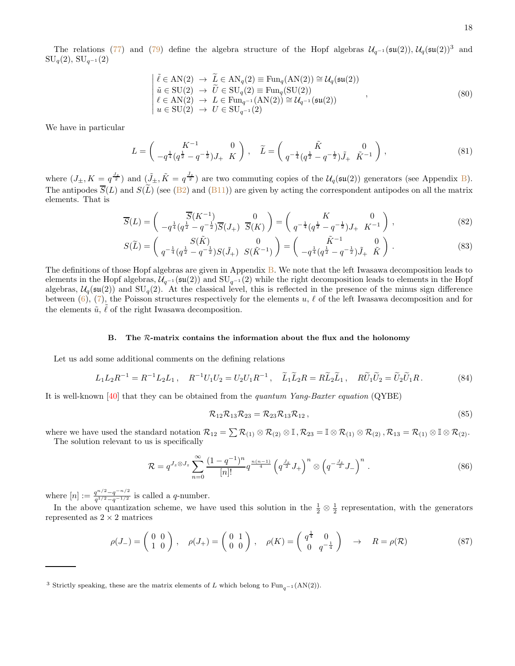The relations [\(77\)](#page-16-2) and [\(79\)](#page-16-3) define the algebra structure of the Hopf algebras  $\mathcal{U}_{q^{-1}}(\mathfrak{su}(2)), \mathcal{U}_q(\mathfrak{su}(2))^3$  and  $\mathrm{SU}_q(2), \, \mathrm{SU}_{q^{-1}}(2)$ 

$$
\begin{cases}\n\tilde{\ell} \in \text{AN}(2) \to \tilde{L} \in \text{AN}_q(2) \equiv \text{Fun}_q(\text{AN}(2)) \cong \mathcal{U}_q(\mathfrak{su}(2)) \\
\tilde{u} \in \text{SU}(2) \to \tilde{U} \in \text{SU}_q(2) \equiv \text{Fun}_q(\text{SU}(2)) \\
\ell \in \text{AN}(2) \to L \in \text{Fun}_{q^{-1}}(\text{AN}(2)) \cong \mathcal{U}_{q^{-1}}(\mathfrak{su}(2)) \\
u \in \text{SU}(2) \to U \in \text{SU}_{q^{-1}}(2)\n\end{cases},
$$
\n(80)

We have in particular

<span id="page-17-3"></span>
$$
L = \begin{pmatrix} K^{-1} & 0 \\ -q^{\frac{1}{4}}(q^{\frac{1}{2}} - q^{-\frac{1}{2}})J_{+} & K \end{pmatrix}, \quad \widetilde{L} = \begin{pmatrix} \widetilde{K} & 0 \\ q^{-\frac{1}{4}}(q^{\frac{1}{2}} - q^{-\frac{1}{2}})J_{+} & \widetilde{K}^{-1} \end{pmatrix},
$$
\n(81)

where  $(J_{\pm}, K = q^{\frac{J_z}{2}})$  and  $(\tilde{J}_{\pm}, \tilde{K} = q^{\frac{\tilde{J}_z}{2}})$  are two commuting copies of the  $\mathcal{U}_q(\mathfrak{su}(2))$  generators (see Appendix [B\)](#page-34-0). The antipodes  $\overline{S}(L)$  and  $S(\tilde{L})$  (see [\(B2\)](#page-34-2) and [\(B11\)](#page-35-0)) are given by acting the correspondent antipodes on all the matrix elements. That is

$$
\overline{S}(L) = \begin{pmatrix} \overline{S}(K^{-1}) & 0 \\ -q^{\frac{1}{4}}(q^{\frac{1}{2}} - q^{-\frac{1}{2}}) \overline{S}(J_+) & \overline{S}(K) \end{pmatrix} = \begin{pmatrix} K & 0 \\ q^{-\frac{1}{4}}(q^{\frac{1}{2}} - q^{-\frac{1}{2}})J_+ & K^{-1} \end{pmatrix},
$$
\n(82)

$$
S(\widetilde{L}) = \begin{pmatrix} S(\widetilde{K}) & 0 \\ q^{-\frac{1}{4}}(q^{\frac{1}{2}} - q^{-\frac{1}{2}})S(\widetilde{J}_{+}) & S(\widetilde{K}^{-1}) \end{pmatrix} = \begin{pmatrix} \widetilde{K}^{-1} & 0 \\ -q^{\frac{1}{4}}(q^{\frac{1}{2}} - q^{-\frac{1}{2}})\widetilde{J}_{+} & \widetilde{K} \end{pmatrix}.
$$
 (83)

The definitions of those Hopf algebras are given in Appendix [B.](#page-34-0) We note that the left Iwasawa decomposition leads to elements in the Hopf algebras,  $U_{q^{-1}}(\mathfrak{su}(2))$  and  $SU_{q^{-1}}(2)$  while the right decomposition leads to elements in the Hopf algebras,  $U_q(\mathfrak{su}(2))$  and  $SU_q(2)$ . At the classical level, this is reflected in the presence of the minus sign difference between [\(6\)](#page-3-4), [\(7\)](#page-3-5), the Poisson structures respectively for the elements u,  $\ell$  of the left Iwasawa decomposition and for the elements  $\tilde{u}$ ,  $\tilde{\ell}$  of the right Iwasawa decomposition.

### <span id="page-17-0"></span>B. The  $R$ -matrix contains the information about the flux and the holonomy

Let us add some additional comments on the defining relations

<span id="page-17-1"></span>
$$
L_1 L_2 R^{-1} = R^{-1} L_2 L_1, \quad R^{-1} U_1 U_2 = U_2 U_1 R^{-1}, \quad \widetilde{L}_1 \widetilde{L}_2 R = R \widetilde{L}_2 \widetilde{L}_1, \quad R \widetilde{U}_1 \widetilde{U}_2 = \widetilde{U}_2 \widetilde{U}_1 R. \tag{84}
$$

It is well-known [\[40](#page-37-10)] that they can be obtained from the quantum Yang-Baxter equation (QYBE)

<span id="page-17-2"></span>
$$
\mathcal{R}_{12}\mathcal{R}_{13}\mathcal{R}_{23} = \mathcal{R}_{23}\mathcal{R}_{13}\mathcal{R}_{12} \,, \tag{85}
$$

where we have used the standard notation  $\mathcal{R}_{12} = \sum \mathcal{R}_{(1)} \otimes \mathcal{R}_{(2)} \otimes \mathbb{I}$ ,  $\mathcal{R}_{23} = \mathbb{I} \otimes \mathcal{R}_{(1)} \otimes \mathcal{R}_{(2)}$ ,  $\mathcal{R}_{13} = \mathcal{R}_{(1)} \otimes \mathbb{I} \otimes \mathcal{R}_{(2)}$ . The solution relevant to us is specifically

$$
\mathcal{R} = q^{J_z \otimes J_z} \sum_{n=0}^{\infty} \frac{(1 - q^{-1})^n}{[n]!} q^{\frac{n(n-1)}{4}} \left( q^{\frac{J_z}{2}} J_+ \right)^n \otimes \left( q^{-\frac{J_z}{2}} J_- \right)^n . \tag{86}
$$

where  $[n] := \frac{q^{n/2} - q^{-n/2}}{q^{1/2} - q^{-1/2}}$  $\frac{q^{-1}-q^{-1}}{q^{1/2}-q^{-1/2}}$  is called a q-number.

In the above quantization scheme, we have used this solution in the  $\frac{1}{2} \otimes \frac{1}{2}$  representation, with the generators represented as  $2\times 2$  matrices

$$
\rho(J_-) = \begin{pmatrix} 0 & 0 \\ 1 & 0 \end{pmatrix}, \quad \rho(J_+) = \begin{pmatrix} 0 & 1 \\ 0 & 0 \end{pmatrix}, \quad \rho(K) = \begin{pmatrix} q^{\frac{1}{4}} & 0 \\ 0 & q^{-\frac{1}{4}} \end{pmatrix} \rightarrow R = \rho(\mathcal{R})
$$
\n(87)

<sup>&</sup>lt;sup>3</sup> Strictly speaking, these are the matrix elements of L which belong to Fun<sub> $a$ </sub>−1 (AN(2)).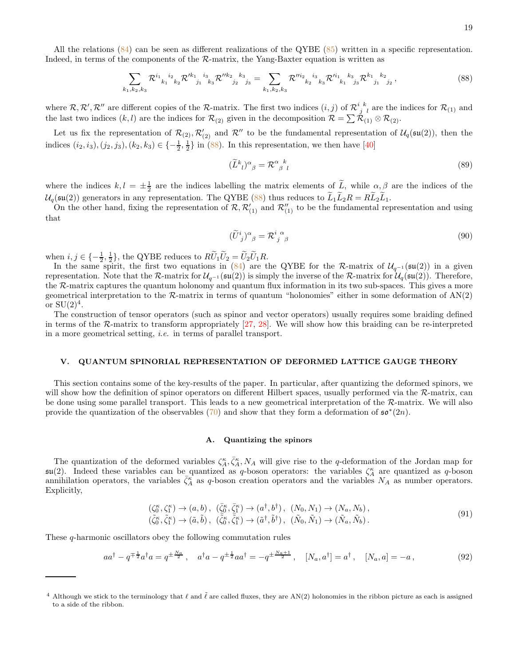All the relations [\(84\)](#page-17-1) can be seen as different realizations of the QYBE [\(85\)](#page-17-2) written in a specific representation. Indeed, in terms of the components of the R-matrix, the Yang-Baxter equation is written as

<span id="page-18-2"></span>
$$
\sum_{k_1,k_2,k_3} \mathcal{R}^{i_1}{}_{k_1}{}^{i_2}{}_{k_2} \mathcal{R}'^{k_1}{}_{j_1}{}^{i_3}{}_{k_3} \mathcal{R}''^{k_2}{}_{j_2}{}^{k_3} = \sum_{k_1,k_2,k_3} \mathcal{R}''^{i_2}{}_{k_2}{}^{i_3}{}_{k_3} \mathcal{R}'^{i_1}{}_{k_1}{}^{k_3}{}_{j_3} \mathcal{R}^{k_1}{}_{j_1}{}^{k_2}{}_{j_2} \,,\tag{88}
$$

where  $\mathcal{R}, \mathcal{R}', \mathcal{R}''$  are different copies of the  $\mathcal{R}$ -matrix. The first two indices  $(i, j)$  of  $\mathcal{R}_{j-l}^{i-k}$  are the indices for  $\mathcal{R}_{(1)}$  and the last two indices  $(k, l)$  are the indices for  $\mathcal{R}_{(2)}$  given in the decomposition  $\mathcal{R} = \sum \mathcal{R}_{(1)} \otimes \mathcal{R}_{(2)}$ .

Let us fix the representation of  $\mathcal{R}_{(2)}$ ,  $\mathcal{R}'_{(2)}$  and  $\mathcal{R}''$  to be the fundamental representation of  $\mathcal{U}_q(\mathfrak{su}(2))$ , then the indices  $(i_2, i_3), (j_2, j_3), (k_2, k_3) \in \{-\frac{1}{2}, \frac{1}{2}\}\$ in [\(88\)](#page-18-2). In this representation, we then have [\[40](#page-37-10)]

$$
(\widetilde{L}^k_{\ \ l})^{\alpha}_{\ \beta} = \mathcal{R}^{\alpha}_{\ \beta\ \ l} \tag{89}
$$

where the indices  $k, l = \pm \frac{1}{2}$  are the indices labelling the matrix elements of  $\tilde{L}$ , while  $\alpha, \beta$  are the indices of the  $U_q(\mathfrak{su}(2))$  generators in any representation. The QYBE [\(88\)](#page-18-2) thus reduces to  $L_1L_2R = RL_2L_1$ .

On the other hand, fixing the representation of  $\mathcal{R}, \mathcal{R}'_{(1)}$  and  $\mathcal{R}''_{(1)}$  to be the fundamental representation and using that

$$
(\widetilde{U}^i_{\ j})^{\alpha}{}_{\beta} = \mathcal{R}^i_{\ j \ \beta}^{\ \alpha} \tag{90}
$$

when  $i, j \in \{-\frac{1}{2}, \frac{1}{2}\}\$ , the QYBE reduces to  $R\widetilde{U}_1\widetilde{U}_2 = \widetilde{U}_2\widetilde{U}_1R$ .

In the same spirit, the first two equations in [\(84\)](#page-17-1) are the QYBE for the R-matrix of  $\mathcal{U}_{q^{-1}}(\mathfrak{su}(2))$  in a given representation. Note that the R-matrix for  $\mathcal{U}_{q^{-1}}(\mathfrak{su}(2))$  is simply the inverse of the R-matrix for  $\mathcal{U}_q(\mathfrak{su}(2))$ . Therefore, the R-matrix captures the quantum holonomy and quantum flux information in its two sub-spaces. This gives a more geometrical interpretation to the R-matrix in terms of quantum "holonomies" either in some deformation of AN(2) or  $SU(2)^4$ .

The construction of tensor operators (such as spinor and vector operators) usually requires some braiding defined in terms of the R-matrix to transform appropriately [\[27,](#page-36-21) [28](#page-37-0)]. We will show how this braiding can be re-interpreted in a more geometrical setting, i.e. in terms of parallel transport.

### <span id="page-18-0"></span>V. QUANTUM SPINORIAL REPRESENTATION OF DEFORMED LATTICE GAUGE THEORY

This section contains some of the key-results of the paper. In particular, after quantizing the deformed spinors, we will show how the definition of spinor operators on different Hilbert spaces, usually performed via the  $\mathcal{R}$ -matrix, can be done using some parallel transport. This leads to a new geometrical interpretation of the  $R$ -matrix. We will also provide the quantization of the observables [\(70\)](#page-14-3) and show that they form a deformation of  $\mathfrak{so}^*(2n)$ .

### <span id="page-18-1"></span>A. Quantizing the spinors

The quantization of the deformed variables  $\zeta_A^{\kappa}$ ,  $\bar{\zeta}_A^{\kappa}$ ,  $N_A$  will give rise to the q-deformation of the Jordan map for  $\mathfrak{su}(2)$ . Indeed these variables can be quantized as q-boson operators: the variables  $\zeta_A^{\kappa}$  are quantized as q-boson annihilation operators, the variables  $\bar{\zeta}_A^{\kappa}$  as q-boson creation operators and the variables  $N_A$  as number operators. Explicitly,

<span id="page-18-3"></span>
$$
(\zeta_0^{\kappa}, \zeta_1^{\kappa}) \to (a, b), \quad (\bar{\zeta}_0^{\kappa}, \bar{\zeta}_1^{\kappa}) \to (a^{\dagger}, b^{\dagger}), \quad (N_0, N_1) \to (N_a, N_b), (\tilde{\zeta}_0^{\kappa}, \tilde{\zeta}_1^{\kappa}) \to (\tilde{a}, \tilde{b}), \quad (\tilde{\zeta}_0^{\kappa}, \tilde{\zeta}_1^{\kappa}) \to (\tilde{a}^{\dagger}, \tilde{b}^{\dagger}), \quad (\tilde{N}_0, \tilde{N}_1) \to (\tilde{N}_a, \tilde{N}_b).
$$
\n
$$
(91)
$$

These q-harmonic oscillators obey the following commutation rules

$$
aa^{\dagger} - q^{\pm \frac{1}{2}}a^{\dagger}a = q^{\pm \frac{N_a}{2}}, \quad a^{\dagger}a - q^{\pm \frac{1}{2}}aa^{\dagger} = -q^{\pm \frac{N_a+1}{2}}, \quad [N_a, a^{\dagger}] = a^{\dagger}, \quad [N_a, a] = -a,
$$
\n(92)

<sup>&</sup>lt;sup>4</sup> Although we stick to the terminology that  $\ell$  and  $\tilde{\ell}$  are called fluxes, they are AN(2) holonomies in the ribbon picture as each is assigned to a side of the ribbon.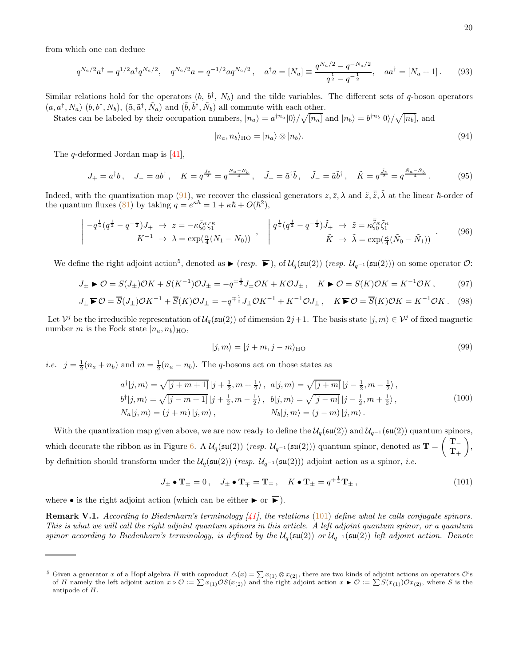from which one can deduce

$$
q^{N_a/2}a^{\dagger} = q^{1/2}a^{\dagger}q^{N_a/2}, \quad q^{N_a/2}a = q^{-1/2}aq^{N_a/2}, \quad a^{\dagger}a = [N_a] \equiv \frac{q^{N_a/2} - q^{-N_a/2}}{q^{\frac{1}{2}} - q^{-\frac{1}{2}}}, \quad aa^{\dagger} = [N_a + 1]. \tag{93}
$$

Similar relations hold for the operators  $(b, b^{\dagger}, N_b)$  and the tilde variables. The different sets of q-boson operators  $(a, a^{\dagger}, N_a)$   $(b, b^{\dagger}, N_b)$ ,  $(\tilde{a}, \tilde{a}^{\dagger}, \tilde{N}_a)$  and  $(\tilde{b}, \tilde{b}^{\dagger}, \tilde{N}_b)$  all commute with each other.

States can be labeled by their occupation numbers,  $|n_a\rangle = a^{\dagger n_a}|0\rangle / \sqrt{[n_a]}$  and  $|n_b\rangle = b^{\dagger n_b}|0\rangle / \sqrt{[n_b]}$ , and

$$
|n_a, n_b\rangle_{\text{HO}} = |n_a\rangle \otimes |n_b\rangle. \tag{94}
$$

The q-deformed Jordan map is [\[41](#page-37-11)],

<span id="page-19-1"></span>
$$
J_{+} = a^{\dagger}b, \quad J_{-} = ab^{\dagger}, \quad K = q^{\frac{J_{z}}{2}} = q^{\frac{N_{a}-N_{b}}{4}}, \quad \tilde{J}_{+} = \tilde{a}^{\dagger}\tilde{b}, \quad \tilde{J}_{-} = \tilde{a}\tilde{b}^{\dagger}, \quad \tilde{K} = q^{\frac{\tilde{J}_{z}}{2}} = q^{\frac{\tilde{N}_{a}-\tilde{N}_{b}}{4}}.
$$
 (95)

Indeed, with the quantization map [\(91\)](#page-18-3), we recover the classical generators  $z, \bar{z}, \lambda$  and  $\tilde{z}, \bar{\tilde{z}}, \tilde{\lambda}$  at the linear  $\hbar$ -order of the quantum fluxes [\(81\)](#page-17-3) by taking  $q = e^{\kappa \hbar} = 1 + \kappa \hbar + O(\hbar^2)$ ,

$$
\begin{vmatrix} -q^{\frac{1}{4}}(q^{\frac{1}{2}} - q^{-\frac{1}{2}})J_{+} & \to & z = -\kappa \bar{\zeta}_{0}^{\kappa} \zeta_{1}^{\kappa} \\ K^{-1} & \to & \lambda = \exp(\frac{\kappa}{4}(N_{1} - N_{0})) \end{vmatrix}, \quad \begin{vmatrix} q^{\frac{1}{4}}(q^{\frac{1}{2}} - q^{-\frac{1}{2}})J_{+} & \to & \tilde{z} = \kappa \bar{\zeta}_{0}^{\kappa} \zeta_{1}^{\kappa} \\ \tilde{K} & \to & \tilde{\lambda} = \exp(\frac{\kappa}{4}(\tilde{N}_{0} - \tilde{N}_{1})) \end{vmatrix} \end{vmatrix} \tag{96}
$$

We define the right adjoint action<sup>5</sup>, denoted as ► (resp. ►), of  $\mathcal{U}_q(\mathfrak{su}(2))$  (resp.  $\mathcal{U}_{q^{-1}}(\mathfrak{su}(2))$ ) on some operator  $\mathcal{O}$ :

$$
J_{\pm} \triangleright \mathcal{O} = S(J_{\pm})\mathcal{O}K + S(K^{-1})\mathcal{O}J_{\pm} = -q^{\pm \frac{1}{2}}J_{\pm}\mathcal{O}K + K\mathcal{O}J_{\pm}, \quad K \triangleright \mathcal{O} = S(K)\mathcal{O}K = K^{-1}\mathcal{O}K, \tag{97}
$$

$$
J_{\pm} \blacktriangleright \mathcal{O} = \overline{S}(J_{\pm})\mathcal{O}K^{-1} + \overline{S}(K)\mathcal{O}J_{\pm} = -q^{\mp \frac{1}{2}}J_{\pm}\mathcal{O}K^{-1} + K^{-1}\mathcal{O}J_{\pm}, \quad K \blacktriangleright \mathcal{O} = \overline{S}(K)\mathcal{O}K = K^{-1}\mathcal{O}K. \tag{98}
$$

Let  $\mathcal{V}^j$  be the irreducible representation of  $\mathcal{U}_q(\mathfrak{su}(2))$  of dimension  $2j+1$ . The basis state  $|j,m\rangle \in \mathcal{V}^j$  of fixed magnetic number m is the Fock state  $|n_a, n_b\rangle_{\text{HO}}$ ,

$$
|j,m\rangle = |j+m,j-m\rangle_{\text{HO}}\tag{99}
$$

*i.e.*  $j = \frac{1}{2}(n_a + n_b)$  and  $m = \frac{1}{2}(n_a - n_b)$ . The q-bosons act on those states as

$$
a^{\dagger}|j,m\rangle = \sqrt{\left[j+m+1\right]}\left|j+\frac{1}{2},m+\frac{1}{2}\right\rangle, \quad a|j,m\rangle = \sqrt{\left[j+m\right]}\left|j-\frac{1}{2},m-\frac{1}{2}\right\rangle,
$$
  
\n
$$
b^{\dagger}|j,m\rangle = \sqrt{\left[j-m+1\right]}\left|j+\frac{1}{2},m-\frac{1}{2}\right\rangle, \quad b|j,m\rangle = \sqrt{\left[j-m\right]}\left|j-\frac{1}{2},m+\frac{1}{2}\right\rangle,
$$
  
\n
$$
N_a|j,m\rangle = (j+m)\left|j,m\right\rangle,
$$
  
\n
$$
N_b|j,m\rangle = (j-m)\left|j,m\right\rangle.
$$
  
\n(100)

With the quantization map given above, we are now ready to define the  $\mathcal{U}_q(\mathfrak{su}(2))$  and  $\mathcal{U}_{q^{-1}}(\mathfrak{su}(2))$  quantum spinors, which decorate the ribbon as in Figure [6.](#page-21-0) A  $\mathcal{U}_q(\mathfrak{su}(2))$  (resp.  $\mathcal{U}_{q^{-1}}(\mathfrak{su}(2))$ ) quantum spinor, denoted as  $\mathbf{T} =$  $T \mathbf{T}_+$  $\overline{\phantom{0}}$ , by definition should transform under the  $\mathcal{U}_q(\mathfrak{su}(2))$  (resp.  $\mathcal{U}_{q^{-1}}(\mathfrak{su}(2))$ ) adjoint action as a spinor, *i.e.* 

<span id="page-19-0"></span>
$$
J_{\pm} \bullet \mathbf{T}_{\pm} = 0 \,, \quad J_{\pm} \bullet \mathbf{T}_{\mp} = \mathbf{T}_{\mp} \,, \quad K \bullet \mathbf{T}_{\pm} = q^{\mp \frac{1}{4}} \mathbf{T}_{\pm} \,, \tag{101}
$$

where  $\bullet$  is the right adjoint action (which can be either  $\blacktriangleright$  or  $\blacktriangleright$ ).

**Remark V.1.** According to Biedenharn's terminology  $\vert \{1\}$ , the relations [\(101\)](#page-19-0) define what he calls conjugate spinors. This is what we will call the right adjoint quantum spinors in this article. A left adjoint quantum spinor, or a quantum spinor according to Biedenharn's terminology, is defined by the  $U_q(\mathfrak{su}(2))$  or  $U_{q^{-1}}(\mathfrak{su}(2))$  left adjoint action. Denote

<sup>&</sup>lt;sup>5</sup> Given a generator x of a Hopf algebra H with coproduct  $\Delta(x) = \sum x_{(1)} \otimes x_{(2)}$ , there are two kinds of adjoint actions on operators O's of H namely the left adjoint action  $x \triangleright \mathcal{O} := \sum x_{(1)} \mathcal{O}S(x_{(2)})$  and the right adjoint action  $x \triangleright \mathcal{O} := \sum S(x_{(1)}) \mathcal{O}x_{(2)}$ , where S is the antipode of H.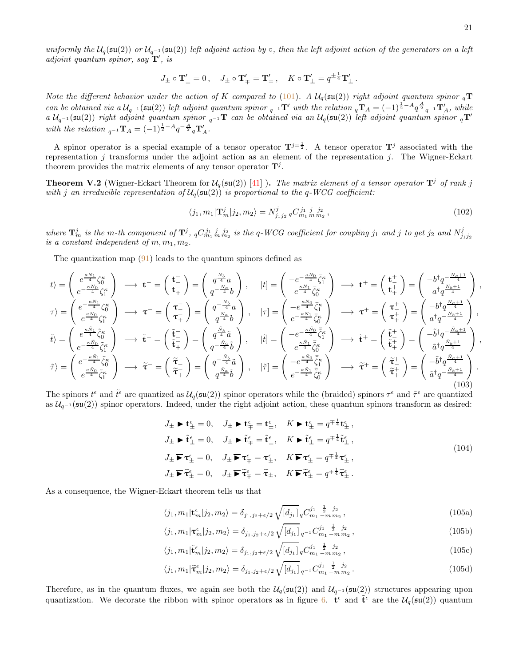uniformly the  $U_q(\mathfrak{su}(2))$  or  $U_{q^{-1}}(\mathfrak{su}(2))$  left adjoint action by  $\circ$ , then the left adjoint action of the generators on a left adjoint quantum spinor, say  $\mathbf{T}'$ , is

$$
J_{\pm} \circ \mathbf{T}'_{\pm} = 0 \,, \quad J_{\pm} \circ \mathbf{T}'_{\mp} = \mathbf{T}'_{\mp} \,, \quad K \circ \mathbf{T}'_{\pm} = q^{\pm \frac{1}{4}} \mathbf{T}'_{\pm} \,.
$$

Note the different behavior under the action of K compared to [\(101\)](#page-19-0). A  $\mathcal{U}_q(\mathfrak{su}(2))$  right adjoint quantum spinor  $_q\mathbf{T}$ can be obtained via a  $U_{q^{-1}}(\mathfrak{su}(2))$  left adjoint quantum spinor  ${}_{q^{-1}}\mathbf{T}'$  with the relation  ${}_{q}\mathbf{T}_A = (-1)^{\frac{1}{2}-A}q^{\frac{A}{2}}{}_{q^{-1}}\mathbf{T}'_A$ , while  $a\,\mathcal{U}_{q^{-1}}(\mathfrak{su}(2))$  right adjoint quantum spinor  ${}_{q^{-1}}\mathbf{T}$  can be obtained via an  $\mathcal{U}_q(\mathfrak{su}(2))$  left adjoint quantum spinor  ${}_{q}\mathbf{T}'$ with the relation  $_{q^{-1}}\mathbf{T}_A = (-1)^{\frac{1}{2}-A}q^{-\frac{A}{2}}{}_q\mathbf{T}'_A$ .

A spinor operator is a special example of a tensor operator  $T^{j=\frac{1}{2}}$ . A tensor operator  $T^{j}$  associated with the representation  $j$  transforms under the adjoint action as an element of the representation  $j$ . The Wigner-Eckart theorem provides the matrix elements of any tensor operator  $\mathbf{T}^{j}$ .

**Theorem V.2** (Wigner-Eckart Theorem for  $\mathcal{U}_q(\mathfrak{su}(2))$  [\[41](#page-37-11)]). The matrix element of a tensor operator  $\mathbf{T}^j$  of rank j with j an irreducible representation of  $\mathcal{U}_q(\mathfrak{su}(2))$  is proportional to the q-WCG coefficient:

$$
\langle j_1, m_1 | \mathbf{T}_m^j | j_2, m_2 \rangle = N_{j_1 j_2}^j \, q C_{m_1 \, m \, m_2}^{j_1 \, j} \,, \tag{102}
$$

where  $\mathbf{T}^j_m$  is the m-th component of  $\mathbf{T}^j$ ,  ${}_qC^{j_1\;j}_{m_1\;m}\frac{j_2}{m_2}$  is the q-WCG coefficient for coupling  $j_1$  and j to get  $j_2$  and  $N^j_{j_1j_2}$ is a constant independent of  $m, m_1, m_2$ .

The quantization map [\(91\)](#page-18-3) leads to the quantum spinors defined as

<span id="page-20-0"></span>
$$
\begin{aligned}\n\left|t\right\rangle &= \begin{pmatrix} e^{\frac{\kappa N_1}{4}}\zeta_0^{\kappa} \\ e^{-\frac{\kappa N_0}{4}}\zeta_1^{\kappa} \end{pmatrix} \longrightarrow \mathbf{t}^- = \begin{pmatrix} \mathbf{t}^-_{-} \\ \mathbf{t}^-_{+} \end{pmatrix} = \begin{pmatrix} q^{\frac{N_b}{4}}a \\ q^{-\frac{N_a}{4}}b \end{pmatrix}, \quad \left|t\right\rangle &=\begin{pmatrix} -e^{-\frac{\kappa N_0}{4}}\bar{\zeta}_0^{\kappa} \\ e^{\frac{\kappa N_0}{4}}\bar{\zeta}_0^{\kappa} \end{pmatrix} \longrightarrow \mathbf{t}^+ = \begin{pmatrix} \mathbf{t}^+_{+} \\ \mathbf{t}^+_{+} \end{pmatrix} = \begin{pmatrix} -b^{\dagger}q^{-\frac{N_a+1}{4}} \\ a^{\dagger}q^{\frac{N_b+1}{4}} \end{pmatrix}, \\
\left|\vec{r}\right\rangle &= \begin{pmatrix} e^{-\frac{\kappa N_1}{4}}\zeta_0^{\kappa} \\ e^{\frac{\kappa N_1}{4}}\zeta_0^{\kappa} \end{pmatrix} \longrightarrow \mathbf{\tau}^- = \begin{pmatrix} \mathbf{\tau}^-_{-} \\ \mathbf{\tau}^-_{+} \end{pmatrix} = \begin{pmatrix} q^{-\frac{N_b}{4}}a \\ q^{\frac{N_a}{4}}b \end{pmatrix}, \quad \left|\vec{r}\right\rangle &=\begin{pmatrix} -e^{\frac{\kappa N_0}{4}}\bar{\zeta}_0^{\kappa} \\ e^{-\frac{\kappa N_0}{4}}\bar{\zeta}_0^{\kappa} \end{pmatrix} \longrightarrow \mathbf{\tau}^+ = \begin{pmatrix} \mathbf{\tau}^+_{-} \\ \mathbf{\tau}^+_{+} \end{pmatrix} = \begin{pmatrix} -b^{\dagger}q^{-\frac{N_a+1}{4}} \\ a^{\dagger}q^{-\frac{N_a+1}{4}} \end{pmatrix}, \\
\left|\vec{r}\right\rangle &= \begin{pmatrix} e^{-\frac{\kappa \bar{N}_1}{4}}\bar{\zeta}_0^{\kappa} \\ e^{-\frac{\kappa \bar{N}_0}{4}}\bar{\zeta}_0^{\kappa} \end{pmatrix} \longrightarrow \tilde{\mathbf{\tau}}^- = \begin{pm
$$

The spinors  $t^{\epsilon}$  and  $\tilde{t}^{\epsilon}$  are quantized as  $\mathcal{U}_q(\mathfrak{su}(2))$  spinor operators while the (braided) spinors  $\tau^{\epsilon}$  and  $\tilde{\tau}^{\epsilon}$  are quantized as  $\mathcal{U}_{q^{-1}}(\mathfrak{su}(2))$  spinor operators. Indeed, under the right adjoint action, these quantum spinors transform as desired:

$$
J_{\pm} \triangleright t_{\pm}^{\epsilon} = 0, \quad J_{\pm} \triangleright t_{\mp}^{\epsilon} = t_{\pm}^{\epsilon}, \quad K \triangleright t_{\pm}^{\epsilon} = q^{\mp \frac{1}{4}} t_{\pm}^{\epsilon},
$$
  
\n
$$
J_{\pm} \triangleright \tilde{t}_{\pm}^{\epsilon} = 0, \quad J_{\pm} \triangleright \tilde{t}_{\mp}^{\epsilon} = \tilde{t}_{\pm}^{\epsilon}, \quad K \triangleright \tilde{t}_{\pm}^{\epsilon} = q^{\mp \frac{1}{4}} \tilde{t}_{\pm}^{\epsilon},
$$
  
\n
$$
J_{\pm} \triangleright \tau_{\pm}^{\epsilon} = 0, \quad J_{\pm} \triangleright \tau_{\mp}^{\epsilon} = \tau_{\pm}^{\epsilon}, \quad K \triangleright \tilde{t}_{\pm}^{\epsilon} = q^{\mp \frac{1}{4}} \tau_{\pm}^{\epsilon},
$$
  
\n
$$
J_{\pm} \triangleright \tilde{t}_{\pm}^{\epsilon} = 0, \quad J_{\pm} \triangleright \tilde{t}_{\mp}^{\epsilon} = \tilde{t}_{\pm}, \quad K \triangleright \tilde{t}_{\pm}^{\epsilon} = q^{\mp \frac{1}{4}} \tau_{\pm}^{\epsilon}.
$$
  
\n(104)

As a consequence, the Wigner-Eckart theorem tells us that

$$
\langle j_1, m_1 | \mathbf{t}_m^{\epsilon} | j_2, m_2 \rangle = \delta_{j_1, j_2 + \epsilon/2} \sqrt{\left[ d_{j_1} \right]} \, q \mathcal{C}_{m_1 - m m_2}^{j_1} \,, \tag{105a}
$$

$$
\langle j_1, m_1 | \tau_m^{\epsilon} | j_2, m_2 \rangle = \delta_{j_1, j_2 + \epsilon/2} \sqrt{\left[ d_{j_1} \right]} \, q^{-1} C_{m_1 - m m_2}^{j_1 - \frac{1}{2} - j_2},\tag{105b}
$$

$$
\langle j_1, m_1 | \tilde{\mathbf{t}}_m^{\epsilon} | j_2, m_2 \rangle = \delta_{j_1, j_2 + \epsilon/2} \sqrt{[d_{j_1}]} \, q C_{m_1 - m \, m_2}^{j_1 - \frac{1}{2} - j_2},\tag{105c}
$$

$$
\langle j_1, m_1 | \tilde{\tau}_m^{\epsilon} | j_2, m_2 \rangle = \delta_{j_1, j_2 + \epsilon/2} \sqrt{[d_{j_1}]}_{q^{-1}} C_{m_1 - m m_2}^{j_1}.
$$
 (105d)

Therefore, as in the quantum fluxes, we again see both the  $\mathcal{U}_q(\mathfrak{su}(2))$  and  $\mathcal{U}_{q^{-1}}(\mathfrak{su}(2))$  structures appearing upon quantization. We decorate the ribbon with spinor operators as in figure [6.](#page-21-0)  $\mathbf{t}^{\epsilon}$  and  $\tilde{\mathbf{t}}^{\epsilon}$  are the  $\mathcal{U}_q(\mathfrak{su}(2))$  quantum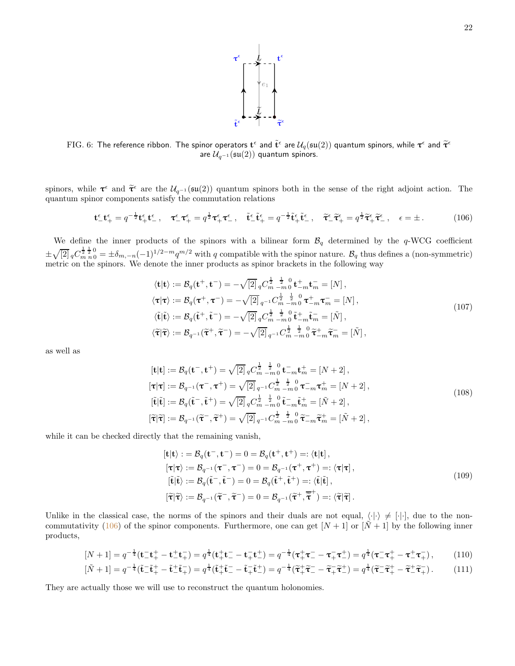

<span id="page-21-0"></span>FIG. 6: The reference ribbon. The spinor operators  $\mathbf{t}^{\epsilon}$  and  $\tilde{\mathbf{t}}^{\epsilon}$  are  $\mathcal{U}_q(\mathfrak{su}(2))$  quantum spinors, while  $\boldsymbol{\tau}^{\epsilon}$  and  $\tilde{\boldsymbol{\tau}}^{\epsilon}$ are  $\mathcal{U}_{q^{-1}}(\mathfrak{su}(2))$  quantum spinors.

spinors, while  $\tau^{\epsilon}$  and  $\tilde{\tau}^{\epsilon}$  are the  $U_{q^{-1}}(\mathfrak{su}(2))$  quantum spinors both in the sense of the right adjoint action. The quantum spinor components satisfy the commutation relations

<span id="page-21-1"></span>
$$
\mathbf{t}^{\epsilon}_{-}\mathbf{t}^{\epsilon}_{+} = q^{-\frac{1}{2}}\mathbf{t}^{\epsilon}_{+}\mathbf{t}^{\epsilon}_{-}, \quad \mathbf{\tau}^{\epsilon}_{-}\mathbf{\tau}^{\epsilon}_{+} = q^{\frac{1}{2}}\mathbf{\tau}^{\epsilon}_{+}\mathbf{\tau}^{\epsilon}_{-}, \quad \tilde{\mathbf{t}}^{\epsilon}_{-}\tilde{\mathbf{t}}^{\epsilon}_{+} = q^{-\frac{1}{2}}\tilde{\mathbf{t}}^{\epsilon}_{+}\tilde{\mathbf{t}}^{\epsilon}_{-}, \quad \tilde{\mathbf{\tau}}^{\epsilon}_{-}\tilde{\mathbf{\tau}}^{\epsilon}_{+} = q^{\frac{1}{2}}\tilde{\mathbf{\tau}}^{\epsilon}_{+}\tilde{\mathbf{\tau}}^{\epsilon}_{-}, \quad \epsilon = \pm. \tag{106}
$$

We define the inner products of the spinors with a bilinear form  $\mathcal{B}_q$  determined by the q-WCG coefficient  $\pm\sqrt{[2]}_qC_{m n 0}^{\frac{1}{2}\frac{1}{2}0}=\pm\delta_{m,-n}(-1)^{1/2-m}q^{m/2}$  with q compatible with the spinor nature.  $\mathcal{B}_q$  thus defines a (non-symmetric) metric on the spinors. We denote the inner products as spinor brackets in the following way

$$
\langle \mathbf{t} | \mathbf{t} \rangle := \mathcal{B}_q(\mathbf{t}^+, \mathbf{t}^-) = -\sqrt{2} \int_q C_m^{\frac{1}{2}} \frac{1}{r} \, dr \, dr = [N],
$$
  
\n
$$
\langle \tau | \tau \rangle := \mathcal{B}_q(\tau^+, \tau^-) = -\sqrt{2} \int_{q^{-1}}^{\frac{1}{2}} C_m^{\frac{1}{2}} \frac{1}{r} \, dr \, dr = [N],
$$
  
\n
$$
\langle \tilde{\mathbf{t}} | \tilde{\mathbf{t}} \rangle := \mathcal{B}_q(\tilde{\mathbf{t}}^+, \tilde{\mathbf{t}}^-) = -\sqrt{2} \int_q C_m^{\frac{1}{2}} \frac{1}{r} \, dr \, dr = [\tilde{N}],
$$
  
\n
$$
\langle \tilde{\tau} | \tilde{\tau} \rangle := \mathcal{B}_{q^{-1}}(\tilde{\tau}^+, \tilde{\tau}^-) = -\sqrt{2} \int_{q^{-1}}^{\frac{1}{2}} C_m^{\frac{1}{2}} \frac{1}{r} \, dr \, dr = [\tilde{N}],
$$
  
\n
$$
\langle \tilde{\tau} | \tilde{\tau} \rangle := \mathcal{B}_{q^{-1}}(\tilde{\tau}^+, \tilde{\tau}^-) = -\sqrt{2} \int_{q^{-1}}^{\frac{1}{2}} C_m^{\frac{1}{2}} \frac{1}{r} \, dr \, dr = \tilde{N}.
$$
 (107)

as well as

$$
[\mathbf{t}|\mathbf{t}] := \mathcal{B}_{q}(\mathbf{t}^{-}, \mathbf{t}^{+}) = \sqrt{2} \int_{q}^{1} C_{m-m0}^{\frac{1}{2}} \mathbf{t}_{m-m0}^{\frac{1}{2}} \mathbf{t}_{m}^{+} = [N+2],
$$
  
\n
$$
[\mathbf{\tau}|\mathbf{\tau}] := \mathcal{B}_{q^{-1}}(\mathbf{\tau}^{-}, \mathbf{\tau}^{+}) = \sqrt{2} \int_{q^{-1}}^{1} C_{m-m0}^{\frac{1}{2}} \mathbf{t}_{m-m0}^{\frac{1}{2}} \mathbf{\tau}_{m}^{-} \mathbf{\tau}_{m}^{+} = [N+2],
$$
  
\n
$$
[\tilde{\mathbf{t}}|\tilde{\mathbf{t}}] := \mathcal{B}_{q}(\tilde{\mathbf{t}}^{-}, \tilde{\mathbf{t}}^{+}) = \sqrt{2} \int_{q}^{1} C_{m-m0}^{\frac{1}{2}} \mathbf{t}_{m-m0}^{\frac{1}{2}} \mathbf{\tilde{t}}_{m}^{-} \mathbf{\tilde{t}}_{m}^{+} = [\tilde{N}+2],
$$
  
\n
$$
[\tilde{\mathbf{\tau}}|\tilde{\mathbf{\tau}}] := \mathcal{B}_{q^{-1}}(\tilde{\mathbf{\tau}}^{-}, \tilde{\mathbf{\tau}}^{+}) = \sqrt{2} \int_{q^{-1}}^{1} C_{m-m0}^{\frac{1}{2}} \mathbf{\tilde{t}}_{m}^{\frac{1}{2}} \mathbf{0}_{m}^{\frac{1}{2}} \tilde{\mathbf{\tau}}_{m}^{-} \mathbf{\tilde{t}}_{m}^{+} = [\tilde{N}+2],
$$
\n(108)

while it can be checked directly that the remaining vanish,

<span id="page-21-2"></span>
$$
[\mathbf{t}|\mathbf{t}\rangle := \mathcal{B}_q(\mathbf{t}^-, \mathbf{t}^-) = 0 = \mathcal{B}_q(\mathbf{t}^+, \mathbf{t}^+) =: \langle \mathbf{t}|\mathbf{t} |,
$$
  
\n
$$
[\boldsymbol{\tau}|\boldsymbol{\tau}\rangle := \mathcal{B}_{q^{-1}}(\boldsymbol{\tau}^-, \boldsymbol{\tau}^-) = 0 = \mathcal{B}_{q^{-1}}(\boldsymbol{\tau}^+, \boldsymbol{\tau}^+) =: \langle \boldsymbol{\tau}|\boldsymbol{\tau} |,
$$
  
\n
$$
[\tilde{\mathbf{t}}|\tilde{\mathbf{t}}\rangle := \mathcal{B}_q(\tilde{\mathbf{t}}^-, \tilde{\mathbf{t}}^-) = 0 = \mathcal{B}_q(\tilde{\mathbf{t}}^+, \tilde{\mathbf{t}}^+) =: \langle \tilde{\mathbf{t}}|\tilde{\mathbf{t}}],
$$
  
\n
$$
[\tilde{\boldsymbol{\tau}}|\tilde{\boldsymbol{\tau}}\rangle := \mathcal{B}_{q^{-1}}(\tilde{\boldsymbol{\tau}}^-, \tilde{\boldsymbol{\tau}}^-) = 0 = \mathcal{B}_{q^{-1}}(\tilde{\boldsymbol{\tau}}^+, \tilde{\boldsymbol{\tau}}^+) =: \langle \tilde{\boldsymbol{\tau}}|\tilde{\boldsymbol{\tau}}].
$$
\n(109)

Unlike in the classical case, the norms of the spinors and their duals are not equal,  $\langle \cdot | \cdot \rangle \neq [\cdot]$ , due to the non-commutativity [\(106\)](#page-21-1) of the spinor components. Furthermore, one can get  $[N+1]$  or  $[N+1]$  by the following inner products,

$$
[N+1] = q^{-\frac{1}{4}}(\mathbf{t}_{-}^{-}\mathbf{t}_{+}^{+} - \mathbf{t}_{-}^{+}\mathbf{t}_{+}^{-}) = q^{\frac{1}{4}}(\mathbf{t}_{+}^{+}\mathbf{t}_{-}^{-} - \mathbf{t}_{+}^{-}\mathbf{t}_{-}^{+}) = q^{-\frac{1}{4}}(\mathbf{\tau}_{+}^{+}\mathbf{\tau}_{-}^{-} - \mathbf{\tau}_{+}^{-}\mathbf{\tau}_{+}^{+}) = q^{\frac{1}{4}}(\mathbf{\tau}_{-}^{-}\mathbf{\tau}_{+}^{+} - \mathbf{\tau}_{-}^{+}\mathbf{\tau}_{+}^{-}),
$$
(110)  

$$
[\tilde{N}+1] = q^{-\frac{1}{4}}(\tilde{\mathbf{t}}_{-}^{-}\tilde{\mathbf{t}}_{+}^{+} - \tilde{\mathbf{t}}_{-}^{+}\tilde{\mathbf{t}}_{+}^{-}) = q^{\frac{1}{4}}(\tilde{\mathbf{t}}_{+}^{+}\tilde{\mathbf{t}}_{-}^{-} - \tilde{\mathbf{t}}_{+}^{-}\tilde{\mathbf{t}}_{-}^{+}) = q^{\frac{1}{4}}(\tilde{\mathbf{\tau}}_{-}^{-}\tilde{\mathbf{\tau}}_{+}^{+} - \tilde{\mathbf{\tau}}_{-}^{+}\tilde{\mathbf{\tau}}_{-}^{-})
$$
(111)

They are actually those we will use to reconstruct the quantum holonomies.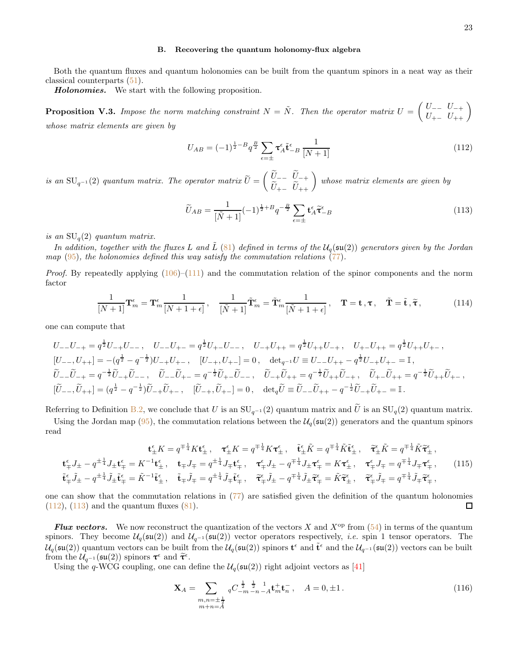#### <span id="page-22-0"></span>B. Recovering the quantum holonomy-flux algebra

Both the quantum fluxes and quantum holonomies can be built from the quantum spinors in a neat way as their classical counterparts [\(51\)](#page-10-2).

Holonomies. We start with the following proposition.

**Proposition V.3.** Impose the norm matching constraint  $N = \tilde{N}$ . Then the operator matrix  $U = \begin{pmatrix} U_{--} & U_{-+} \ U_{+-} & U_{++} \end{pmatrix}$ whose matrix elements are given by

<span id="page-22-1"></span>
$$
U_{AB} = (-1)^{\frac{1}{2} - B} q^{\frac{B}{2}} \sum_{\epsilon = \pm} \tau_A^{\epsilon} \tilde{\mathbf{t}}_{-B}^{\epsilon} \frac{1}{[N+1]}
$$
(112)

is an  $SU_{q^{-1}}(2)$  quantum matrix. The operator matrix  $U=$  $\begin{pmatrix} \widetilde{U}_{--} & \widetilde{U}_{-+} \\ \widetilde{U}_{+-} & \widetilde{U}_{++} \end{pmatrix}$ whose matrix elements are given by

<span id="page-22-2"></span>
$$
\widetilde{U}_{AB} = \frac{1}{[\widetilde{N}+1]} (-1)^{\frac{1}{2}+B} q^{-\frac{B}{2}} \sum_{\epsilon=\pm} \mathbf{t}^{\epsilon}_{A} \widetilde{\mathbf{\tau}}^{\epsilon}_{-B}
$$
\n(113)

is an  $SU_q(2)$  quantum matrix.

In addition, together with the fluxes L and  $\tilde{L}$  [\(81\)](#page-17-3) defined in terms of the  $U_q(\mathfrak{su}(2))$  generators given by the Jordan map  $(95)$ , the holonomies defined this way satisfy the commutation relations [\(77\)](#page-16-2).

*Proof.* By repeatedly applying  $(106)$ – $(111)$  and the commutation relation of the spinor components and the norm factor

$$
\frac{1}{[N+1]}\mathbf{T}_{m}^{\epsilon} = \mathbf{T}_{m}^{\epsilon} \frac{1}{[N+1+\epsilon]}, \quad \frac{1}{[\tilde{N}+1]} \tilde{\mathbf{T}}_{m}^{\epsilon} = \tilde{\mathbf{T}}_{m}^{\epsilon} \frac{1}{[\tilde{N}+1+\epsilon]}, \quad \mathbf{T} = \mathbf{t}, \boldsymbol{\tau}, \quad \tilde{\mathbf{T}} = \tilde{\mathbf{t}}, \tilde{\boldsymbol{\tau}}, \tag{114}
$$

one can compute that

$$
U_{--}U_{-+} = q^{\frac{1}{2}}U_{-+}U_{--}, \quad U_{--}U_{+-} = q^{\frac{1}{2}}U_{+-}U_{--}, \quad U_{-+}U_{++} = q^{\frac{1}{2}}U_{++}U_{-+}, \quad U_{+-}U_{++} = q^{\frac{1}{2}}U_{++}U_{+-},
$$
  
\n
$$
[U_{--}, U_{++}] = -(q^{\frac{1}{2}} - q^{-\frac{1}{2}})U_{-+}U_{+-}, \quad [U_{-+}, U_{+-}] = 0, \quad \det_{q^{-1}}U \equiv U_{--}U_{++} - q^{\frac{1}{2}}U_{-+}U_{+-} = \mathbb{I},
$$
  
\n
$$
\widetilde{U}_{--}\widetilde{U}_{-+} = q^{-\frac{1}{2}}\widetilde{U}_{-+}\widetilde{U}_{--}, \quad \widetilde{U}_{--}\widetilde{U}_{+-} = q^{-\frac{1}{2}}\widetilde{U}_{+-}\widetilde{U}_{--}, \quad \widetilde{U}_{-+}\widetilde{U}_{++} = q^{-\frac{1}{2}}\widetilde{U}_{++}\widetilde{U}_{-+}, \quad \widetilde{U}_{+-}\widetilde{U}_{++} = q^{-\frac{1}{2}}\widetilde{U}_{++}\widetilde{U}_{+-},
$$
  
\n
$$
[\widetilde{U}_{--}, \widetilde{U}_{++}] = (q^{\frac{1}{2}} - q^{-\frac{1}{2}})\widetilde{U}_{-+}\widetilde{U}_{+-}, \quad [\widetilde{U}_{-+}, \widetilde{U}_{+-}] = 0, \quad \det_{q}\widetilde{U} \equiv \widetilde{U}_{--}\widetilde{U}_{++} - q^{-\frac{1}{2}}\widetilde{U}_{-+}\widetilde{U}_{+-} = \mathbb{I}.
$$

Referring to Definition [B.2,](#page-35-1) we conclude that U is an  $SU_{q^{-1}}(2)$  quantum matrix and  $\tilde{U}$  is an  $SU_q(2)$  quantum matrix.

Using the Jordan map [\(95\)](#page-19-1), the commutation relations between the  $\mathcal{U}_q(\mathfrak{su}(2))$  generators and the quantum spinors read

$$
\mathbf{t}_{\pm}^{\epsilon} K = q^{\mp \frac{1}{4}} K \mathbf{t}_{\pm}^{\epsilon}, \quad \mathbf{\tau}_{\pm}^{\epsilon} K = q^{\mp \frac{1}{4}} K \mathbf{\tau}_{\pm}^{\epsilon}, \quad \tilde{\mathbf{t}}_{\pm}^{\epsilon} \tilde{K} = q^{\mp \frac{1}{4}} \tilde{K} \tilde{\mathbf{t}}_{\pm}^{\epsilon}, \quad \tilde{\mathbf{\tau}}_{\pm}^{\epsilon} \tilde{K} = q^{\mp \frac{1}{4}} \tilde{K} \tilde{\mathbf{t}}_{\pm}^{\epsilon},
$$
\n
$$
\mathbf{t}_{\mp}^{\epsilon} J_{\pm} - q^{\pm \frac{1}{4}} J_{\pm} \mathbf{t}_{\mp}^{\epsilon} = K^{-1} \mathbf{t}_{\pm}^{\epsilon}, \quad \mathbf{t}_{\mp} J_{\mp} = q^{\pm \frac{1}{4}} J_{\mp} \mathbf{t}_{\mp}^{\epsilon}, \quad \mathbf{\tau}_{\mp}^{\epsilon} J_{\pm} - q^{\mp \frac{1}{4}} J_{\pm} \mathbf{\tau}_{\mp}^{\epsilon} = K \mathbf{\tau}_{\pm}^{\epsilon}, \quad \mathbf{\tau}_{\mp}^{\epsilon} J_{\mp} = q^{\mp \frac{1}{4}} J_{\mp} \mathbf{\tau}_{\mp}^{\epsilon},
$$
\n
$$
\tilde{\mathbf{t}}_{\mp}^{\epsilon} \tilde{J}_{\pm} - q^{\pm \frac{1}{4}} \tilde{J}_{\pm} \tilde{\mathbf{t}}_{\mp}^{\epsilon} = \tilde{K}^{-1} \tilde{\mathbf{t}}_{\pm}^{\epsilon}, \quad \tilde{\mathbf{t}}_{\mp} \tilde{J}_{\mp} = q^{\pm \frac{1}{4}} \tilde{J}_{\mp} \tilde{\mathbf{t}}_{\mp}^{\epsilon}, \quad \tilde{\mathbf{\tau}}_{\mp}^{\epsilon} \tilde{J}_{\pm} - q^{\mp \frac{1}{4}} \tilde{J}_{\pm} \tilde{\mathbf{\tau}}_{\mp}^{\epsilon} = \tilde{K} \tilde{\mathbf{\tau}}_{\pm}^{\epsilon}, \quad \tilde{\mathbf{\tau}}_{\mp}^{\epsilon} \tilde{J}_{\mp} = q^{\mp \frac{1}{4}} \tilde{J}_{\mp} \tilde{\mathbf{\tau}}_{\mp}^{\epsilon}
$$
\n<

one can show that the commutation relations in [\(77\)](#page-16-2) are satisfied given the definition of the quantum holonomies  $(112)$ ,  $(113)$  and the quantum fluxes  $(81)$ .  $\Box$ 

**Flux vectors.** We now reconstruct the quantization of the vectors X and  $X^{op}$  from [\(54\)](#page-11-2) in terms of the quantum spinors. They become  $\mathcal{U}_q(\mathfrak{su}(2))$  and  $\mathcal{U}_{q^{-1}}(\mathfrak{su}(2))$  vector operators respectively, *i.e.* spin 1 tensor operators. The  $\mathcal{U}_q(\mathfrak{su}(2))$  quantum vectors can be built from the  $\mathcal{U}_q(\mathfrak{su}(2))$  spinors  $\mathbf{t}^{\epsilon}$  and  $\tilde{\mathbf{t}}^{\epsilon}$  and the  $\mathcal{U}_{q^{-1}}(\mathfrak{su}(2))$  vectors can be built from the  $\mathcal{U}_{q^{-1}}(\mathfrak{su}(2))$  spinors  $\tau^{\epsilon}$  and  $\widetilde{\tau}^{\epsilon}$ .

Using the q-WCG coupling, one can define the  $\mathcal{U}_q(\mathfrak{su}(2))$  right adjoint vectors as [\[41](#page-37-11)]

$$
\mathbf{X}_{A} = \sum_{\substack{m,n=\pm\frac{1}{2} \\ m+n=A}} {}_{q}C_{-m-n-A}^{\frac{1}{2}} \mathbf{t}_{m}^{+} \mathbf{t}_{n}^{-}, \quad A = 0, \pm 1. \tag{116}
$$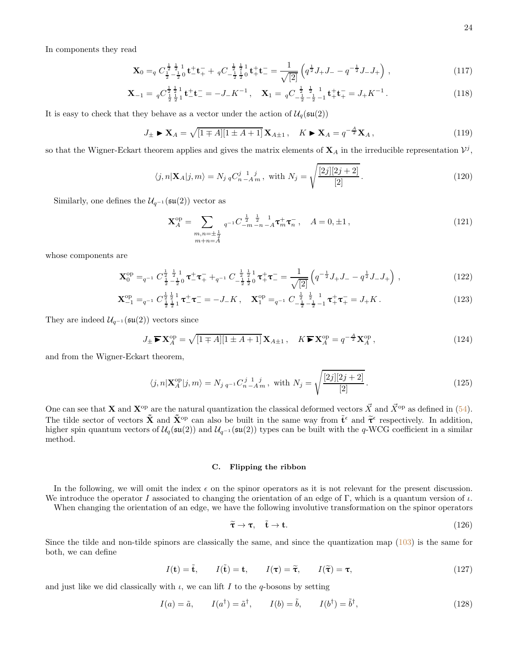In components they read

$$
\mathbf{X}_0 =_q C_{\frac{1}{2} - \frac{1}{2} 0}^{\frac{1}{2} - \frac{1}{2} 1} \mathbf{t}_-^{\frac{1}{2} - \frac{1}{2} 1} \mathbf{t}_+^{\frac{1}{2} - \frac{1}{2} \frac{1}{2} 0} \mathbf{t}_+^{\frac{1}{2} - \frac{1}{2} \frac{1}{2} 0} \mathbf{t}_+^{\frac{1}{2} - \frac{1}{2} \frac{1}{2} 0} \left( q^{\frac{1}{2}} J_+ J_- - q^{-\frac{1}{2}} J_- J_+ \right) , \qquad (117)
$$

$$
\mathbf{X}_{-1} = q C_{\frac{1}{2}\frac{1}{2}1}^{\frac{1}{2}\frac{1}{2}1} \mathbf{t}_{-}^{+} \mathbf{t}_{-}^{-} = -J_{-} K^{-1}, \quad \mathbf{X}_{1} = q C_{-\frac{1}{2}\frac{1}{2} - \frac{1}{2} - 1}^{\frac{1}{2}\frac{1}{2} - \frac{1}{2} - \frac{1}{2} + \frac{1}{2} + \frac{1}{2} - \frac{1}{2} + K^{-1}.
$$
\n(118)

It is easy to check that they behave as a vector under the action of  $\mathcal{U}_q(\mathfrak{su}(2))$ 

$$
J_{\pm} \triangleright \mathbf{X}_A = \sqrt{[1 \mp A][1 \pm A + 1]} \mathbf{X}_{A \pm 1}, \quad K \triangleright \mathbf{X}_A = q^{-\frac{A}{2}} \mathbf{X}_A, \tag{119}
$$

so that the Wigner-Eckart theorem applies and gives the matrix elements of  $X_A$  in the irreducible representation  $\mathcal{V}^j$ ,

$$
\langle j, n | \mathbf{X}_A | j, m \rangle = N_{j \, q} C_{n \, -A \, m}^{j \, 1 \, 1 \, j}, \text{ with } N_j = \sqrt{\frac{[2j][2j+2]}{[2]}}.
$$
\n(120)

Similarly, one defines the  $\mathcal{U}_{q^{-1}}(\mathfrak{su}(2))$  vector as

$$
\mathbf{X}_{A}^{\text{op}} = \sum_{\substack{m,n=\pm\frac{1}{2} \\ m+n=A}} {}_{q^{-1}}C_{-m-n-A}^{\frac{1}{2}} \mathbf{\tau}_{m}^{+} \mathbf{\tau}_{n}^{-}, \quad A = 0, \pm 1, \tag{121}
$$

whose components are

$$
\mathbf{X}_0^{\text{op}} =_{q^{-1}} C_{\frac{1}{2} - \frac{1}{2} 0}^{\frac{1}{2} \frac{1}{2} 1} \boldsymbol{\tau}_-^+ \boldsymbol{\tau}_+^- +_{q^{-1}} C_{-\frac{1}{2} \frac{1}{2} 0}^{-\frac{1}{2} \frac{1}{2} 1} \boldsymbol{\tau}_+^+ \boldsymbol{\tau}_-^- = \frac{1}{\sqrt{2}} \left( q^{-\frac{1}{2}} J_+ J_- - q^{\frac{1}{2}} J_- J_+ \right) , \qquad (122)
$$

$$
\mathbf{X}_{-1}^{\text{op}} =_{q^{-1}} C_{\frac{1}{2}\frac{1}{2}1}^{\frac{1}{2}1} \mathbf{\tau}_{-}^{+} \mathbf{\tau}_{-}^{-} = -J_{-}K \,, \quad \mathbf{X}_{1}^{\text{op}} =_{q^{-1}} C_{-\frac{1}{2}\frac{1}{2}-\frac{1}{2}-1}^{\frac{1}{2}1} \mathbf{\tau}_{+}^{+} \mathbf{\tau}_{+}^{-} = J_{+}K \,. \tag{123}
$$

They are indeed  $\mathcal{U}_{q^{-1}}(\mathfrak{su}(2))$  vectors since

$$
J_{\pm} \blacktriangleright \mathbf{X}_A^{\mathrm{op}} = \sqrt{[1 \mp A][1 \pm A + 1]} \mathbf{X}_{A \pm 1}, \quad K \blacktriangleright \mathbf{X}_A^{\mathrm{op}} = q^{-\frac{A}{2}} \mathbf{X}_A^{\mathrm{op}}, \tag{124}
$$

and from the Wigner-Eckart theorem,

$$
\langle j, n | \mathbf{X}_A^{\text{op}} | j, m \rangle = N_{j \, q^{-1}} C_{n \, -A \, m}^{j \, 1 \, 1 \, j}, \text{ with } N_j = \sqrt{\frac{[2j][2j+2]}{[2]}}.
$$
\n(125)

One can see that **X** and  $X^{op}$  are the natural quantization the classical deformed vectors  $\vec{X}$  and  $\vec{X}^{op}$  as defined in [\(54\)](#page-11-2). The tilde sector of vectors  $\tilde{\mathbf{X}}$  and  $\tilde{\mathbf{X}}^{\text{op}}$  can also be built in the same way from  $\tilde{\mathbf{t}}^{\epsilon}$  and  $\tilde{\mathbf{\tau}}^{\epsilon}$  respectively. In addition, higher spin quantum vectors of  $U_q(\mathfrak{su}(2))$  and  $U_{q^{-1}}(\mathfrak{su}(2))$  types can be built with the q-WCG coefficient in a similar method.

## <span id="page-23-0"></span>C. Flipping the ribbon

In the following, we will omit the index  $\epsilon$  on the spinor operators as it is not relevant for the present discussion. We introduce the operator I associated to changing the orientation of an edge of Γ, which is a quantum version of  $\iota$ .

When changing the orientation of an edge, we have the following involutive transformation on the spinor operators

$$
\tilde{\tau} \to \tau, \quad \tilde{t} \to t. \tag{126}
$$

Since the tilde and non-tilde spinors are classically the same, and since the quantization map [\(103\)](#page-20-0) is the same for both, we can define

<span id="page-23-1"></span>
$$
I(\mathbf{t}) = \tilde{\mathbf{t}}, \qquad I(\tilde{\mathbf{t}}) = \mathbf{t}, \qquad I(\boldsymbol{\tau}) = \tilde{\boldsymbol{\tau}}, \qquad I(\tilde{\boldsymbol{\tau}}) = \boldsymbol{\tau}, \tag{127}
$$

and just like we did classically with  $\iota$ , we can lift I to the q-bosons by setting

$$
I(a) = \tilde{a}, \qquad I(a^{\dagger}) = \tilde{a}^{\dagger}, \qquad I(b) = \tilde{b}, \qquad I(b^{\dagger}) = \tilde{b}^{\dagger}, \tag{128}
$$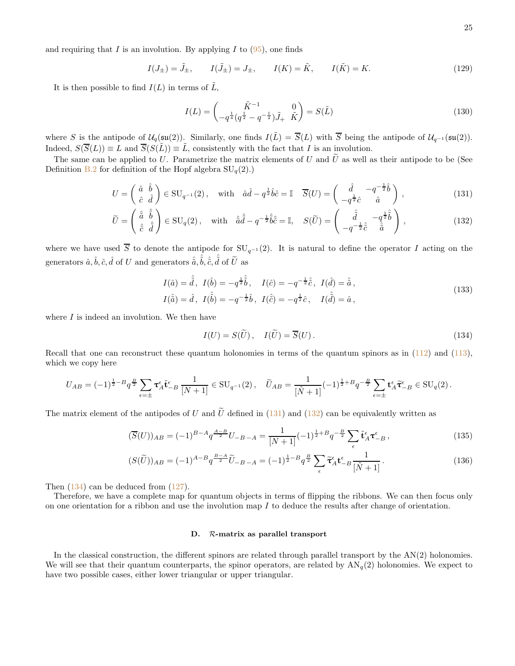and requiring that I is an involution. By applying I to  $(95)$ , one finds

$$
I(J_{\pm}) = \tilde{J}_{\pm}, \qquad I(\tilde{J}_{\pm}) = J_{\pm}, \qquad I(K) = \tilde{K}, \qquad I(\tilde{K}) = K.
$$
 (129)

It is then possible to find  $I(L)$  in terms of  $\tilde{L}$ ,

<span id="page-24-1"></span>
$$
I(L) = \begin{pmatrix} \tilde{K}^{-1} & 0\\ -q^{\frac{1}{4}}(q^{\frac{1}{2}} - q^{-\frac{1}{2}})\tilde{J}_{+} & \tilde{K} \end{pmatrix} = S(\tilde{L})
$$
\n(130)

where S is the antipode of  $\mathcal{U}_q(\mathfrak{su}(2))$ . Similarly, one finds  $I(\tilde{L}) = \overline{S}(L)$  with  $\overline{S}$  being the antipode of  $\mathcal{U}_{q^{-1}}(\mathfrak{su}(2))$ . Indeed,  $S(\overline{S}(L)) \equiv L$  and  $\overline{S}(S(\tilde{L})) \equiv \tilde{L}$ , consistently with the fact that I is an involution.

The same can be applied to U. Parametrize the matrix elements of U and  $\tilde{U}$  as well as their antipode to be (See Definition [B.2](#page-35-1) for definition of the Hopf algebra  $SU_q(2)$ .)

$$
U = \begin{pmatrix} \hat{a} & \hat{b} \\ \hat{c} & \hat{d} \end{pmatrix} \in \text{SU}_{q^{-1}}(2), \quad \text{with} \quad \hat{a}\hat{d} - q^{\frac{1}{2}}\hat{b}\hat{c} = \mathbb{I} \quad \overline{S}(U) = \begin{pmatrix} \hat{d} & -q^{-\frac{1}{2}}\hat{b} \\ -q^{\frac{1}{2}}\hat{c} & \hat{a} \end{pmatrix}, \tag{131}
$$

$$
\widetilde{U} = \begin{pmatrix} \hat{\tilde{a}} & \hat{\tilde{b}} \\ \hat{c} & \hat{\tilde{d}} \end{pmatrix} \in \mathrm{SU}_q(2), \quad \text{with} \quad \hat{\tilde{a}}\hat{\tilde{d}} - q^{-\frac{1}{2}}\hat{\tilde{b}}\hat{\tilde{c}} = \mathbb{I}, \quad S(\widetilde{U}) = \begin{pmatrix} \hat{\tilde{d}} & -q^{\frac{1}{2}}\hat{\tilde{b}} \\ -q^{-\frac{1}{2}}\hat{\tilde{c}} & \hat{\tilde{a}} \end{pmatrix}, \tag{132}
$$

where we have used  $\overline{S}$  to denote the antipode for  $SU_{q^{-1}}(2)$ . It is natural to define the operator I acting on the generators  $\hat{a}, \hat{b}, \hat{c}, \hat{d}$  of  $U$  and generators  $\hat{\tilde{a}}, \hat{\tilde{b}}, \hat{\tilde{c}}, \hat{\tilde{d}}$  of  $\tilde{U}$  as

$$
I(\hat{a}) = \hat{\tilde{d}}, \ I(\hat{b}) = -q^{\frac{1}{2}}\hat{\tilde{b}}, \ I(\hat{c}) = -q^{-\frac{1}{2}}\hat{\tilde{c}}, \ I(\hat{d}) = \hat{\tilde{a}},
$$
  

$$
I(\hat{\tilde{a}}) = \hat{d}, \ I(\hat{\tilde{b}}) = -q^{-\frac{1}{2}}\hat{b}, \ I(\hat{\tilde{c}}) = -q^{\frac{1}{2}}\hat{c}, \ I(\hat{\tilde{d}}) = \hat{a},
$$
\n(133)

where  $I$  is indeed an involution. We then have

<span id="page-24-3"></span><span id="page-24-2"></span>
$$
I(U) = S(\widetilde{U}), \quad I(\widetilde{U}) = \overline{S}(U). \tag{134}
$$

Recall that one can reconstruct these quantum holonomies in terms of the quantum spinors as in [\(112\)](#page-22-1) and [\(113\)](#page-22-2), which we copy here

$$
U_{AB} = (-1)^{\frac{1}{2}-B} q^{\frac{B}{2}} \sum_{\epsilon=\pm} \tau_A^{\epsilon} \tilde{\mathbf{t}}_{-B}^{\epsilon} \frac{1}{[N+1]} \in \text{SU}_{q^{-1}}(2), \quad \widetilde{U}_{AB} = \frac{1}{[\tilde{N}+1]} (-1)^{\frac{1}{2}+B} q^{-\frac{B}{2}} \sum_{\epsilon=\pm} \mathbf{t}_A^{\epsilon} \tilde{\tau}_{-B}^{\epsilon} \in \text{SU}_q(2).
$$

The matrix element of the antipodes of U and  $\tilde{U}$  defined in [\(131\)](#page-24-1) and [\(132\)](#page-24-2) can be equivalently written as

$$
(\overline{S}(U))_{AB} = (-1)^{B-A} q^{\frac{A-B}{2}} U_{-B-A} = \frac{1}{[N+1]} (-1)^{\frac{1}{2}+B} q^{-\frac{B}{2}} \sum_{\epsilon} \tilde{\mathbf{t}}_A^{\epsilon} \mathbf{\tau}_{-B}^{\epsilon} ,
$$
\n(135)

$$
(S(\tilde{U}))_{AB} = (-1)^{A-B} q^{\frac{B-A}{2}} \tilde{U}_{-B-A} = (-1)^{\frac{1}{2}-B} q^{\frac{B}{2}} \sum_{\epsilon} \tilde{\tau}_A^{\epsilon} t_{-B}^{\epsilon} \frac{1}{[\tilde{N}+1]}.
$$
 (136)

Then  $(134)$  can be deduced from  $(127)$ .

Therefore, we have a complete map for quantum objects in terms of flipping the ribbons. We can then focus only on one orientation for a ribbon and use the involution map I to deduce the results after change of orientation.

#### <span id="page-24-0"></span>D. R-matrix as parallel transport

In the classical construction, the different spinors are related through parallel transport by the  $AN(2)$  holonomies. We will see that their quantum counterparts, the spinor operators, are related by  $AN_q(2)$  holonomies. We expect to have two possible cases, either lower triangular or upper triangular.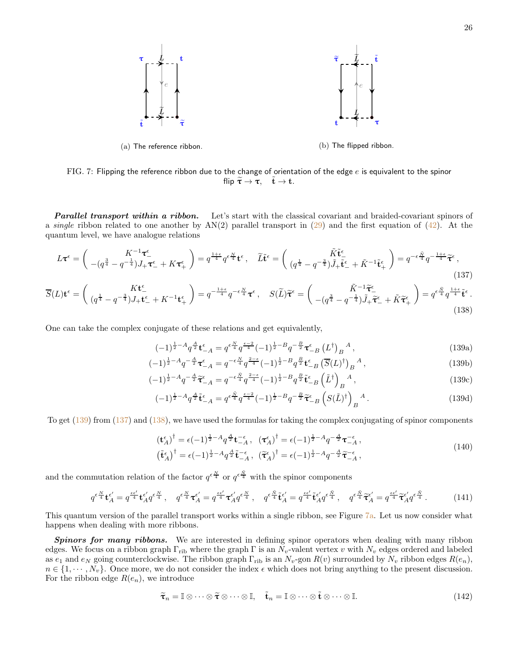<span id="page-25-3"></span>

FIG. 7: Flipping the reference ribbon due to the change of orientation of the edge  $e$  is equivalent to the spinor flip  $\tilde{\tau} \to \tau$ ,  $\tilde{t} \to t$ .

**Parallel transport within a ribbon.** Let's start with the classical covariant and braided-covariant spinors of a single ribbon related to one another by  $AN(2)$  parallel transport in [\(29\)](#page-8-2) and the first equation of [\(42\)](#page-10-1). At the quantum level, we have analogue relations

$$
L\boldsymbol{\tau}^{\epsilon} = \begin{pmatrix} K^{-1}\boldsymbol{\tau}_{-}^{\epsilon} \\ -(q^{\frac{3}{4}} - q^{-\frac{1}{4}})J_{+}\boldsymbol{\tau}_{-}^{\epsilon} + K\boldsymbol{\tau}_{+}^{\epsilon} \end{pmatrix} = q^{\frac{1+\epsilon}{4}}q^{\epsilon\frac{N}{4}}\mathbf{t}^{\epsilon}, \quad \widetilde{L}\tilde{\mathbf{t}}^{\epsilon} = \begin{pmatrix} \widetilde{K}\tilde{\mathbf{t}}_{-}^{\epsilon} \\ (q^{\frac{1}{4}} - q^{-\frac{3}{4}})\widetilde{J}_{+}\tilde{\mathbf{t}}_{-}^{\epsilon} + \widetilde{K}^{-1}\tilde{\mathbf{t}}_{+}^{\epsilon} \end{pmatrix} = q^{-\epsilon\frac{\widetilde{N}}{4}}q^{-\frac{1+\epsilon}{4}}\widetilde{\boldsymbol{\tau}}^{\epsilon},
$$
\n(137)

$$
\overline{S}(L)\mathbf{t}^{\epsilon} = \begin{pmatrix} K\mathbf{t}^{\epsilon}_{-} \\ (q^{\frac{1}{4}} - q^{-\frac{3}{4}})J_{+}\mathbf{t}^{\epsilon}_{-} + K^{-1}\mathbf{t}^{\epsilon}_{+} \end{pmatrix} = q^{-\frac{1+\epsilon}{4}}q^{-\epsilon\frac{N}{4}}\mathbf{\tau}^{\epsilon}, \quad S(\widetilde{L})\widetilde{\mathbf{\tau}}^{\epsilon} = \begin{pmatrix} \widetilde{K}^{-1}\widetilde{\mathbf{\tau}}^{\epsilon}_{-} \\ -(q^{\frac{3}{4}} - q^{-\frac{1}{4}})\widetilde{J}_{+}\widetilde{\mathbf{\tau}}^{\epsilon}_{-} + \widetilde{K}\widetilde{\mathbf{\tau}}^{\epsilon}_{+} \end{pmatrix} = q^{\epsilon\frac{\widetilde{N}}{4}}q^{\frac{1+\epsilon}{4}}\widetilde{\mathbf{t}}^{\epsilon}.
$$
\n(138)

One can take the complex conjugate of these relations and get equivalently,

<span id="page-25-2"></span><span id="page-25-1"></span>
$$
(-1)^{\frac{1}{2}-A}q^{\frac{A}{2}}\mathbf{t}_{-A}^{\epsilon} = q^{\epsilon \frac{N}{4}}q^{\frac{\epsilon-2}{4}}(-1)^{\frac{1}{2}-B}q^{-\frac{B}{2}}\boldsymbol{\tau}_{-B}^{\epsilon}\left(L^{\dagger}\right)_{B}{}^{A},\tag{139a}
$$

$$
(-1)^{\frac{1}{2}-A}q^{-\frac{A}{2}}\tau_{-A}^{\epsilon} = q^{-\epsilon\frac{N}{4}}q^{\frac{2-\epsilon}{4}}(-1)^{\frac{1}{2}-B}q^{\frac{B}{2}}\mathbf{t}_{-B}^{\epsilon}\left(\overline{S}(L)^{\dagger}\right)_{B}{}^{A},\tag{139b}
$$
\n
$$
(-1)^{\frac{1}{2}-A}q^{-\frac{A}{2}}\widetilde{\tau}^{\epsilon} = -q^{-\epsilon\frac{N}{4}}q^{\frac{2-\epsilon}{4}}(-1)^{\frac{1}{2}-B}q^{\frac{B}{2}}\widetilde{\tau}^{\epsilon}\left(\widetilde{I}^{\dagger}\right){}^{A}\tag{139c}
$$

$$
(-1)^{\frac{1}{2}-A}q^{-\frac{A}{2}}\widetilde{\tau}_{-A}^{\epsilon} = q^{-\epsilon \frac{\tilde{N}}{4}}q^{\frac{2-\epsilon}{4}}(-1)^{\frac{1}{2}-B}q^{\frac{B}{2}}\widetilde{\mathbf{t}}_{-B}^{\epsilon}\left(\widetilde{L}^{\dagger}\right)_{B}{}^{A},\tag{139c}
$$

$$
(-1)^{\frac{1}{2}-A}q^{\frac{A}{2}}\tilde{\mathbf{t}}_{-A}^{\epsilon} = q^{\epsilon \frac{\tilde{N}}{4}}q^{\frac{\epsilon-2}{4}}(-1)^{\frac{1}{2}-B}q^{-\frac{B}{2}}\tilde{\boldsymbol{\tau}}_{-B}^{\epsilon}\left(S(\tilde{L})^{\dagger}\right)_{B}{}^{A}.
$$
\n(139d)

To get  $(139)$  from  $(137)$  and  $(138)$ , we have used the formulas for taking the complex conjugating of spinor components

<span id="page-25-0"></span>
$$
\begin{split}\n(\mathbf{t}_{A}^{\epsilon})^{\dagger} &= \epsilon(-1)^{\frac{1}{2}-A}q^{\frac{A}{2}}\mathbf{t}_{-A}^{-\epsilon}, \quad (\mathbf{\tau}_{A}^{\epsilon})^{\dagger} = \epsilon(-1)^{\frac{1}{2}-A}q^{-\frac{A}{2}}\mathbf{\tau}_{-A}^{-\epsilon}, \\
(\tilde{\mathbf{t}}_{A}^{\epsilon})^{\dagger} &= \epsilon(-1)^{\frac{1}{2}-A}q^{\frac{A}{2}}\tilde{\mathbf{t}}_{-A}^{-\epsilon}, \quad (\tilde{\mathbf{\tau}}_{A}^{\epsilon})^{\dagger} = \epsilon(-1)^{\frac{1}{2}-A}q^{-\frac{A}{2}}\tilde{\mathbf{\tau}}_{-A}^{-\epsilon},\n\end{split} \tag{140}
$$

and the commutation relation of the factor  $q^{\epsilon \frac{N}{4}}$  or  $q^{\epsilon \frac{\tilde{N}}{4}}$  with the spinor components

$$
q^{\epsilon \frac{N}{4}} \mathbf{t}_{A}^{\epsilon'} = q^{\frac{\epsilon \epsilon'}{4}} \mathbf{t}_{A}^{\epsilon'} q^{\epsilon \frac{N}{4}}, \quad q^{\epsilon \frac{N}{4}} \mathbf{\tau}_{A}^{\epsilon'} = q^{\frac{\epsilon \epsilon'}{4}} \mathbf{\tau}_{A}^{\epsilon'} q^{\epsilon \frac{N}{4}}, \quad q^{\epsilon \frac{\tilde{N}}{4}} \mathbf{\tilde{t}}_{A}^{\epsilon'} = q^{\frac{\epsilon \epsilon'}{4}} \mathbf{\tilde{t}}_{A}^{\epsilon'} q^{\epsilon \frac{\tilde{N}}{4}}, \quad q^{\epsilon \frac{\tilde{N}}{4}} \mathbf{\tilde{t}}_{A}^{\epsilon'} = q^{\frac{\epsilon \epsilon'}{4}} \mathbf{\tilde{t}}_{A}^{\epsilon'} q^{\epsilon \frac{\tilde{N}}{4}}.
$$
 (141)

This quantum version of the parallel transport works within a single ribbon, see Figure [7a.](#page-25-3) Let us now consider what happens when dealing with more ribbons.

Spinors for many ribbons. We are interested in defining spinor operators when dealing with many ribbon edges. We focus on a ribbon graph  $\Gamma_{\text{rib}}$  where the graph  $\Gamma$  is an  $N_v$ -valent vertex v with  $N_v$  edges ordered and labeled as  $e_1$  and  $e_N$  going counterclockwise. The ribbon graph  $\Gamma_{\text{rib}}$  is an  $N_v$ -gon  $R(v)$  surrounded by  $N_v$  ribbon edges  $R(e_n)$ ,  $n \in \{1, \dots, N_v\}$ . Once more, we do not consider the index  $\epsilon$  which does not bring anything to the present discussion. For the ribbon edge  $R(e_n)$ , we introduce

$$
\widetilde{\boldsymbol{\tau}}_n = \mathbb{I} \otimes \cdots \otimes \widetilde{\boldsymbol{\tau}} \otimes \cdots \otimes \mathbb{I}, \quad \widetilde{\mathbf{t}}_n = \mathbb{I} \otimes \cdots \otimes \widetilde{\mathbf{t}} \otimes \cdots \otimes \mathbb{I}.
$$
\n(142)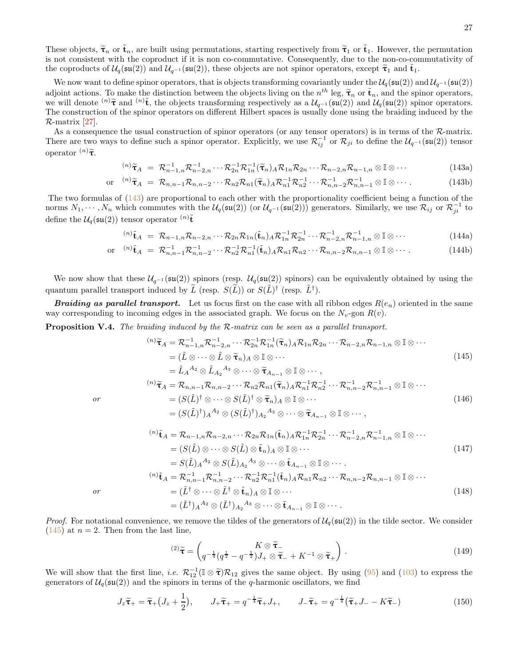These objects,  $\tilde{\tau}_n$  or  $\tilde{t}_n$ , are built using permutations, starting respectively from  $\tilde{\tau}_1$  or  $\tilde{t}_1$ . However, the permutation is not consistent with the coproduct if it is non co-commutative. Consequently, due to the non-co-commutativity of the coproducts of  $\mathcal{U}_q(\mathfrak{su}(2))$  and  $\mathcal{U}_{q^{-1}}(\mathfrak{su}(2))$ , these objects are not spinor operators, except  $\tilde{\tau}_1$  and  $\tilde{\mathbf{t}}_1$ .

We now want to define spinor operators, that is objects transforming covariantly under the  $\mathcal{U}_q(\mathfrak{su}(2))$  and  $\mathcal{U}_{q^{-1}}(\mathfrak{su}(2))$ adjoint actions. To make the distinction between the objects living on the  $n^{th}$  leg,  $\tilde{\tau}_n$  or  $\tilde{t}_n$ , and the spinor operators, we will denote  $^{(n)}\tilde{\tau}$  and  $^{(n)}\tilde{t}$ , the objects transforming respectively as a  $\mathcal{U}_{q^{-1}}(\mathfrak{su}(2))$  and  $\mathcal{U}_q(\mathfrak{su}(2))$  spinor operators. The construction of the spinor operators on different Hilbert spaces is usually done using the braiding induced by the R-matrix [\[27\]](#page-36-21).

As a consequence the usual construction of spinor operators (or any tensor operators) is in terms of the  $\mathcal{R}\text{-matrix}$ . There are two ways to define such a spinor operator. Explicitly, we use  $\mathcal{R}_{ij}^{-1}$  or  $\mathcal{R}_{ji}$  to define the  $\mathcal{U}_{q^{-1}}(\mathfrak{su}(2))$  tensor operator  $(n)\tilde{\tau}$ .

<span id="page-26-0"></span>
$$
^{(n)}\widetilde{\tau}_A = \mathcal{R}_{n-1,n}^{-1} \mathcal{R}_{n-2,n}^{-1} \cdots \mathcal{R}_{2n}^{-1} \mathcal{R}_{1n}^{-1} (\widetilde{\tau}_n)_A \mathcal{R}_{1n} \mathcal{R}_{2n} \cdots \mathcal{R}_{n-2,n} \mathcal{R}_{n-1,n} \otimes \mathbb{I} \otimes \cdots
$$
\n(143a)

$$
\text{or} \quad {}^{(n)}\widetilde{\tau}_A = \mathcal{R}_{n,n-1}\mathcal{R}_{n,n-2}\cdots \mathcal{R}_{n2}\mathcal{R}_{n1}(\widetilde{\tau}_n)_A \mathcal{R}_{n1}^{-1}\mathcal{R}_{n2}^{-1}\cdots \mathcal{R}_{n,n-2}^{-1}\mathcal{R}_{n,n-1}^{-1} \otimes \mathbb{I} \otimes \cdots \tag{143b}
$$

The two formulas of [\(143\)](#page-26-0) are proportional to each other with the proportionality coefficient being a function of the norms  $N_1, \dots, N_n$  which commutes with the  $\mathcal{U}_q(\mathfrak{su}(2))$  (or  $\mathcal{U}_{q^{-1}}(\mathfrak{su}(2))$ ) generators. Similarly, we use  $\mathcal{R}_{ij}$  or  $\mathcal{R}_{ji}^{-1}$  to define the  $\mathcal{U}_q(\mathfrak{su}(2))$  tensor operator  $\binom{n}{k}$ 

$$
^{(n)}\tilde{\mathbf{t}}_A = \mathcal{R}_{n-1,n}\mathcal{R}_{n-2,n}\cdots\mathcal{R}_{2n}\mathcal{R}_{1n}(\tilde{\mathbf{t}}_n)_A\mathcal{R}_{1n}^{-1}\mathcal{R}_{2n}^{-1}\cdots\mathcal{R}_{n-2,n}^{-1}\mathcal{R}_{n-1,n}^{-1}\otimes\mathbb{I}\otimes\cdots
$$
\n(144a)

$$
\text{or} \quad {}^{(n)}\tilde{\mathbf{t}}_A = \mathcal{R}_{n,n-1}^{-1} \mathcal{R}_{n,n-2}^{-1} \cdots \mathcal{R}_{n2}^{-1} \mathcal{R}_{n1}^{-1} (\tilde{\mathbf{t}}_n)_A \mathcal{R}_{n1} \mathcal{R}_{n2} \cdots \mathcal{R}_{n,n-2} \mathcal{R}_{n,n-1} \otimes \mathbb{I} \otimes \cdots. \tag{144b}
$$

We now show that these  $U_{q^{-1}}(\mathfrak{su}(2))$  spinors (resp.  $U_q(\mathfrak{su}(2))$  spinors) can be equivalently obtained by using the quantum parallel transport induced by  $\widetilde{L}$  (resp.  $S(\widetilde{L})$ ) or  $S(\widetilde{L})^{\dagger}$  (resp.  $\widetilde{L}^{\dagger}$ ).

**Braiding as parallel transport.** Let us focus first on the case with all ribbon edges  $R(e_n)$  oriented in the same way corresponding to incoming edges in the associated graph. We focus on the  $N_v$ -gon  $R(v)$ .

<span id="page-26-4"></span>Proposition V.4. The braiding induced by the R-matrix can be seen as a parallel transport.

$$
\begin{split}\n^{(n)}\widetilde{\tau}_{A} &= \mathcal{R}_{n-1,n}^{-1}\mathcal{R}_{n-2,n}^{-1}\cdots\mathcal{R}_{2n}^{-1}\mathcal{R}_{1n}^{-1}(\widetilde{\tau}_{n})_{A}\mathcal{R}_{1n}\mathcal{R}_{2n}\cdots\mathcal{R}_{n-2,n}\mathcal{R}_{n-1,n}\otimes\mathbb{I}\otimes\cdots \\
&= (\widetilde{L}\otimes\cdots\otimes\widetilde{L}\otimes\widetilde{\tau}_{n})_{A}\otimes\mathbb{I}\otimes\cdots \\
&= \widetilde{L}_{A}^{A_{2}}\otimes\widetilde{L}_{A_{2}}^{A_{3}}\otimes\cdots\otimes\widetilde{\tau}_{A_{n-1}}\otimes\mathbb{I}\otimes\cdots,\n\end{split} \tag{145}
$$
\n
$$
\begin{split}\n^{(n)}\widetilde{\tau}_{A} &= \mathcal{R}_{n,n-1}\mathcal{R}_{n,n-2}\cdots\mathcal{R}_{n2}\mathcal{R}_{n1}(\widetilde{\tau}_{n})_{A}\mathcal{R}_{n1}^{-1}\mathcal{R}_{n2}^{-1}\cdots\mathcal{R}_{n,n-2}\mathcal{R}_{n,n-1}^{-1}\otimes\mathbb{I}\otimes\cdots\n\end{split}
$$

or

$$
^{(n)}\widetilde{\tau}_A = \mathcal{R}_{n,n-1}\mathcal{R}_{n,n-2}\cdots\mathcal{R}_{n2}\mathcal{R}_{n1}(\widetilde{\tau}_n)_A\mathcal{R}_{n1}^{-1}\mathcal{R}_{n2}^{-1}\cdots\mathcal{R}_{n,n-2}^{-1}\mathcal{R}_{n,n-1}^{-1}\otimes\mathbb{I}\otimes\cdots
$$
  
\n
$$
= (S(\widetilde{L})^{\dagger}\otimes\cdots\otimes S(\widetilde{L})^{\dagger}\otimes\widetilde{\tau}_n)_A\otimes\mathbb{I}\otimes\cdots
$$
  
\n
$$
= (S(\widetilde{L})^{\dagger})_A{}^{A_2}\otimes (S(\widetilde{L})^{\dagger})_{A_2}{}^{A_3}\otimes\cdots\otimes\widetilde{\tau}_{A_{n-1}}\otimes\mathbb{I}\otimes\cdots,
$$
  
\n(146)

$$
\begin{split}\n^{(n)}\tilde{\mathbf{t}}_{A} &= \mathcal{R}_{n-1,n}\mathcal{R}_{n-2,n}\cdots\mathcal{R}_{2n}\mathcal{R}_{1n}(\tilde{\mathbf{t}}_{n})_{A}\mathcal{R}_{1n}^{-1}\mathcal{R}_{2n}^{-1}\cdots\mathcal{R}_{n-2,n}^{-1}\mathcal{R}_{n-1,n}^{-1}\otimes\mathbb{I}\otimes\cdots \\
&= (S(\tilde{L})\otimes\cdots\otimes S(\tilde{L})\otimes\tilde{\mathbf{t}}_{n})_{A}\otimes\mathbb{I}\otimes\cdots \\
&= S(\tilde{L})_{A}{}^{A_{2}}\otimes S(\tilde{L})_{A_{2}}{}^{A_{3}}\otimes\cdots\otimes\tilde{\mathbf{t}}_{A_{n-1}}\otimes\mathbb{I}\otimes\cdots \\
^{(n)}\tilde{\mathbf{t}}_{A} &= \mathcal{R}_{n,n-1}^{-1}\mathcal{R}_{n,n-2}^{-1}\cdots\mathcal{R}_{n2}^{-1}\mathcal{R}_{n1}^{-1}(\tilde{\mathbf{t}}_{n})_{A}\mathcal{R}_{n1}\mathcal{R}_{n2}\cdots\mathcal{R}_{n,n-2}\mathcal{R}_{n,n-1}\otimes\mathbb{I}\otimes\cdots\n\end{split} \tag{147}
$$

or

*Proof.* For notational convenience, we remove the tildes of the generators of 
$$
\mathcal{U}_q(\mathfrak{su}(2))
$$
 in the tilde sector. We consider (145) at  $n = 2$ . Then from the last line,

 $=(\tilde{L}^{\dagger})_{A}{}^{A_2}\otimes (\tilde{L}^{\dagger})_{A_2}{}^{A_3}\otimes \cdots \otimes \tilde{\mathbf{t}}_{A_{n-1}} \otimes \mathbb{I} \otimes \cdots.$ 

 $=(\tilde{L}^\dagger\otimes\cdots\otimes\tilde{L}^\dagger\otimes\tilde{\mathbf{t}}_n)_A\otimes\mathbb{I}\otimes\cdots$ 

$$
{}^{(2)}\widetilde{\boldsymbol{\tau}} = \begin{pmatrix} K \otimes \widetilde{\boldsymbol{\tau}}_{-} & K \otimes \widetilde{\boldsymbol{\tau}}_{-} \\ q^{-\frac{1}{4}}(q^{\frac{1}{2}} - q^{-\frac{1}{2}})J_{+} \otimes \widetilde{\boldsymbol{\tau}}_{-} + K^{-1} \otimes \widetilde{\boldsymbol{\tau}}_{+} \end{pmatrix} . \tag{149}
$$

We will show that the first line, *i.e.*  $\mathcal{R}_1^{-1}(\mathbb{I} \otimes \tilde{\tau})\mathcal{R}_{12}$  gives the same object. By using [\(95\)](#page-19-1) and [\(103\)](#page-20-0) to express the generators of  $\mathcal{U}_q(\mathfrak{su}(2))$  and the spinors in terms of the q-harmonic oscillators, we find

$$
J_z \widetilde{\tau}_+ = \widetilde{\tau}_+ \left( J_z + \frac{1}{2} \right), \qquad J_+ \widetilde{\tau}_+ = q^{-\frac{1}{4}} \widetilde{\tau}_+ J_+, \qquad J_- \widetilde{\tau}_+ = q^{-\frac{1}{4}} \left( \widetilde{\tau}_+ J_- - K \widetilde{\tau}_- \right) \tag{150}
$$

<span id="page-26-5"></span><span id="page-26-3"></span><span id="page-26-2"></span><span id="page-26-1"></span>(148)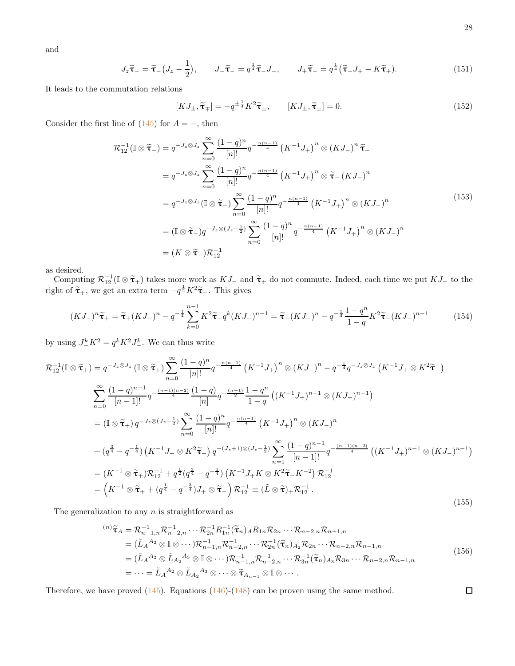and

$$
J_z\tilde{\tau}_- = \tilde{\tau}_-\left(J_z - \frac{1}{2}\right), \qquad J_-\tilde{\tau}_- = q^{\frac{1}{4}}\tilde{\tau}_- J_-, \qquad J_+\tilde{\tau}_- = q^{\frac{1}{4}}\left(\tilde{\tau}_- J_+ - K\tilde{\tau}_+\right). \tag{151}
$$

It leads to the commutation relations

$$
[KJ_{\pm}, \widetilde{\tau}_{\mp}] = -q^{\pm \frac{1}{4}} K^2 \widetilde{\tau}_{\pm}, \qquad [KJ_{\pm}, \widetilde{\tau}_{\pm}] = 0.
$$
 (152)

Consider the first line of  $(145)$  for  $A = -$ , then

$$
\mathcal{R}_{12}^{-1}(\mathbb{I} \otimes \widetilde{\tau}_{-}) = q^{-J_{z} \otimes J_{z}} \sum_{n=0}^{\infty} \frac{(1-q)^{n}}{[n]!} q^{-\frac{n(n-1)}{4}} \left(K^{-1}J_{+}\right)^{n} \otimes (KJ_{-})^{n} \widetilde{\tau}_{-}
$$
\n
$$
= q^{-J_{z} \otimes J_{z}} \sum_{n=0}^{\infty} \frac{(1-q)^{n}}{[n]!} q^{-\frac{n(n-1)}{4}} \left(K^{-1}J_{+}\right)^{n} \otimes \widetilde{\tau}_{-} (KJ_{-})^{n}
$$
\n
$$
= q^{-J_{z} \otimes J_{z}} (\mathbb{I} \otimes \widetilde{\tau}_{-}) \sum_{n=0}^{\infty} \frac{(1-q)^{n}}{[n]!} q^{-\frac{n(n-1)}{4}} \left(K^{-1}J_{+}\right)^{n} \otimes (KJ_{-})^{n}
$$
\n
$$
= (\mathbb{I} \otimes \widetilde{\tau}_{-}) q^{-J_{z} \otimes (J_{z}-\frac{1}{2})} \sum_{n=0}^{\infty} \frac{(1-q)^{n}}{[n]!} q^{-\frac{n(n-1)}{4}} \left(K^{-1}J_{+}\right)^{n} \otimes (KJ_{-})^{n}
$$
\n
$$
= (K \otimes \widetilde{\tau}_{-}) \mathcal{R}_{12}^{-1}
$$
\n(153)

as desired.

Computing  $\mathcal{R}_{12}^{-1}(\mathbb{I} \otimes \tilde{\tau}_+)$  takes more work as  $KJ_-$  and  $\tilde{\tau}_+$  do not commute. Indeed, each time we put  $KJ_-$  to the right of  $\tilde{\tau}_{+}$ , we get an extra term  $-q^{\frac{1}{2}}K^{2}\tilde{\tau}_{-}$ . This gives

$$
(KJ_-)^n \tilde{\tau}_+ = \tilde{\tau}_+(KJ_-)^n - q^{-\frac{1}{4}} \sum_{k=0}^{n-1} K^2 \tilde{\tau}_- q^k (KJ_-)^{n-1} = \tilde{\tau}_+(KJ_-)^n - q^{-\frac{1}{4}} \frac{1 - q^n}{1 - q} K^2 \tilde{\tau}_-(KJ_-)^{n-1}
$$
(154)

by using  $J_{-}^{k}K^{2} = q^{k}K^{2}J_{-}^{k}$ . We can thus write

$$
\mathcal{R}_{12}^{-1}(\mathbb{I}\otimes\tilde{\tau}_{+}) = q^{-J_{z}\otimes J_{z}}(\mathbb{I}\otimes\tilde{\tau}_{+})\sum_{n=0}^{\infty}\frac{(1-q)^{n}}{[n]!}q^{-\frac{n(n-1)}{4}}\left(K^{-1}J_{+}\right)^{n}\otimes(KJ_{-})^{n}-q^{-\frac{1}{4}}q^{-J_{z}\otimes J_{z}}\left(K^{-1}J_{+}\otimes K^{2}\tilde{\tau}_{-}\right)
$$
  

$$
\sum_{n=0}^{\infty}\frac{(1-q)^{n-1}}{[n-1]!}q^{-\frac{(n-1)(n-2)}{4}}\frac{(1-q)}{[n]}q^{-\frac{(n-1)}{2}}\frac{1-q^{n}}{1-q}\left((K^{-1}J_{+})^{n-1}\otimes(KJ_{-})^{n-1}\right)
$$
  

$$
=(\mathbb{I}\otimes\tilde{\tau}_{+})q^{-J_{z}\otimes(J_{z}+\frac{1}{2})}\sum_{n=0}^{\infty}\frac{(1-q)^{n}}{[n]!}q^{-\frac{n(n-1)}{4}}\left(K^{-1}J_{+}\right)^{n}\otimes(KJ_{-})^{n}
$$
  

$$
+(q^{\frac{3}{4}}-q^{-\frac{1}{4}})\left(K^{-1}J_{+}\otimes K^{2}\tilde{\tau}_{-}\right)q^{-(J_{z}+1)\otimes(J_{z}-\frac{1}{2})}\sum_{n=1}^{\infty}\frac{(1-q)^{n-1}}{[n-1]!}q^{-\frac{(n-1)(n-2)}{4}}\left((K^{-1}J_{+})^{n-1}\otimes(KJ_{-})^{n-1}\right)
$$
  

$$
=(K^{-1}\otimes\tilde{\tau}_{+})\mathcal{R}_{12}^{-1}+q^{\frac{1}{2}}(q^{\frac{3}{4}}-q^{-\frac{1}{4}})\left(K^{-1}J_{+}K\otimes K^{2}\tilde{\tau}_{-}K^{-2}\right)\mathcal{R}_{12}^{-1}
$$
  

$$
=\left(K^{-1}\otimes\tilde{\tau}_{+}+(q^{\frac{1}{4}}-q^{-\frac{3}{4}})J_{+}\otimes\tilde{\tau}_{-}\right)\mathcal{R}_{12}^{-1}\equiv(\tilde{L}\otimes\tilde{\tau}_{+})\mathcal{R}_{12}^{-1}.
$$
 (15

The generalization to any  $n$  is straightforward as

$$
\begin{split}\n^{(n)}\tilde{\tau}_{A} &= \mathcal{R}_{n-1,n}^{-1}\mathcal{R}_{n-2,n}^{-1}\cdots\mathcal{R}_{2n}^{-1}R_{1n}^{-1}(\tilde{\tau}_{n})_{A}R_{1n}\mathcal{R}_{2n}\cdots\mathcal{R}_{n-2,n}\mathcal{R}_{n-1,n} \\
&= (\tilde{L}_{A}^{A_{2}} \otimes \mathbb{I} \otimes \cdots)\mathcal{R}_{n-1,n}^{-1}\mathcal{R}_{n-2,n}^{-1}\cdots\mathcal{R}_{2n}^{-1}(\tilde{\tau}_{n})_{A_{2}}\mathcal{R}_{2n}\cdots\mathcal{R}_{n-2,n}\mathcal{R}_{n-1,n} \\
&= (\tilde{L}_{A}^{A_{2}} \otimes \tilde{L}_{A_{2}}^{A_{3}} \otimes \mathbb{I} \otimes \cdots)\mathcal{R}_{n-1,n}^{-1}\mathcal{R}_{n-2,n}^{-1}\cdots\mathcal{R}_{3n}^{-1}(\tilde{\tau}_{n})_{A_{3}}\mathcal{R}_{3n}\cdots\mathcal{R}_{n-2,n}\mathcal{R}_{n-1,n} \\
&= \cdots = \tilde{L}_{A}^{A_{2}} \otimes \tilde{L}_{A_{2}}^{A_{3}} \otimes \cdots \otimes \tilde{\tau}_{A_{n-1}} \otimes \mathbb{I} \otimes \cdots\n\end{split} \tag{156}
$$

Therefore, we have proved  $(145)$ . Equations  $(146)-(148)$  $(146)-(148)$  can be proven using the same method.

 $\Box$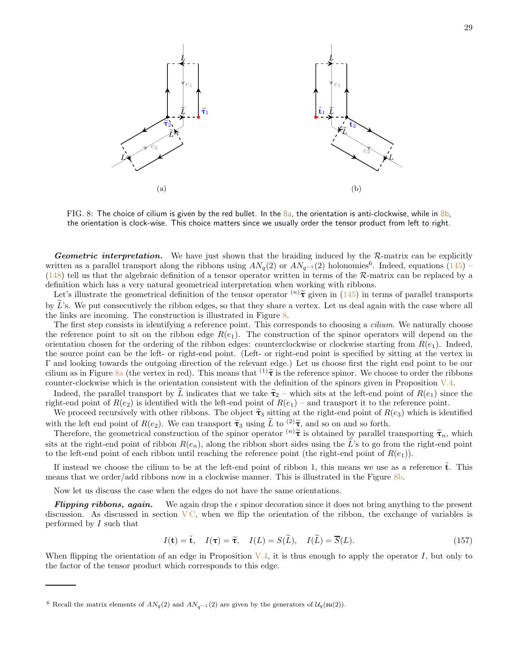<span id="page-28-0"></span>

FIG. 8: The choice of cilium is given by the red bullet. In the  $8a$ , the orientation is anti-clockwise, while in  $8b$ , the orientation is clock-wise. This choice matters since we usually order the tensor product from left to right.

Geometric interpretation. We have just shown that the braiding induced by the R-matrix can be explicitly written as a parallel transport along the ribbons using  $AN_q(2)$  or  $AN_{q^{-1}}(2)$  holonomies<sup>6</sup>. Indeed, equations  $(145)$  –  $(148)$  tell us that the algebraic definition of a tensor operator written in terms of the R-matrix can be replaced by a definition which has a very natural geometrical interpretation when working with ribbons.

Let's illustrate the geometrical definition of the tensor operator  $^{(n)}\tilde{\tau}$  given in [\(145\)](#page-26-1) in terms of parallel transports by  $\tilde{L}$ 's. We put consecutively the ribbon edges, so that they share a vertex. Let us deal again with the case where all the links are incoming. The construction is illustrated in Figure [8.](#page-28-0)

The first step consists in identifying a reference point. This corresponds to choosing a *cilium*. We naturally choose the reference point to sit on the ribbon edge  $R(e_1)$ . The construction of the spinor operators will depend on the orientation chosen for the ordering of the ribbon edges: counterclockwise or clockwise starting from  $R(e_1)$ . Indeed, the source point can be the left- or right-end point. (Left- or right-end point is specified by sitting at the vertex in Γ and looking towards the outgoing direction of the relevant edge.) Let us choose first the right end point to be our cilium as in Figure [8a](#page-28-0) (the vertex in red). This means that  $^{(1)}\tilde{\tau}$  is the reference spinor. We choose to order the ribbons counter-clockwise which is the orientation consistent with the definition of the spinors given in Proposition [V.4.](#page-26-4)

Indeed, the parallel transport by L indicates that we take  $\tilde{\tau}_2$  – which sits at the left-end point of  $R(e_1)$  since the right-end point of  $R(e_2)$  is identified with the left-end point of  $R(e_1)$  – and transport it to the reference point.

We proceed recursively with other ribbons. The object  $\tilde{\tau}_3$  sitting at the right-end point of  $R(e_3)$  which is identified

with the left end point of  $R(e_2)$ . We can transport  $\tilde{\tau}_3$  using  $\tilde{L}$  to  $(2)\tilde{\tau}$ , and so on and so forth.<br>Therefore, the geometrical construction of the spinor operator  $\binom{n}{\tilde{\tau}}$  is obtained by parallel tra sits at the right-end point of ribbon  $R(e_n)$ , along the ribbon short sides using the L's to go from the right-end point to the left-end point of each ribbon until reaching the reference point (the right-end point of  $R(e_1)$ ).

If instead we choose the cilium to be at the left-end point of ribbon 1, this means we use as a reference  $\tilde{t}$ . This means that we order/add ribbons now in a clockwise manner. This is illustrated in the Figure [8b.](#page-28-0)

Now let us discuss the case when the edges do not have the same orientations.

**Flipping ribbons, again.** We again drop the  $\epsilon$  spinor decoration since it does not bring anything to the present discussion. As discussed in section  $\overline{VC}$ , when we flip the orientation of the ribbon, the exchange of variables is performed by  $I$  such that

$$
I(\mathbf{t}) = \tilde{\mathbf{t}}, \quad I(\boldsymbol{\tau}) = \tilde{\boldsymbol{\tau}}, \quad I(L) = S(\tilde{L}), \quad I(\tilde{L}) = \overline{S}(L). \tag{157}
$$

When flipping the orientation of an edge in Proposition  $V.4$ , it is thus enough to apply the operator I, but only to the factor of the tensor product which corresponds to this edge.

<sup>6</sup> Recall the matrix elements of  $AN_q(2)$  and  $AN_{q-1}(2)$  are given by the generators of  $\mathcal{U}_q(\mathfrak{su}(2))$ .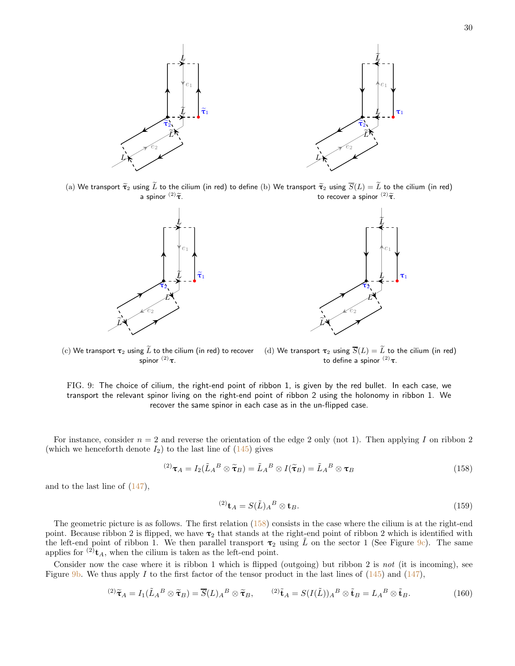<span id="page-29-1"></span>

(a) We transport  $\tilde{\tau}_2$  using  $\tilde{L}$  to the cilium (in red) to define (b) We transport  $\widetilde{\tau}_2$  using  $\overline{S}(L) = \widetilde{L}$  to the cilium (in red) a spinor  $(2)\widetilde{\tau}$ . to recover a spinor  $^{(2)}\tilde{\tau}$ .





(c) We transport  $\tau_2$  using  $\widetilde{L}$  to the cilium (in red) to recover spinor  $^{(2)}$ τ. (d) We transport  $\tau_2$  using  $\overline{S}(L) = \widetilde{L}$  to the cilium (in red) to define a spinor  $(2)$ τ.

FIG. 9: The choice of cilium, the right-end point of ribbon 1, is given by the red bullet. In each case, we transport the relevant spinor living on the right-end point of ribbon 2 using the holonomy in ribbon 1. We recover the same spinor in each case as in the un-flipped case.

For instance, consider  $n = 2$  and reverse the orientation of the edge 2 only (not 1). Then applying I on ribbon 2 (which we henceforth denote  $I_2$ ) to the last line of  $(145)$  gives

<span id="page-29-0"></span>
$$
^{(2)}\boldsymbol{\tau}_A = I_2(\tilde{L}_A{}^B \otimes \tilde{\boldsymbol{\tau}}_B) = \tilde{L}_A{}^B \otimes I(\tilde{\boldsymbol{\tau}}_B) = \tilde{L}_A{}^B \otimes \boldsymbol{\tau}_B
$$
\n(158)

and to the last line of  $(147)$ ,

<span id="page-29-2"></span>
$$
^{(2)}\mathbf{t}_A = S(\tilde{L})_A{}^B \otimes \mathbf{t}_B. \tag{159}
$$

The geometric picture is as follows. The first relation  $(158)$  consists in the case where the cilium is at the right-end point. Because ribbon 2 is flipped, we have  $\tau_2$  that stands at the right-end point of ribbon 2 which is identified with the left-end point of ribbon 1. We then parallel transport  $\tau_2$  using  $\tilde{L}$  on the sector 1 (See Figure [9c\)](#page-29-1). The same applies for  $^{(2)}$ t<sub>A</sub>, when the cilium is taken as the left-end point.

Consider now the case where it is ribbon 1 which is flipped (outgoing) but ribbon 2 is not (it is incoming), see Figure [9b.](#page-29-1) We thus apply I to the first factor of the tensor product in the last lines of  $(145)$  and  $(147)$ ,

$$
^{(2)}\widetilde{\tau}_A = I_1(\widetilde{L}_A{}^B \otimes \widetilde{\tau}_B) = \overline{S}(L)_A{}^B \otimes \widetilde{\tau}_B, \qquad ^{(2)}\widetilde{\mathbf{t}}_A = S(I(\widetilde{L}))_A{}^B \otimes \widetilde{\mathbf{t}}_B = L_A{}^B \otimes \widetilde{\mathbf{t}}_B. \tag{160}
$$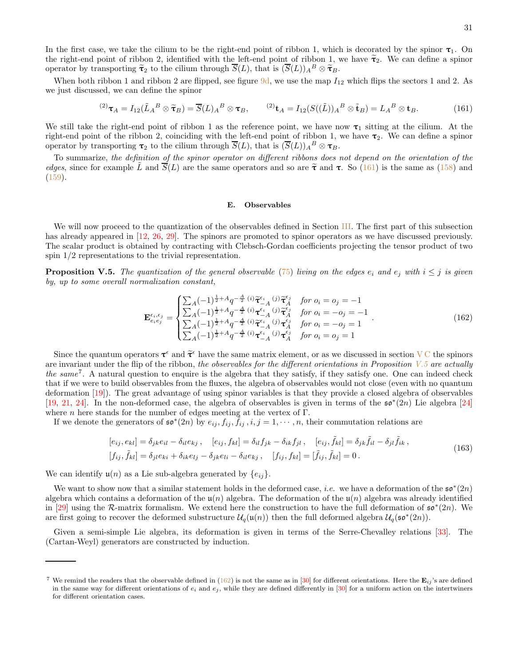In the first case, we take the cilium to be the right-end point of ribbon 1, which is decorated by the spinor  $\tau_1$ . On the right-end point of ribbon 2, identified with the left-end point of ribbon 1, we have  $\tilde{\tau}_2$ . We can define a spinor operator by transporting  $\tilde{\tau}_2$  to the cilium through  $\overline{S}(L)$ , that is  $(\overline{S}(L))_A{}^B\otimes \tilde{\tau}_B$ .

When both ribbon 1 and ribbon 2 are flipped, see figure  $9d$ , we use the map  $I_{12}$  which flips the sectors 1 and 2. As we just discussed, we can define the spinor

<span id="page-30-1"></span>
$$
^{(2)}\boldsymbol{\tau}_A = I_{12}(\tilde{L}_A{}^B \otimes \tilde{\boldsymbol{\tau}}_B) = \overline{S}(L)_A{}^B \otimes \boldsymbol{\tau}_B, \qquad ^{(2)}\boldsymbol{\mathrm{t}}_A = I_{12}(S((\tilde{L}))_A{}^B \otimes \tilde{\boldsymbol{\mathrm{t}}}_B) = L_A{}^B \otimes \boldsymbol{\mathrm{t}}_B. \tag{161}
$$

We still take the right-end point of ribbon 1 as the reference point, we have now  $\tau_1$  sitting at the cilium. At the right-end point of the ribbon 2, coinciding with the left-end point of ribbon 1, we have  $\tau_2$ . We can define a spinor operator by transporting  $\tau_2$  to the cilium through  $\overline{S}(L)$ , that is  $(\overline{S}(L))_A{}^B \otimes \tau_B$ .

To summarize, the definition of the spinor operator on different ribbons does not depend on the orientation of the edges, since for example  $\tilde{L}$  and  $\overline{S}(L)$  are the same operators and so are  $\tilde{\tau}$  and  $\tau$ . So [\(161\)](#page-30-1) is the same as [\(158\)](#page-29-0) and [\(159\)](#page-29-2).

### <span id="page-30-0"></span>E. Observables

We will now proceed to the quantization of the observables defined in Section [III.](#page-12-0) The first part of this subsection has already appeared in [\[12](#page-36-22), [26](#page-36-20), [29\]](#page-37-1). The spinors are promoted to spinor operators as we have discussed previously. The scalar product is obtained by contracting with Clebsch-Gordan coefficients projecting the tensor product of two spin 1/2 representations to the trivial representation.

<span id="page-30-2"></span>**Proposition V.5.** The quantization of the general observable [\(75\)](#page-16-4) living on the edges  $e_i$  and  $e_j$  with  $i \leq j$  is given by, up to some overall normalization constant,

<span id="page-30-3"></span>
$$
\mathbf{E}_{e_ie_j}^{\epsilon_i, \epsilon_j} = \begin{cases} \sum_A (-1)^{\frac{1}{2} + A} q^{-\frac{A}{2}} \;^{(i)} \widetilde{\tau}_{-A}^{\epsilon_i} \;^{(j)} \widetilde{\tau}_{A}^{\epsilon_j} \;^{for \; o_i = o_j = -1} \\ \sum_A (-1)^{\frac{1}{2} + A} q^{-\frac{A}{2}} \;^{(i)} \tau_{-A}^{\epsilon_i} \;^{(j)} \widetilde{\tau}_{A}^{\epsilon_j} \;^{for \; o_i = -o_j = -1} \\ \sum_A (-1)^{\frac{1}{2} + A} q^{-\frac{A}{2}} \;^{(i)} \widetilde{\tau}_{-A}^{\epsilon_i} \;^{(j)} \tau_{A}^{\epsilon_j} \;^{for \; o_i = -o_j = 1} \\ \sum_A (-1)^{\frac{1}{2} + A} q^{-\frac{A}{2}} \;^{(i)} \tau_{-A}^{\epsilon_i} \;^{(j)} \tau_{A}^{\epsilon_j} \;^{for \; o_i = o_j = 1} \end{cases} \tag{162}
$$

Since the quantum operators  $\tau^{\epsilon}$  and  $\tilde{\tau}^{\epsilon}$  have the same matrix element, or as we discussed in section [V C](#page-23-0) the spinors are invariant under the flip of the ribbon, the observables for the different orientations in Proposition  $V.5$  are actually the same<sup>7</sup>. A natural question to enquire is the algebra that they satisfy, if they satisfy one. One can indeed check that if we were to build observables from the fluxes, the algebra of observables would not close (even with no quantum deformation [\[19\]](#page-36-16)). The great advantage of using spinor variables is that they provide a closed algebra of observables [\[19,](#page-36-16) [21,](#page-36-24) [24](#page-36-18)]. In the non-deformed case, the algebra of observables is given in terms of the  $\mathfrak{so}^*(2n)$  Lie algebra [\[24](#page-36-18)] where *n* here stands for the number of edges meeting at the vertex of  $\Gamma$ .

If we denote the generators of  $\mathfrak{so}^*(2n)$  by  $e_{ij}, f_{ij}, \tilde{f}_{ij}, i, j = 1, \cdots, n$ , their commutation relations are

$$
[e_{ij}, e_{kl}] = \delta_{jk} e_{il} - \delta_{il} e_{kj}, \quad [e_{ij}, f_{kl}] = \delta_{il} f_{jk} - \delta_{ik} f_{jl}, \quad [e_{ij}, \tilde{f}_{kl}] = \delta_{jk} \tilde{f}_{il} - \delta_{jl} \tilde{f}_{ik}, [f_{ij}, \tilde{f}_{kl}] = \delta_{jl} e_{ki} + \delta_{ik} e_{lj} - \delta_{jk} e_{li} - \delta_{il} e_{kj}, \quad [f_{ij}, f_{kl}] = [\tilde{f}_{ij}, \tilde{f}_{kl}] = 0.
$$
\n(163)

<span id="page-30-4"></span>We can identify  $\mathfrak{u}(n)$  as a Lie sub-algebra generated by  $\{e_{ij}\}.$ 

We want to show now that a similar statement holds in the deformed case, *i.e.* we have a deformation of the  $\mathfrak{so}^*(2n)$ algebra which contains a deformation of the  $u(n)$  algebra. The deformation of the  $u(n)$  algebra was already identified in [\[29\]](#page-37-1) using the R-matrix formalism. We extend here the construction to have the full deformation of  $\mathfrak{so}^*(2n)$ . We are first going to recover the deformed substructure  $\mathcal{U}_q(\mathfrak{u}(n))$  then the full deformed algebra  $\mathcal{U}_q(\mathfrak{so}^*(2n))$ .

Given a semi-simple Lie algebra, its deformation is given in terms of the Serre-Chevalley relations [\[33\]](#page-37-5). The (Cartan-Weyl) generators are constructed by induction.

<sup>&</sup>lt;sup>7</sup> We remind the readers that the observable defined in [\(162\)](#page-30-3) is not the same as in [\[30\]](#page-37-2) for different orientations. Here the  $\mathbf{E}_{ij}$ 's are defined in the same way for different orientations of  $e_i$  and  $e_j$ , while they are defined differently in [\[30](#page-37-2)] for a uniform action on the intertwiners for different orientation cases.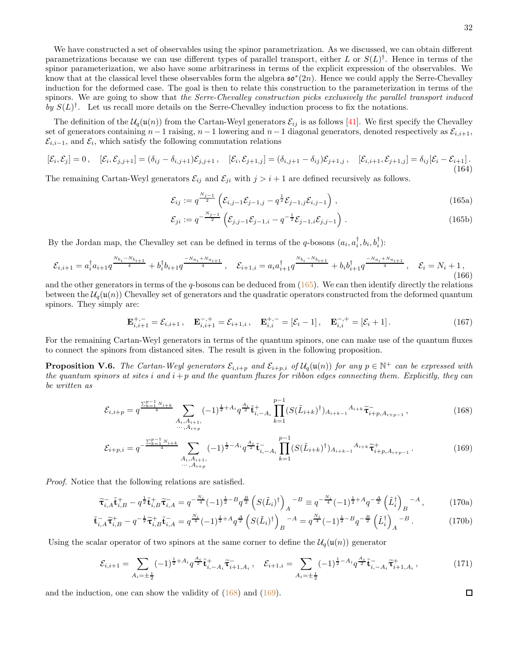We have constructed a set of observables using the spinor parametrization. As we discussed, we can obtain different parametrizations because we can use different types of parallel transport, either L or  $S(L)^{\dagger}$ . Hence in terms of the spinor parameterization, we also have some arbitrariness in terms of the explicit expression of the observables. We know that at the classical level these observables form the algebra  $\mathfrak{so}^*(2n)$ . Hence we could apply the Serre-Chevalley induction for the deformed case. The goal is then to relate this construction to the parameterization in terms of the spinors. We are going to show that the Serre-Chevalley construction picks exclusively the parallel transport induced by  $S(L)^{\dagger}$ . Let us recall more details on the Serre-Chevalley induction process to fix the notations.

The definition of the  $\mathcal{U}_q(\mathfrak{u}(n))$  from the Cartan-Weyl generators  $\mathcal{E}_{ij}$  is as follows [\[41\]](#page-37-11). We first specify the Chevalley set of generators containing  $n-1$  raising,  $n-1$  lowering and  $n-1$  diagonal generators, denoted respectively as  $\mathcal{E}_{i,i+1}$ ,  $\mathcal{E}_{i,i-1}$ , and  $\mathcal{E}_i$ , which satisfy the following commutation relations

<span id="page-31-3"></span>
$$
[\mathcal{E}_{i}, \mathcal{E}_{j}] = 0, \quad [\mathcal{E}_{i}, \mathcal{E}_{j,j+1}] = (\delta_{ij} - \delta_{i,j+1})\mathcal{E}_{j,j+1}, \quad [\mathcal{E}_{i}, \mathcal{E}_{j+1,j}] = (\delta_{i,j+1} - \delta_{ij})\mathcal{E}_{j+1,j}, \quad [\mathcal{E}_{i,i+1}, \mathcal{E}_{j+1,j}] = \delta_{ij}[\mathcal{E}_{i} - \mathcal{E}_{i+1}].
$$
\n(164)

The remaining Cartan-Weyl generators  $\mathcal{E}_{ij}$  and  $\mathcal{E}_{ji}$  with  $j > i + 1$  are defined recursively as follows.

<span id="page-31-0"></span>
$$
\mathcal{E}_{ij} := q^{\frac{N_{j-1}}{2}} \left( \mathcal{E}_{i,j-1} \mathcal{E}_{j-1,j} - q^{\frac{1}{2}} \mathcal{E}_{j-1,j} \mathcal{E}_{i,j-1} \right), \qquad (165a)
$$

$$
\mathcal{E}_{ji} := q^{-\frac{N_{j-1}}{2}} \left( \mathcal{E}_{j,j-1} \mathcal{E}_{j-1,i} - q^{-\frac{1}{2}} \mathcal{E}_{j-1,i} \mathcal{E}_{j,j-1} \right).
$$
 (165b)

By the Jordan map, the Chevalley set can be defined in terms of the q-bosons  $(a_i, a_i^{\dagger}, b_i, b_i^{\dagger})$ :

$$
\mathcal{E}_{i,i+1} = a_i^{\dagger} a_{i+1} q^{\frac{N_{b_i} - N_{b_{i+1}}}{4}} + b_i^{\dagger} b_{i+1} q^{\frac{-N_{a_i} + N_{a_{i+1}}}{4}}, \quad \mathcal{E}_{i+1,i} = a_i a_{i+1}^{\dagger} q^{\frac{N_{b_i} - N_{b_{i+1}}}{4}} + b_i b_{i+1}^{\dagger} q^{\frac{-N_{a_i} + N_{a_{i+1}}}{4}}, \quad \mathcal{E}_i = N_i + 1,
$$
\n(166)

and the other generators in terms of the  $q$ -bosons can be deduced from  $(165)$ . We can then identify directly the relations between the  $U_q(\mathfrak{u}(n))$  Chevalley set of generators and the quadratic operators constructed from the deformed quantum spinors. They simply are:

$$
\mathbf{E}_{i,i+1}^{+,-} = \mathcal{E}_{i,i+1} \,, \quad \mathbf{E}_{i,i+1}^{-,+} = \mathcal{E}_{i+1,i} \,, \quad \mathbf{E}_{i,i}^{+,-} = [\mathcal{E}_i - 1] \,, \quad \mathbf{E}_{i,i}^{-,+} = [\mathcal{E}_i + 1] \,. \tag{167}
$$

For the remaining Cartan-Weyl generators in terms of the quantum spinors, one can make use of the quantum fluxes to connect the spinors from distanced sites. The result is given in the following proposition.

**Proposition V.6.** The Cartan-Weyl generators  $\mathcal{E}_{i,i+p}$  and  $\mathcal{E}_{i+p,i}$  of  $\mathcal{U}_q(\mathfrak{u}(n))$  for any  $p \in \mathbb{N}^+$  can be expressed with the quantum spinors at sites i and  $i+p$  and the quantum fluxes for ribbon edges connecting them. Explicitly, they can be written as

$$
\mathcal{E}_{i,i+p} = q^{\frac{\sum_{k=1}^{p-1} N_{i+k}}{4}} \sum_{\substack{A_i, A_{i+1}, \\ \cdots, A_{i+p}}} (-1)^{\frac{1}{2} + A_i} q^{\frac{A_i}{2}} \tilde{\mathbf{t}}_{i,-A_i}^+ \prod_{k=1}^{p-1} (S(\tilde{L}_{i+k})^\dagger)_{A_{i+k-1}} A_{i+k} \tilde{\mathbf{t}}_{i+p,A_{i+p-1}}^- \,, \tag{168}
$$

$$
\mathcal{E}_{i+p,i} = q^{-\frac{\sum_{k=1}^{p-1} N_{i+k}}{4}} \sum_{\substack{A_i, A_{i+1}, \\ \cdots, A_{i+p}}} (-1)^{\frac{1}{2} - A_i} q^{\frac{A_i}{2}} \tilde{\mathbf{t}}_{i,-A_i}^{-} \prod_{k=1}^{p-1} (S(\tilde{L}_{i+k})^{\dagger})_{A_{i+k-1}} A_{i+k} \tilde{\mathbf{t}}_{i+p,A_{i+p-1}}^{+}.
$$
 (169)

Proof. Notice that the following relations are satisfied.

$$
\widetilde{\tau}_{i,A}^{-} \widetilde{\mathbf{t}}_{i,B}^{+} - q^{\frac{1}{2}} \widetilde{\mathbf{t}}_{i,B}^{+} \widetilde{\tau}_{i,A}^{-} = q^{-\frac{N_i}{4}} (-1)^{\frac{1}{2} - B} q^{\frac{B}{2}} \left( S(\tilde{L}_i)^{\dagger} \right)_A^{-B} \equiv q^{-\frac{N_i}{4}} (-1)^{\frac{1}{2} + A} q^{-\frac{A}{2}} \left( \tilde{L}_i^{\dagger} \right)_B^{-A}, \tag{170a}
$$

$$
\tilde{\mathbf{t}}_{i,A}^- \tilde{\mathbf{t}}_{i,B}^+ - q^{-\frac{1}{2}} \tilde{\mathbf{t}}_{i,B}^+ \tilde{\mathbf{t}}_{i,A}^- = q^{\frac{N_i}{4}} (-1)^{\frac{1}{2} + A} q^{\frac{A}{2}} \left( S(\tilde{L}_i)^{\dagger} \right)_B^{\ -A} = q^{\frac{N_i}{4}} (-1)^{\frac{1}{2} - B} q^{-\frac{B}{2}} \left( \tilde{L}_i^{\dagger} \right)_A^{\ -B} . \tag{170b}
$$

Using the scalar operator of two spinors at the same corner to define the  $\mathcal{U}_q(\mathfrak{u}(n))$  generator

$$
\mathcal{E}_{i,i+1} = \sum_{A_i = \pm \frac{1}{2}} (-1)^{\frac{1}{2} + A_i} q^{\frac{A_i}{2}} \tilde{\mathbf{t}}_{i, -A_i}^+ \tilde{\mathbf{\tau}}_{i+1, A_i}^- , \quad \mathcal{E}_{i+1,i} = \sum_{A_i = \pm \frac{1}{2}} (-1)^{\frac{1}{2} - A_i} q^{\frac{A_i}{2}} \tilde{\mathbf{t}}_{i, -A_i}^- \tilde{\mathbf{\tau}}_{i+1, A_i}^+ ,
$$
\n(171)

and the induction, one can show the validity of  $(168)$  and  $(169)$ .

<span id="page-31-4"></span><span id="page-31-2"></span><span id="page-31-1"></span> $\Box$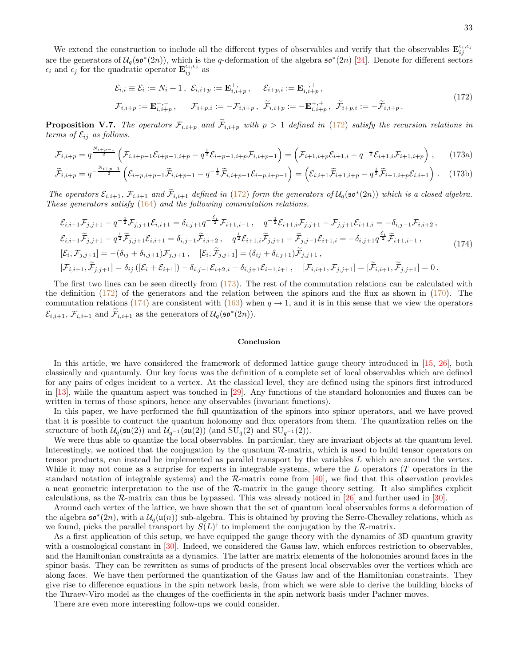We extend the construction to include all the different types of observables and verify that the observables  $\mathbf{E}_{ij}^{\epsilon_i,\epsilon_j}$ are the generators of  $U_q(\mathfrak{so}^*(2n))$ , which is the q-deformation of the algebra  $\mathfrak{so}^*(2n)$  [\[24](#page-36-18)]. Denote for different sectors  $\epsilon_i$  and  $\epsilon_j$  for the quadratic operator  $\mathbf{E}_{ij}^{\epsilon_i,\epsilon_j}$  as

<span id="page-32-1"></span>
$$
\mathcal{E}_{i,i} \equiv \mathcal{E}_i := N_i + 1, \ \mathcal{E}_{i,i+p} := \mathbf{E}_{i,i+p}^{+,-}, \qquad \mathcal{E}_{i+p,i} := \mathbf{E}_{i,i+p}^{-,+}, \n\mathcal{F}_{i,i+p} := \mathbf{E}_{i,i+p}^{-,-}, \qquad \mathcal{F}_{i+p,i} := -\mathcal{F}_{i,i+p}, \ \tilde{\mathcal{F}}_{i,p,i} := -\mathcal{F}_{i,i+p}, \ \tilde{\mathcal{F}}_{i+p,i} := -\tilde{\mathcal{F}}_{i,i+p}.
$$
\n(172)

**Proposition V.7.** The operators  $\mathcal{F}_{i,i+p}$  and  $\widetilde{\mathcal{F}}_{i,i+p}$  with  $p > 1$  defined in [\(172\)](#page-32-1) satisfy the recursion relations in terms of  $\mathcal{E}_{ij}$  as follows.

$$
\mathcal{F}_{i,i+p} = q^{\frac{N_{i+p-1}}{2}} \left( \mathcal{F}_{i,i+p-1} \mathcal{E}_{i+p-1,i+p} - q^{\frac{1}{2}} \mathcal{E}_{i+p-1,i+p} \mathcal{F}_{i,i+p-1} \right) = \left( \mathcal{F}_{i+1,i+p} \mathcal{E}_{i+1,i} - q^{-\frac{1}{2}} \mathcal{E}_{i+1,i} \mathcal{F}_{i+1,i+p} \right), \qquad (173a)
$$

$$
\widetilde{\mathcal{F}}_{i,i+p} = q^{-\frac{N_{i+p-1}}{2}} \left( \mathcal{E}_{i+p,i+p-1} \widetilde{\mathcal{F}}_{i,i+p-1} - q^{-\frac{1}{2}} \widetilde{\mathcal{F}}_{i,i+p-1} \mathcal{E}_{i+p,i+p-1} \right) = \left( \mathcal{E}_{i,i+1} \widetilde{\mathcal{F}}_{i+1,i+p} - q^{\frac{1}{2}} \widetilde{\mathcal{F}}_{i+1,i+p} \mathcal{E}_{i,i+1} \right) . \tag{173b}
$$

The operators  $\mathcal{E}_{i,i+1}$ ,  $\mathcal{F}_{i,i+1}$  and  $\mathcal{F}_{i,i+1}$  defined in [\(172\)](#page-32-1) form the generators of  $\mathcal{U}_q(\mathfrak{so}^*(2n))$  which is a closed algebra. These generators satisfy [\(164\)](#page-31-3) and the following commutation relations.

<span id="page-32-3"></span>
$$
\mathcal{E}_{i,i+1}\mathcal{F}_{j,j+1} - q^{-\frac{1}{2}}\mathcal{F}_{j,j+1}\mathcal{E}_{i,i+1} = \delta_{i,j+1}q^{-\frac{\mathcal{E}_i}{2}}\mathcal{F}_{i+1,i-1}, \quad q^{-\frac{1}{2}}\mathcal{E}_{i+1,i}\mathcal{F}_{j,j+1} - \mathcal{F}_{j,j+1}\mathcal{E}_{i+1,i} = -\delta_{i,j-1}\mathcal{F}_{i,i+2},
$$
\n
$$
\mathcal{E}_{i,i+1}\widetilde{\mathcal{F}}_{j,j+1} - q^{\frac{1}{2}}\widetilde{\mathcal{F}}_{j,j+1}\mathcal{E}_{i,i+1} = \delta_{i,j-1}\widetilde{\mathcal{F}}_{i,i+2}, \quad q^{\frac{1}{2}}\mathcal{E}_{i+1,i}\widetilde{\mathcal{F}}_{j,j+1} - \widetilde{\mathcal{F}}_{j,j+1}\mathcal{E}_{i+1,i} = -\delta_{i,j+1}q^{\frac{\mathcal{E}_i}{2}}\widetilde{\mathcal{F}}_{i+1,i-1},
$$
\n
$$
[\mathcal{E}_i, \mathcal{F}_{j,j+1}] = -(\delta_{ij} + \delta_{i,j+1})\mathcal{F}_{j,j+1}, \quad [\mathcal{E}_i, \widetilde{\mathcal{F}}_{j,j+1}] = (\delta_{ij} + \delta_{i,j+1})\widetilde{\mathcal{F}}_{j,j+1},
$$
\n
$$
[\mathcal{F}_{i,i+1}, \widetilde{\mathcal{F}}_{j,j+1}] = \delta_{ij}([\mathcal{E}_i + \mathcal{E}_{i+1}]) - \delta_{i,j-1}\mathcal{E}_{i+2,i} - \delta_{i,j+1}\mathcal{E}_{i-1,i+1}, \quad [\mathcal{F}_{i,i+1}, \mathcal{F}_{j,j+1}] = [\widetilde{\mathcal{F}}_{i,i+1}, \widetilde{\mathcal{F}}_{j,j+1}] = 0.
$$
\n(174)

The first two lines can be seen directly from  $(173)$ . The rest of the commutation relations can be calculated with the definition [\(172\)](#page-32-1) of the generators and the relation between the spinors and the flux as shown in [\(170\)](#page-31-4). The commutation relations [\(174\)](#page-32-3) are consistent with [\(163\)](#page-30-4) when  $q \to 1$ , and it is in this sense that we view the operators  $\mathcal{E}_{i,i+1}, \mathcal{F}_{i,i+1}$  and  $\widetilde{\mathcal{F}}_{i,i+1}$  as the generators of  $\mathcal{U}_q(\mathfrak{so}^*(2n)).$ 

### <span id="page-32-2"></span><span id="page-32-0"></span>Conclusion

In this article, we have considered the framework of deformed lattice gauge theory introduced in [\[15,](#page-36-12) [26\]](#page-36-20), both classically and quantumly. Our key focus was the definition of a complete set of local observables which are defined for any pairs of edges incident to a vertex. At the classical level, they are defined using the spinors first introduced in [\[13\]](#page-36-10), while the quantum aspect was touched in [\[29\]](#page-37-1). Any functions of the standard holonomies and fluxes can be written in terms of those spinors, hence any observables (invariant functions).

In this paper, we have performed the full quantization of the spinors into spinor operators, and we have proved that it is possible to contruct the quantum holonomy and flux operators from them. The quantization relies on the structure of both  $\mathcal{U}_q(\mathfrak{su}(2))$  and  $\mathcal{U}_{q^{-1}}(\mathfrak{su}(2))$  (and  $\text{SU}_q(2)$  and  $\text{SU}_{q^{-1}}(2)$ ).

We were thus able to quantize the local observables. In particular, they are invariant objects at the quantum level. Interestingly, we noticed that the conjugation by the quantum  $\mathcal{R}_r$ -matrix, which is used to build tensor operators on tensor products, can instead be implemented as parallel transport by the variables L which are around the vertex. While it may not come as a surprise for experts in integrable systems, where the  $L$  operators  $(T)$  operators in the standard notation of integrable systems) and the R-matrix come from  $[40]$ , we find that this observation provides a neat geometric interpretation to the use of the R-matrix in the gauge theory setting. It also simplifies explicit calculations, as the R-matrix can thus be bypassed. This was already noticed in [\[26\]](#page-36-20) and further used in [\[30\]](#page-37-2).

Around each vertex of the lattice, we have shown that the set of quantum local observables forms a deformation of the algebra  $\mathfrak{so}^*(2n)$ , with a  $\mathcal{U}_q(\mathfrak{u}(n))$  sub-algebra. This is obtained by proving the Serre-Chevalley relations, which as we found, picks the parallel transport by  $S(L)$ <sup>†</sup> to implement the conjugation by the R-matrix.

As a first application of this setup, we have equipped the gauge theory with the dynamics of 3D quantum gravity with a cosmological constant in [\[30](#page-37-2)]. Indeed, we considered the Gauss law, which enforces restriction to observables, and the Hamiltonian constraints as a dynamics. The latter are matrix elements of the holonomies around faces in the spinor basis. They can be rewritten as sums of products of the present local observables over the vertices which are along faces. We have then performed the quantization of the Gauss law and of the Hamiltonian constraints. They give rise to difference equations in the spin network basis, from which we were able to derive the building blocks of the Turaev-Viro model as the changes of the coefficients in the spin network basis under Pachner moves.

There are even more interesting follow-ups we could consider.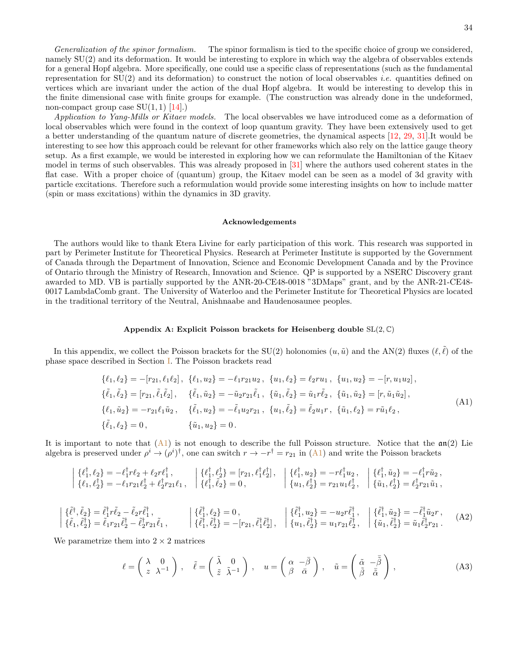Generalization of the spinor formalism. The spinor formalism is tied to the specific choice of group we considered, namely SU(2) and its deformation. It would be interesting to explore in which way the algebra of observables extends for a general Hopf algebra. More specifically, one could use a specific class of representations (such as the fundamental representation for  $SU(2)$  and its deformation) to construct the notion of local observables *i.e.* quantities defined on vertices which are invariant under the action of the dual Hopf algebra. It would be interesting to develop this in the finite dimensional case with finite groups for example. (The construction was already done in the undeformed, non-compact group case  $SU(1, 1)$  [\[14\]](#page-36-11).)

Application to Yang-Mills or Kitaev models. The local observables we have introduced come as a deformation of local observables which were found in the context of loop quantum gravity. They have been extensively used to get a better understanding of the quantum nature of discrete geometries, the dynamical aspects [\[12,](#page-36-22) [29,](#page-37-1) [31](#page-37-3)].It would be interesting to see how this approach could be relevant for other frameworks which also rely on the lattice gauge theory setup. As a first example, we would be interested in exploring how we can reformulate the Hamiltonian of the Kitaev model in terms of such observables. This was already proposed in [\[31](#page-37-3)] where the authors used coherent states in the flat case. With a proper choice of (quantum) group, the Kitaev model can be seen as a model of 3d gravity with particle excitations. Therefore such a reformulation would provide some interesting insights on how to include matter (spin or mass excitations) within the dynamics in 3D gravity.

### <span id="page-33-0"></span>Acknowledgements

The authors would like to thank Etera Livine for early participation of this work. This research was supported in part by Perimeter Institute for Theoretical Physics. Research at Perimeter Institute is supported by the Government of Canada through the Department of Innovation, Science and Economic Development Canada and by the Province of Ontario through the Ministry of Research, Innovation and Science. QP is supported by a NSERC Discovery grant awarded to MD. VB is partially supported by the ANR-20-CE48-0018 "3DMaps" grant, and by the ANR-21-CE48- 0017 LambdaComb grant. The University of Waterloo and the Perimeter Institute for Theoretical Physics are located in the traditional territory of the Neutral, Anishnaabe and Haudenosaunee peoples.

#### <span id="page-33-1"></span>Appendix A: Explicit Poisson brackets for Heisenberg double  $SL(2,\mathbb{C})$

In this appendix, we collect the Poisson brackets for the SU(2) holonomies  $(u, \tilde{u})$  and the AN(2) fluxes  $(\ell, \ell)$  of the phase space described in Section [I.](#page-2-0) The Poisson brackets read

<span id="page-33-2"></span>
$$
\{\ell_1, \ell_2\} = -[r_{21}, \ell_1 \ell_2], \{\ell_1, u_2\} = -\ell_1 r_{21} u_2, \{u_1, \ell_2\} = \ell_2 r u_1, \{u_1, u_2\} = -[r, u_1 u_2],
$$
  
\n
$$
\{\tilde{\ell}_1, \tilde{\ell}_2\} = [r_{21}, \tilde{\ell}_1 \tilde{\ell}_2], \{\tilde{\ell}_1, \tilde{u}_2\} = -\tilde{u}_2 r_{21} \tilde{\ell}_1, \{\tilde{u}_1, \tilde{\ell}_2\} = \tilde{u}_1 r \tilde{\ell}_2, \{\tilde{u}_1, \tilde{u}_2\} = [r, \tilde{u}_1 \tilde{u}_2],
$$
  
\n
$$
\{\ell_1, \tilde{u}_2\} = -r_{21} \ell_1 \tilde{u}_2, \{\tilde{\ell}_1, u_2\} = -\tilde{\ell}_1 u_2 r_{21}, \{u_1, \tilde{\ell}_2\} = \tilde{\ell}_2 u_1 r, \{\tilde{u}_1, \ell_2\} = r \tilde{u}_1 \ell_2,
$$
  
\n
$$
\{\tilde{\ell}_1, \ell_2\} = 0, \{\tilde{u}_1, u_2\} = 0.
$$
\n(A1)

It is important to note that  $(A1)$  is not enough to describe the full Poisson structure. Notice that the  $\mathfrak{an}(2)$  Lie algebra is preserved under  $\rho^i \to (\rho^i)^{\dagger}$ , one can switch  $r \to -r^{\dagger} = r_{21}$  in [\(A1\)](#page-33-2) and write the Poisson brackets

$$
\begin{array}{rcl}\n\left\{\begin{array}{l}\n\{\ell_1^{\dagger},\ell_2\}=-\ell_1^{\dagger}r\ell_2+\ell_2r\ell_1^{\dagger}\n\end{array}\right., & \left\{\begin{array}{l}\n\{\ell_1^{\dagger},\ell_2^{\dagger}\}=[r_{21},\ell_1^{\dagger}\ell_2^{\dagger}], & \left\{\begin{array}{l}\n\{\ell_1^{\dagger},u_2\}=-r\ell_1^{\dagger}u_2\right., & \left\{\begin{array}{l}\n\{\ell_1^{\dagger},\tilde{u}_2\}=-\ell_1^{\dagger}r\tilde{u}_2\right., \\
\left\{\ell_1,\ell_2^{\dagger}\}=-\ell_1r_{21}\ell_2^{\dagger}+\ell_2^{\dagger}r_{21}\ell_1\right., & \left\{\begin{array}{l}\n\{\ell_1^{\dagger},\tilde{\ell}_2\}=0\right., & \left\{\begin{array}{l}\n\{\ell_1^{\dagger},u_2\}=-r\ell_1^{\dagger}u_2\,, & \left\{\begin{array}{l}\n\{\ell_1^{\dagger},\tilde{u}_2\}=-\ell_2^{\dagger}r\tilde{u}_2\,, \\
\left\{\begin{array}{l}\n\{\tilde{u}_1,\ell_2^{\dagger}\}=r_{21}u_1\ell_2^{\dagger}\,, & \left\{\begin{array}{l}\n\tilde{u}_1,\ell_2^{\dagger}\}=r\tilde{u}_2^{\dagger}r_{21}\tilde{u}_1\,,\n\end{array}\right.\n\end{array}\right.\n\end{array}\n\end{array}
$$

<span id="page-33-3"></span>
$$
\begin{vmatrix}\n\{\tilde{\ell}^{\dagger}, \tilde{\ell}_{2}\} = \tilde{\ell}_{1}^{\dagger} r \tilde{\ell}_{2} - \tilde{\ell}_{2} r \tilde{\ell}_{1}^{\dagger}, \\
\{\tilde{\ell}_{1}, \tilde{\ell}_{2}^{\dagger}\} = \tilde{\ell}_{1} r_{21} \tilde{\ell}_{2}^{\dagger} - \tilde{\ell}_{2}^{\dagger} r_{21} \tilde{\ell}_{1}, \qquad \qquad \begin{vmatrix}\n\{\tilde{\ell}_{1}^{\dagger}, \ell_{2}\} = 0, \\
\{\tilde{\ell}_{1}^{\dagger}, \tilde{\ell}_{2}^{\dagger}\} = -[r_{21}, \tilde{\ell}_{1}^{\dagger} \tilde{\ell}_{2}^{\dagger}], \\
\{\tilde{\ell}_{1}^{\dagger}, \tilde{\ell}_{2}^{\dagger}\} = -[r_{21}, \tilde{\ell}_{1}^{\dagger} \tilde{\ell}_{2}^{\dagger}], \\
\{u_{1}, \tilde{\ell}_{2}^{\dagger}\} = u_{1} r_{21} \tilde{\ell}_{2}^{\dagger}, \qquad \{\tilde{u}_{1}, \tilde{\ell}_{2}^{\dagger}\} = \tilde{u}_{1} \tilde{\ell}_{2}^{\dagger} r_{21}.\n\end{vmatrix}.\n\tag{A2}
$$

We parametrize them into  $2 \times 2$  matrices

$$
\ell = \begin{pmatrix} \lambda & 0 \\ z & \lambda^{-1} \end{pmatrix}, \quad \tilde{\ell} = \begin{pmatrix} \tilde{\lambda} & 0 \\ \tilde{z} & \tilde{\lambda}^{-1} \end{pmatrix}, \quad u = \begin{pmatrix} \alpha & -\bar{\beta} \\ \beta & \bar{\alpha} \end{pmatrix}, \quad \tilde{u} = \begin{pmatrix} \tilde{\alpha} & -\bar{\tilde{\beta}} \\ \tilde{\beta} & \bar{\tilde{\alpha}} \end{pmatrix}, \tag{A3}
$$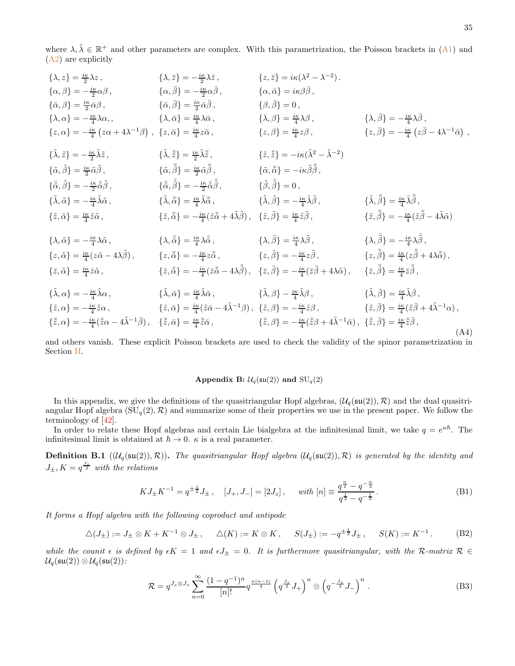where  $\lambda, \tilde{\lambda} \in \mathbb{R}^+$  and other parameters are complex. With this parametrization, the Poisson brackets in  $(A1)$  and [\(A2\)](#page-33-3) are explicitly

<span id="page-34-1"></span>
$$
\{\lambda, z\} = \frac{i\kappa}{2}\lambda z, \qquad \{\lambda, \bar{z}\} = -\frac{i\kappa}{2}\lambda \bar{z}, \qquad \{\bar{z}, \bar{z}\} = i\kappa(\lambda^2 - \lambda^{-2}).
$$
\n
$$
\{\alpha, \beta\} = -\frac{i\kappa}{2}\alpha\bar{\beta}, \qquad \{\alpha, \bar{\beta}\} = \frac{i\kappa}{2}\bar{\alpha}\bar{\beta}, \qquad \{\alpha, \bar{\alpha}\} = \frac{i\kappa}{4}\lambda\bar{\alpha}, \qquad \{\lambda, \beta\} = \frac{i\kappa}{4}\lambda\bar{\alpha}, \qquad \{\lambda, \beta\} = \frac{i\kappa}{4}\lambda\bar{\alpha}, \qquad \{\lambda, \beta\} = \frac{i\kappa}{4}\lambda\bar{\beta}, \qquad \{\lambda, \beta\} = -\frac{i\kappa}{4}\lambda\bar{\beta}, \qquad \{\lambda, \beta\} = \frac{i\kappa}{4}\lambda\bar{\beta}, \qquad \{\lambda, \beta\} = \frac{i\kappa}{4}\lambda\bar{\beta}, \qquad \{\lambda, \beta\} = -\frac{i\kappa}{4}\lambda\bar{\beta}, \qquad \{\lambda, \beta\} = -\frac{i\kappa}{4}\lambda\bar{\beta}, \qquad \{\lambda, \beta\} = -\frac{i\kappa}{4}\lambda\bar{\beta}, \qquad \{\lambda, \bar{\beta}\} = -\frac{i\kappa}{4}\lambda\bar{\beta}, \qquad \{\lambda, \bar{\beta}\} = \frac{i\kappa}{4}\bar{z}\bar{\beta}, \qquad \{\tilde{\alpha}, \bar{\beta}\} = \frac{i\kappa}{2}\bar{\alpha}\bar{\beta}, \qquad \{\tilde{\alpha}, \bar{\beta}\} = -\frac{i\kappa}{2}\bar{\alpha}\bar{\beta}, \qquad \{\tilde{\alpha}, \bar{\beta}\} = -\frac{i\kappa}{2}\bar{\alpha}\bar{\beta}, \qquad \{\tilde{\alpha}, \bar{\delta}\} = -\frac{i\kappa}{4}\lambda\bar{\alpha}, \qquad \{\tilde{\lambda}, \bar{\beta}\} = -\frac{i\kappa}{4}\lambda\bar{\beta}, \qquad \{\tilde{\beta}, \bar{\beta}\} = 0, \qquad \{\tilde{\lambda}, \bar{\alpha}\} = -\frac{i\kappa}{4}\lambda\bar{\alpha}, \qquad \{\tilde{\lambda}, \bar{\beta}\} = -\frac{i\kappa}{2}\bar{\alpha}\bar{\beta}, \qquad \{\tilde{\beta}, \bar{\beta}\} = -\frac
$$

and others vanish. These explicit Poisson brackets are used to check the validity of the spinor parametrization in Section [II.](#page-6-0)

### <span id="page-34-0"></span>Appendix B:  $\mathcal{U}_q(\mathfrak{su}(2))$  and  $\text{SU}_q(2)$

In this appendix, we give the definitions of the quasitriangular Hopf algebras,  $(\mathcal{U}_q(\mathfrak{su}(2)), \mathcal{R})$  and the dual quasitriangular Hopf algebra  $(SU_q(2), \mathcal{R})$  and summarize some of their properties we use in the present paper. We follow the terminology of [\[42](#page-37-12)].

In order to relate these Hopf algebras and certain Lie bialgebra at the infinitesimal limit, we take  $q = e^{\kappa \hbar}$ . The infinitesimal limit is obtained at  $\hbar \to 0$ .  $\kappa$  is a real parameter.

**Definition B.1**  $((\mathcal{U}_q(\mathfrak{su}(2)), \mathcal{R}))$ . The quasitriangular Hopf algebra  $(\mathcal{U}_q(\mathfrak{su}(2)), \mathcal{R})$  is generated by the identity and  $J_{\pm}, K = q^{\frac{J_z}{2}}$  with the relations

<span id="page-34-4"></span>
$$
KJ_{\pm}K^{-1} = q^{\pm \frac{1}{2}}J_{\pm} , \quad [J_{+}, J_{-}] = [2J_{z}], \quad \text{with } [n] \equiv \frac{q^{\frac{n}{2}} - q^{-\frac{n}{2}}}{q^{\frac{1}{2}} - q^{-\frac{1}{2}}}. \tag{B1}
$$

It forms a Hopf algebra with the following coproduct and antipode

<span id="page-34-2"></span>
$$
\Delta(J_{\pm}) := J_{\pm} \otimes K + K^{-1} \otimes J_{\pm}, \quad \Delta(K) := K \otimes K, \quad S(J_{\pm}) := -q^{\pm \frac{1}{2}} J_{\pm}, \quad S(K) := K^{-1}.
$$
 (B2)

while the counit  $\epsilon$  is defined by  $\epsilon K = 1$  and  $\epsilon J_{\pm} = 0$ . It is furthermore quasitriangular, with the R-matrix  $\mathcal{R} \in$  $\mathcal{U}_q(\mathfrak{su}(2))\otimes \mathcal{U}_q(\mathfrak{su}(2))$ :

<span id="page-34-3"></span>
$$
\mathcal{R} = q^{J_z \otimes J_z} \sum_{n=0}^{\infty} \frac{(1 - q^{-1})^n}{[n]!} q^{\frac{n(n-1)}{4}} \left( q^{\frac{J_z}{2}} J_+ \right)^n \otimes \left( q^{-\frac{J_z}{2}} J_- \right)^n . \tag{B3}
$$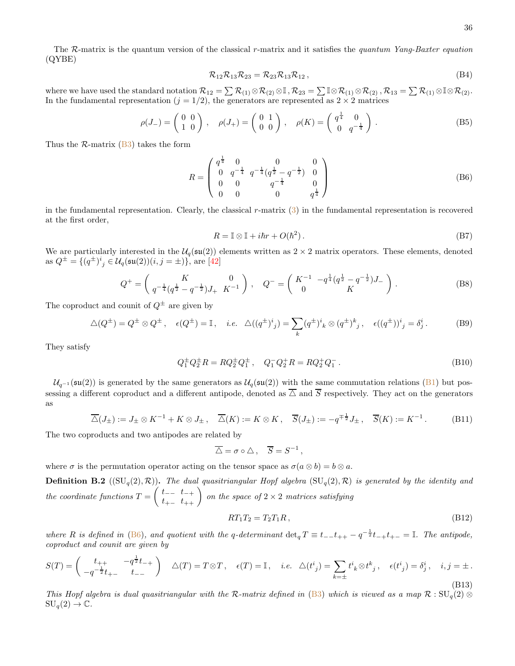The R-matrix is the quantum version of the classical r-matrix and it satisfies the quantum Yang-Baxter equation (QYBE)

$$
\mathcal{R}_{12}\mathcal{R}_{13}\mathcal{R}_{23} = \mathcal{R}_{23}\mathcal{R}_{13}\mathcal{R}_{12} ,\qquad (B4)
$$

where we have used the standard notation  $\mathcal{R}_{12} = \sum \mathcal{R}_{(1)} \otimes \mathcal{R}_{(2)} \otimes \mathbb{I}$ ,  $\mathcal{R}_{23} = \sum \mathbb{I} \otimes \mathcal{R}_{(1)} \otimes \mathcal{R}_{(2)}$ ,  $\mathcal{R}_{13} = \sum \mathcal{R}_{(1)} \otimes \mathbb{I} \otimes \mathcal{R}_{(2)}$ . In the fundamental representation  $(j = 1/2)$ , the generators are represented as  $2 \times 2$  matrices

$$
\rho(J_-) = \begin{pmatrix} 0 & 0 \\ 1 & 0 \end{pmatrix}, \quad \rho(J_+) = \begin{pmatrix} 0 & 1 \\ 0 & 0 \end{pmatrix}, \quad \rho(K) = \begin{pmatrix} q^{\frac{1}{4}} & 0 \\ 0 & q^{-\frac{1}{4}} \end{pmatrix}.
$$
 (B5)

Thus the  $\mathcal{R}$ -matrix [\(B3\)](#page-34-3) takes the form

<span id="page-35-2"></span>
$$
R = \begin{pmatrix} q^{\frac{1}{4}} & 0 & 0 & 0\\ 0 & q^{-\frac{1}{4}} & q^{-\frac{1}{4}}(q^{\frac{1}{2}} - q^{-\frac{1}{2}}) & 0\\ 0 & 0 & q^{-\frac{1}{4}} & 0\\ 0 & 0 & 0 & q^{\frac{1}{4}} \end{pmatrix}
$$
 (B6)

in the fundamental representation. Clearly, the classical r-matrix  $(3)$  in the fundamental representation is recovered at the first order,

$$
R = \mathbb{I} \otimes \mathbb{I} + i\hbar r + O(\hbar^2). \tag{B7}
$$

We are particularly interested in the  $\mathcal{U}_q(\mathfrak{su}(2))$  elements written as  $2 \times 2$  matrix operators. These elements, denoted as  $Q^{\pm} = \{(q^{\pm})^i{}_j \in \mathcal{U}_q(\mathfrak{su}(2))(i,j=\pm)\},\,$  are [\[42](#page-37-12)]

$$
Q^{+} = \begin{pmatrix} K & 0 \\ q^{-\frac{1}{4}}(q^{\frac{1}{2}} - q^{-\frac{1}{2}})J_{+} & K^{-1} \end{pmatrix}, \quad Q^{-} = \begin{pmatrix} K^{-1} & -q^{\frac{1}{4}}(q^{\frac{1}{2}} - q^{-\frac{1}{2}})J_{-} \\ 0 & K \end{pmatrix}.
$$
 (B8)

The coproduct and counit of  $Q^{\pm}$  are given by

$$
\Delta(Q^{\pm}) = Q^{\pm} \otimes Q^{\pm} , \quad \epsilon(Q^{\pm}) = \mathbb{I} , \quad i.e. \quad \Delta((q^{\pm})^i{}_j) = \sum_k (q^{\pm})^i{}_k \otimes (q^{\pm})^k{}_j , \quad \epsilon((q^{\pm}))^i{}_j = \delta^i_j . \tag{B9}
$$

They satisfy

$$
Q_1^{\pm} Q_2^{\pm} R = R Q_2^{\pm} Q_1^{\pm} , \quad Q_1^{-} Q_2^{+} R = R Q_2^{+} Q_1^{-} . \tag{B10}
$$

 $U_{q^{-1}}(\mathfrak{su}(2))$  is generated by the same generators as  $U_q(\mathfrak{su}(2))$  with the same commutation relations [\(B1\)](#page-34-4) but possessing a different coproduct and a different antipode, denoted as  $\overline{\triangle}$  and  $\overline{S}$  respectively. They act on the generators as

<span id="page-35-0"></span>
$$
\overline{\Delta}(J_{\pm}) := J_{\pm} \otimes K^{-1} + K \otimes J_{\pm}, \quad \overline{\Delta}(K) := K \otimes K, \quad \overline{S}(J_{\pm}) := -q^{\mp \frac{1}{2}} J_{\pm}, \quad \overline{S}(K) := K^{-1}.
$$
 (B11)

The two coproducts and two antipodes are related by

$$
\overline{\triangle} = \sigma \circ \triangle , \quad \overline{S} = S^{-1} ,
$$

where  $\sigma$  is the permutation operator acting on the tensor space as  $\sigma(a \otimes b) = b \otimes a$ .

<span id="page-35-1"></span>**Definition B.2** ( $(SU_q(2), \mathcal{R})$ ). The dual quasitriangular Hopf algebra  $(SU_q(2), \mathcal{R})$  is generated by the identity and the coordinate functions  $T =$  $\begin{pmatrix} t_{--} & t_{-+} \\ t_{+-} & t_{++} \end{pmatrix}$  on the space of 2 × 2 matrices satisfying

<span id="page-35-3"></span>
$$
RT_1T_2 = T_2T_1R, \t\t (B12)
$$

where R is defined in [\(B6\)](#page-35-2), and quotient with the q-determinant  $\det_q T \equiv t_{-+++} - q^{-\frac{1}{2}}t_{-+}t_{+-} = \mathbb{I}$ . The antipode, coproduct and counit are given by

$$
S(T) = \begin{pmatrix} t_{++} & -q^{\frac{1}{2}}t_{-+} \\ -q^{-\frac{1}{2}}t_{+-} & t_{--} \end{pmatrix} \quad \triangle(T) = T \otimes T \,, \quad \epsilon(T) = \mathbb{I} \,, \quad i.e. \quad \triangle(t^i{}_j) = \sum_{k=\pm} t^i{}_k \otimes t^k{}_j \,, \quad \epsilon(t^i{}_j) = \delta^i_j \,, \quad i, j = \pm \,.
$$
\n(B13)

This Hopf algebra is dual quasitriangular with the R-matrix defined in [\(B3\)](#page-34-3) which is viewed as a map  $\mathcal{R}: \mathrm{SU}_q(2) \otimes$  $\mathrm{SU}_q(2)\to\mathbb{C}.$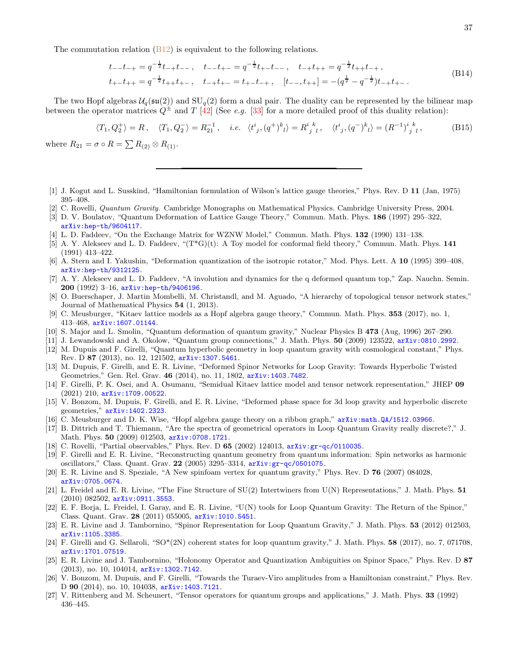The commutation relation  $(B12)$  is equivalent to the following relations.

$$
t_{-}t_{-} = q^{-\frac{1}{2}}t_{-} + t_{-}, \quad t_{-}t_{+} = q^{-\frac{1}{2}}t_{+} - t_{-}, \quad t_{-}t_{+} = q^{-\frac{1}{2}}t_{+} + t_{-},
$$
  
\n
$$
t_{+} - t_{+} = q^{-\frac{1}{2}}t_{+} + t_{+}, \quad t_{-} + t_{+} = t_{+} - t_{-}, \quad [t_{-} + t_{+}] = -(q^{\frac{1}{2}} - q^{-\frac{1}{2}})t_{-} + t_{+}.
$$
\n(B14)

The two Hopf algebras  $U_q(\mathfrak{su}(2))$  and  $SU_q(2)$  form a dual pair. The duality can be represented by the bilinear map between the operator matrices  $Q^{\pm}$  and T [\[42](#page-37-12)] (See e.g. [\[33\]](#page-37-5) for a more detailed proof of this duality relation):

<span id="page-36-0"></span>
$$
\langle T_1, Q_2^+ \rangle = R, \quad \langle T_1, Q_2^- \rangle = R_{21}^{-1}, \quad i.e. \quad \langle t^i{}_j, (q^+)^k{}_l \rangle = R^i{}_j{}^k{}_l, \quad \langle t^i{}_j, (q^-)^k{}_l \rangle = (R^{-1})^i{}_j{}^k{}_l, \tag{B15}
$$

where  $R_{21} = \sigma \circ R = \sum R_{(2)} \otimes R_{(1)}$ .

- <span id="page-36-1"></span>[1] J. Kogut and L. Susskind, "Hamiltonian formulation of Wilson's lattice gauge theories," Phys. Rev. D 11 (Jan, 1975) 395–408.
- <span id="page-36-2"></span>[2] C. Rovelli, *Quantum Gravity*. Cambridge Monographs on Mathematical Physics. Cambridge University Press, 2004.
- <span id="page-36-3"></span>[3] D. V. Boulatov, "Quantum Deformation of Lattice Gauge Theory," Commun. Math. Phys. 186 (1997) 295–322, [arXiv:hep-th/9604117](http://arXiv.org/abs/hep-th/9604117).
- <span id="page-36-4"></span>[4] L. D. Faddeev, "On the Exchange Matrix for WZNW Model," Commun. Math. Phys. 132 (1990) 131–138.
- <span id="page-36-5"></span> $[5]$  A. Y. Alekseev and L. D. Faddeev, " $(T^*G)(t)$ : A Toy model for conformal field theory," Commun. Math. Phys. 141 (1991) 413–422.
- <span id="page-36-23"></span>[6] A. Stern and I. Yakushin, "Deformation quantization of the isotropic rotator," Mod. Phys. Lett. A 10 (1995) 399–408, [arXiv:hep-th/9312125](http://arXiv.org/abs/hep-th/9312125).
- <span id="page-36-6"></span>[7] A. Y. Alekseev and L. D. Faddeev, "A involution and dynamics for the q deformed quantum top," Zap. Nauchn. Semin. 200 (1992) 3–16, [arXiv:hep-th/9406196](http://arXiv.org/abs/hep-th/9406196).
- <span id="page-36-7"></span>[8] O. Buerschaper, J. Martin Mombelli, M. Christandl, and M. Aguado, "A hierarchy of topological tensor network states," Journal of Mathematical Physics 54 (1, 2013).
- <span id="page-36-8"></span>[9] C. Meusburger, "Kitaev lattice models as a Hopf algebra gauge theory," Commun. Math. Phys. 353 (2017), no. 1, 413–468, [arXiv:1607.01144](http://arXiv.org/abs/1607.01144).
- <span id="page-36-9"></span>[10] S. Major and L. Smolin, "Quantum deformation of quantum gravity," Nuclear Physics B 473 (Aug, 1996) 267–290.
- [11] J. Lewandowski and A. Okolow, "Quantum group connections," J. Math. Phys. 50 (2009) 123522, [arXiv:0810.2992](http://arXiv.org/abs/0810.2992).
- <span id="page-36-22"></span>[12] M. Dupuis and F. Girelli, "Quantum hyperbolic geometry in loop quantum gravity with cosmological constant," Phys. Rev. D 87 (2013), no. 12, 121502, [arXiv:1307.5461](http://arXiv.org/abs/1307.5461).
- <span id="page-36-10"></span>[13] M. Dupuis, F. Girelli, and E. R. Livine, "Deformed Spinor Networks for Loop Gravity: Towards Hyperbolic Twisted Geometries," Gen. Rel. Grav. 46 (2014), no. 11, 1802, [arXiv:1403.7482](http://arXiv.org/abs/1403.7482).
- <span id="page-36-11"></span>[14] F. Girelli, P. K. Osei, and A. Osumanu, "Semidual Kitaev lattice model and tensor network representation," JHEP 09 (2021) 210, [arXiv:1709.00522](http://arXiv.org/abs/1709.00522).
- <span id="page-36-12"></span>[15] V. Bonzom, M. Dupuis, F. Girelli, and E. R. Livine, "Deformed phase space for 3d loop gravity and hyperbolic discrete geometries," [arXiv:1402.2323](http://arXiv.org/abs/1402.2323).
- <span id="page-36-13"></span>[16] C. Meusburger and D. K. Wise, "Hopf algebra gauge theory on a ribbon graph," [arXiv:math.QA/1512.03966](http://arXiv.org/abs/math.QA/1512.03966).
- <span id="page-36-14"></span>[17] B. Dittrich and T. Thiemann, "Are the spectra of geometrical operators in Loop Quantum Gravity really discrete?," J. Math. Phys. 50 (2009) 012503, [arXiv:0708.1721](http://arXiv.org/abs/0708.1721).
- <span id="page-36-15"></span>[18] C. Rovelli, "Partial observables," Phys. Rev. D 65 (2002) 124013, [arXiv:gr-qc/0110035](http://arXiv.org/abs/gr-qc/0110035).
- <span id="page-36-16"></span>[19] F. Girelli and E. R. Livine, "Reconstructing quantum geometry from quantum information: Spin networks as harmonic oscillators," Class. Quant. Grav. 22 (2005) 3295–3314, [arXiv:gr-qc/0501075](http://arXiv.org/abs/gr-qc/0501075).
- [20] E. R. Livine and S. Speziale, "A New spinfoam vertex for quantum gravity," Phys. Rev. D 76 (2007) 084028, [arXiv:0705.0674](http://arXiv.org/abs/0705.0674).
- <span id="page-36-24"></span>[21] L. Freidel and E. R. Livine, "The Fine Structure of SU(2) Intertwiners from U(N) Representations," J. Math. Phys. 51 (2010) 082502, [arXiv:0911.3553](http://arXiv.org/abs/0911.3553).
- [22] E. F. Borja, L. Freidel, I. Garay, and E. R. Livine, "U(N) tools for Loop Quantum Gravity: The Return of the Spinor," Class. Quant. Grav. 28 (2011) 055005, [arXiv:1010.5451](http://arXiv.org/abs/1010.5451).
- <span id="page-36-17"></span>[23] E. R. Livine and J. Tambornino, "Spinor Representation for Loop Quantum Gravity," J. Math. Phys. 53 (2012) 012503, [arXiv:1105.3385](http://arXiv.org/abs/1105.3385).
- <span id="page-36-18"></span>[24] F. Girelli and G. Sellaroli, "SO\*(2N) coherent states for loop quantum gravity," J. Math. Phys. 58 (2017), no. 7, 071708, [arXiv:1701.07519](http://arXiv.org/abs/1701.07519).
- <span id="page-36-19"></span>[25] E. R. Livine and J. Tambornino, "Holonomy Operator and Quantization Ambiguities on Spinor Space," Phys. Rev. D 87 (2013), no. 10, 104014, [arXiv:1302.7142](http://arXiv.org/abs/1302.7142).
- <span id="page-36-20"></span>[26] V. Bonzom, M. Dupuis, and F. Girelli, "Towards the Turaev-Viro amplitudes from a Hamiltonian constraint," Phys. Rev. D 90 (2014), no. 10, 104038, [arXiv:1403.7121](http://arXiv.org/abs/1403.7121).
- <span id="page-36-21"></span>[27] V. Rittenberg and M. Scheunert, "Tensor operators for quantum groups and applications," J. Math. Phys. 33 (1992) 436–445.